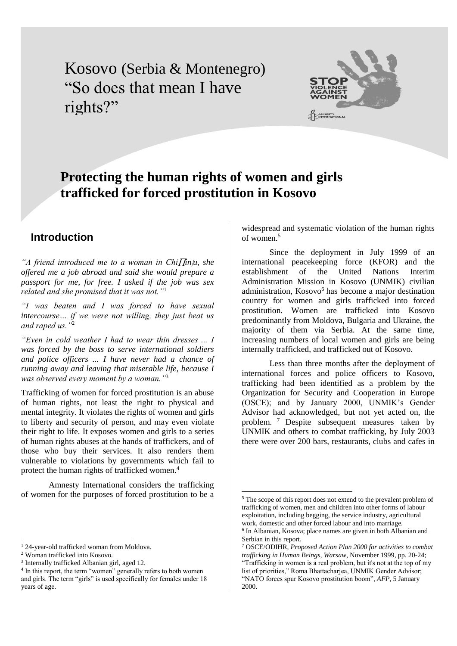Kosovo (Serbia & Montenegro) "So does that mean I have rights?"



# **Protecting the human rights of women and girls trafficked for forced prostitution in Kosovo**

#### **Introduction**

*"A friend introduced me to a woman in Chiinu, she offered me a job abroad and said she would prepare a passport for me, for free. I asked if the job was sex related and she promised that it was not."*<sup>1</sup>

*"I was beaten and I was forced to have sexual intercourse… if we were not willing, they just beat us and raped us."*<sup>2</sup>

*"Even in cold weather I had to wear thin dresses ... I was forced by the boss to serve international soldiers and police officers ... I have never had a chance of running away and leaving that miserable life, because I was observed every moment by a woman."*<sup>3</sup>

Trafficking of women for forced prostitution is an abuse of human rights, not least the right to physical and mental integrity. It violates the rights of women and girls to liberty and security of person, and may even violate their right to life. It exposes women and girls to a series of human rights abuses at the hands of traffickers, and of those who buy their services. It also renders them vulnerable to violations by governments which fail to protect the human rights of trafficked women.<sup>4</sup>

Amnesty International considers the trafficking of women for the purposes of forced prostitution to be a

 $\overline{a}$ 

widespread and systematic violation of the human rights of women.<sup>5</sup>

Since the deployment in July 1999 of an international peacekeeping force (KFOR) and the establishment of the United Nations Interim Administration Mission in Kosovo (UNMIK) civilian administration, Kosovo<sup>6</sup> has become a major destination country for women and girls trafficked into forced prostitution. Women are trafficked into Kosovo predominantly from Moldova, Bulgaria and Ukraine, the majority of them via Serbia. At the same time, increasing numbers of local women and girls are being internally trafficked, and trafficked out of Kosovo.

Less than three months after the deployment of international forces and police officers to Kosovo, trafficking had been identified as a problem by the Organization for Security and Cooperation in Europe (OSCE); and by January 2000, UNMIK's Gender Advisor had acknowledged, but not yet acted on, the problem. <sup>7</sup> Despite subsequent measures taken by UNMIK and others to combat trafficking, by July 2003 there were over 200 bars, restaurants, clubs and cafes in

<sup>&</sup>lt;sup>1</sup> 24-year-old trafficked woman from Moldova.

<sup>2</sup> Woman trafficked into Kosovo.

<sup>3</sup> Internally trafficked Albanian girl, aged 12.

<sup>&</sup>lt;sup>4</sup> In this report, the term "women" generally refers to both women and girls. The term "girls" is used specifically for females under 18 years of age.

<sup>5</sup> The scope of this report does not extend to the prevalent problem of trafficking of women, men and children into other forms of labour exploitation, including begging, the service industry, agricultural work, domestic and other forced labour and into marriage. 6 In Albanian, Kosova; place names are given in both Albanian and

Serbian in this report.

<sup>7</sup> OSCE/ODIHR, *Proposed Action Plan 2000 for activities to combat trafficking in Human Beings, Warsaw*, November 1999, pp. 20-24; "Trafficking in women is a real problem, but it's not at the top of my list of priorities," Roma Bhattacharjea, UNMIK Gender Advisor; "NATO forces spur Kosovo prostitution boom", *AFP*, 5 January 2000.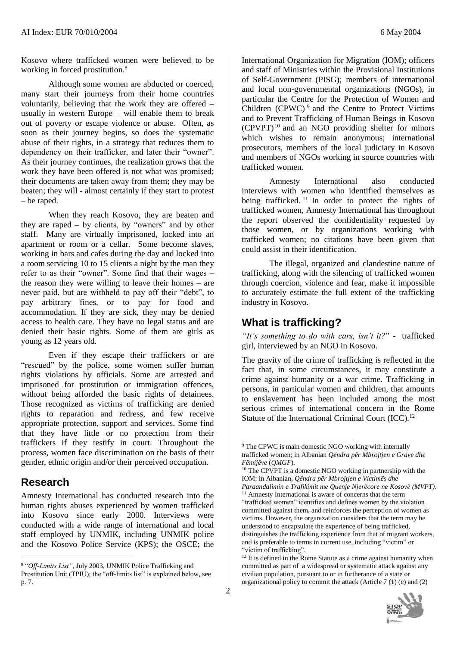Kosovo where trafficked women were believed to be working in forced prostitution.<sup>8</sup>

Although some women are abducted or coerced, many start their journeys from their home countries voluntarily, believing that the work they are offered – usually in western Europe – will enable them to break out of poverty or escape violence or abuse. Often, as soon as their journey begins, so does the systematic abuse of their rights, in a strategy that reduces them to dependency on their trafficker, and later their "owner". As their journey continues, the realization grows that the work they have been offered is not what was promised; their documents are taken away from them; they may be beaten; they will - almost certainly if they start to protest – be raped.

When they reach Kosovo, they are beaten and they are raped – by clients, by "owners" and by other staff. Many are virtually imprisoned, locked into an apartment or room or a cellar. Some become slaves, working in bars and cafes during the day and locked into a room servicing 10 to 15 clients a night by the man they refer to as their "owner". Some find that their wages – the reason they were willing to leave their homes – are never paid, but are withheld to pay off their "debt", to pay arbitrary fines, or to pay for food and accommodation. If they are sick, they may be denied access to health care. They have no legal status and are denied their basic rights. Some of them are girls as young as 12 years old.

Even if they escape their traffickers or are "rescued" by the police, some women suffer human rights violations by officials. Some are arrested and imprisoned for prostitution or immigration offences, without being afforded the basic rights of detainees. Those recognized as victims of trafficking are denied rights to reparation and redress, and few receive appropriate protection, support and services. Some find that they have little or no protection from their traffickers if they testify in court. Throughout the process, women face discrimination on the basis of their gender, ethnic origin and/or their perceived occupation.

#### **Research**

l

Amnesty International has conducted research into the human rights abuses experienced by women trafficked into Kosovo since early 2000. Interviews were conducted with a wide range of international and local staff employed by UNMIK, including UNMIK police and the Kosovo Police Service (KPS); the OSCE; the

2

<u>.</u>

International Organization for Migration (IOM); officers and staff of Ministries within the Provisional Institutions of Self-Government (PISG); members of international and local non-governmental organizations (NGOs), in particular the Centre for the Protection of Women and Children  $(CPWC)^9$  and the Centre to Protect Victims and to Prevent Trafficking of Human Beings in Kosovo (CPVPT) <sup>10</sup> and an NGO providing shelter for minors which wishes to remain anonymous; international prosecutors, members of the local judiciary in Kosovo and members of NGOs working in source countries with trafficked women.

Amnesty International also conducted interviews with women who identified themselves as being trafficked.<sup>11</sup> In order to protect the rights of trafficked women, Amnesty International has throughout the report observed the confidentiality requested by those women, or by organizations working with trafficked women; no citations have been given that could assist in their identification.

The illegal, organized and clandestine nature of trafficking, along with the silencing of trafficked women through coercion, violence and fear, make it impossible to accurately estimate the full extent of the trafficking industry in Kosovo.

### **What is trafficking?**

*"It's something to do with cars, isn't it?*" - trafficked girl, interviewed by an NGO in Kosovo.

The gravity of the crime of trafficking is reflected in the fact that, in some circumstances, it may constitute a crime against humanity or a war crime. Trafficking in persons, in particular women and children, that amounts to enslavement has been included among the most serious crimes of international concern in the Rome Statute of the International Criminal Court (ICC).<sup>12</sup>

 $12$  It is defined in the Rome Statute as a crime against humanity when committed as part of a widespread or systematic attack against any civilian population, pursuant to or in furtherance of a state or organizational policy to commit the attack (Article 7 (1) (c) and (2)



<sup>8</sup> "*Off-Limits List"*, July 2003, UNMIK Police Trafficking and Prostitution Unit (TPIU); the "off-limits list" is explained below, see p. 7.

<sup>&</sup>lt;sup>9</sup> The CPWC is main domestic NGO working with internally trafficked women; in Albanian *Qëndra për Mbrojtjen e Grave dhe Fëmijëve* (*QMGF*).

<sup>&</sup>lt;sup>10</sup> The CPVPT is a domestic NGO working in partnership with the IOM; in Albanian, *Qëndra për Mbrojtjen e Victimës dhe Paraandalimin e Trafikimit me Quenje Njerëcore ne Kosovë (MVPT).*

<sup>&</sup>lt;sup>11</sup> Amnesty International is aware of concerns that the term "trafficked women" identifies and defines women by the violation committed against them, and reinforces the perception of women as victims. However, the organization considers that the term may be understood to encapsulate the experience of being trafficked, distinguishes the trafficking experience from that of migrant workers, and is preferable to terms in current use, including "victim" or "victim of trafficking".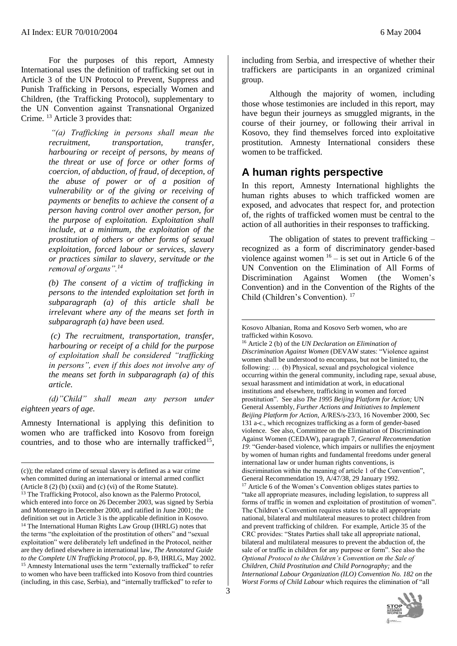For the purposes of this report, Amnesty International uses the definition of trafficking set out in Article 3 of the UN [Protocol to Prevent, Suppress and](http://www.unodc.org/unodc/en/trafficking_protocol.html)  [Punish Trafficking in Persons,](http://www.unodc.org/unodc/en/trafficking_protocol.html) especially Women and Children, (the Trafficking Protocol), supplementary to the UN Convention against Transnational Organized Crime. <sup>13</sup> Article 3 provides that:

> *"(a) Trafficking in persons shall mean the recruitment, transportation, transfer, harbouring or receipt of persons, by means of the threat or use of force or other forms of coercion, of abduction, of fraud, of deception, of the abuse of power or of a position of vulnerability or of the giving or receiving of payments or benefits to achieve the consent of a person having control over another person, for the purpose of exploitation. Exploitation shall include, at a minimum, the exploitation of the prostitution of others or other forms of sexual exploitation, forced labour or services, slavery or practices similar to slavery, servitude or the removal of organs".<sup>14</sup>*

> *(b) The consent of a victim of trafficking in persons to the intended exploitation set forth in subparagraph (a) of this article shall be irrelevant where any of the means set forth in subparagraph (a) have been used.*

> *(c) The recruitment, transportation, transfer, harbouring or receipt of a child for the purpose of exploitation shall be considered "trafficking in persons", even if this does not involve any of the means set forth in subparagraph (a) of this article.*

*(d)"Child" shall mean any person under eighteen years of age.*

Amnesty International is applying this definition to women who are trafficked into Kosovo from foreign countries, and to those who are internally trafficked<sup>15</sup>,

l

including from Serbia, and irrespective of whether their traffickers are participants in an organized criminal group.

Although the majority of women, including those whose testimonies are included in this report, may have begun their journeys as smuggled migrants, in the course of their journey, or following their arrival in Kosovo, they find themselves forced into exploitative prostitution. Amnesty International considers these women to be trafficked.

#### **A human rights perspective**

In this report, Amnesty International highlights the human rights abuses to which trafficked women are exposed, and advocates that respect for, and protection of, the rights of trafficked women must be central to the action of all authorities in their responses to trafficking.

The obligation of states to prevent trafficking – recognized as a form of discriminatory gender-based violence against women  $16 -$  is set out in Article 6 of the UN Convention on the Elimination of All Forms of Discrimination Against Women (the Women's Convention) and in the Convention of the Rights of the Child (Children's Convention). <sup>17</sup>

<sup>16</sup> Article 2 (b) of the *UN Declaration on Elimination of Discrimination Against Women* (DEVAW states: "Violence against women shall be understood to encompass, but not be limited to, the following: … (b) Physical, sexual and psychological violence occurring within the general community, including rape, sexual abuse, sexual harassment and intimidation at work, in educational institutions and elsewhere, trafficking in women and forced prostitution".See also *The 1995 Beijing Platform for Action;* UN General Assembly, *Further Actions and Initiatives to Implement Beijing Platform for Action*, A/RES/s-23/3, 16 November 2000, Sec 131 a-c., which recognizes trafficking as a form of gender-based violence. See also, Committee on the Elimination of Discrimination Against Women (CEDAW), paragraph 7, *General Recommendation 19*: "Gender-based violence, which impairs or nullifies the enjoyment by women of human rights and fundamental freedoms under general international law or under human rights conventions, is discrimination within the meaning of article 1 of the Convention", General Recommendation 19, A/47/38, 29 January 1992. <sup>17</sup> Article 6 of the Women's Convention obliges states parties to "take all appropriate measures, including legislation, to suppress all forms of traffic in women and exploitation of prostitution of women". The Children's Convention requires states to take all appropriate national, bilateral and multilateral measures to protect children from and prevent trafficking of children. For example, Article 35 of the CRC provides: "States Parties shall take all appropriate national, bilateral and multilateral measures to prevent the abduction of, the sale of or traffic in children for any purpose or form". See also the *Optional Protocol to the Children's Convention on the Sale of Children, Child Prostitution and Child Pornography;* and the *International Labour Organization (ILO) Convention No. 182 on the Worst Forms of Child Labour* which requires the elimination of "all



<sup>(</sup>c)); the related crime of sexual slavery is defined as a war crime when committed during an international or internal armed conflict (Article 8 (2) (b) (xxii) and (c) (vi) of the Rome Statute).

<sup>&</sup>lt;sup>13</sup> The Trafficking Protocol, also known as the Palermo Protocol, which entered into force on 26 December 2003, was signed by Serbia and Montenegro in December 2000, and ratified in June 2001; the definition set out in Article 3 is the applicable definition in Kosovo. <sup>14</sup> The International Human Rights Law Group (IHRLG) notes that the terms "the exploitation of the prostitution of others" and "sexual exploitation" were deliberately left undefined in the Protocol, neither are they defined elsewhere in international law, *The Annotated Guide to the Complete UN Trafficking Protocol*, pp. 8-9, IHRLG, May 2002. <sup>15</sup> Amnesty International uses the term "externally trafficked" to refer to women who have been trafficked into Kosovo from third countries (including, in this case, Serbia), and "internally trafficked" to refer to

Kosovo Albanian, Roma and Kosovo Serb women, who are trafficked within Kosovo.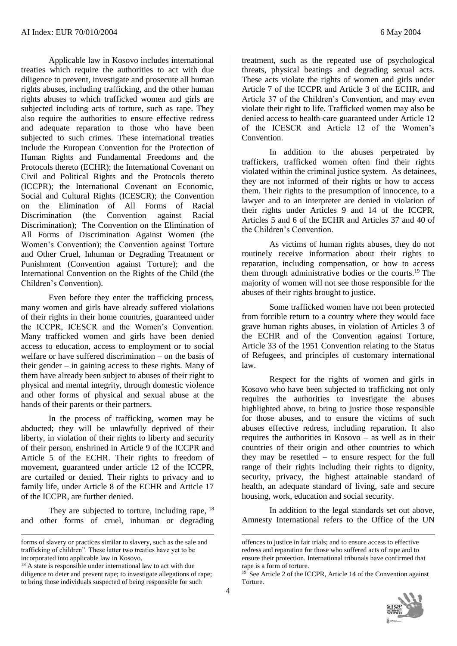Applicable law in Kosovo includes international treaties which require the authorities to act with due diligence to prevent, investigate and prosecute all human rights abuses, including trafficking, and the other human rights abuses to which trafficked women and girls are subjected including acts of torture, such as rape. They also require the authorities to ensure effective redress and adequate reparation to those who have been subjected to such crimes. These international treaties include the European Convention for the Protection of Human Rights and Fundamental Freedoms and the Protocols thereto (ECHR); the International Covenant on Civil and Political Rights and the Protocols thereto (ICCPR); the International Covenant on Economic, Social and Cultural Rights (ICESCR); the Convention on the Elimination of All Forms of Racial Discrimination (the Convention against Racial Discrimination); The Convention on the Elimination of All Forms of Discrimination Against Women (the Women's Convention); the Convention against Torture and Other Cruel, Inhuman or Degrading Treatment or Punishment (Convention against Torture); and the International Convention on the Rights of the Child (the Children's Convention).

Even before they enter the trafficking process, many women and girls have already suffered violations of their rights in their home countries, guaranteed under the ICCPR, ICESCR and the Women's Convention. Many trafficked women and girls have been denied access to education, access to employment or to social welfare or have suffered discrimination – on the basis of their gender – in gaining access to these rights. Many of them have already been subject to abuses of their right to physical and mental integrity, through domestic violence and other forms of physical and sexual abuse at the hands of their parents or their partners.

In the process of trafficking, women may be abducted; they will be unlawfully deprived of their liberty, in violation of their rights to liberty and security of their person, enshrined in Article 9 of the ICCPR and Article 5 of the ECHR. Their rights to freedom of movement, guaranteed under article 12 of the ICCPR, are curtailed or denied. Their rights to privacy and to family life, under Article 8 of the ECHR and Article 17 of the ICCPR, are further denied.

They are subjected to torture, including rape,  $^{18}$ and other forms of cruel, inhuman or degrading

l

<u>.</u>

4

treatment, such as the repeated use of psychological threats, physical beatings and degrading sexual acts. These acts violate the rights of women and girls under Article 7 of the ICCPR and Article 3 of the ECHR, and Article 37 of the Children's Convention, and may even violate their right to life. Trafficked women may also be denied access to health-care guaranteed under Article 12 of the ICESCR and Article 12 of the Women's Convention.

In addition to the abuses perpetrated by traffickers, trafficked women often find their rights violated within the criminal justice system. As detainees, they are not informed of their rights or how to access them. Their rights to the presumption of innocence, to a lawyer and to an interpreter are denied in violation of their rights under Articles 9 and 14 of the ICCPR, Articles 5 and 6 of the ECHR and Articles 37 and 40 of the Children's Convention.

As victims of human rights abuses, they do not routinely receive information about their rights to reparation, including compensation, or how to access them through administrative bodies or the courts.<sup>19</sup> The majority of women will not see those responsible for the abuses of their rights brought to justice.

Some trafficked women have not been protected from forcible return to a country where they would face grave human rights abuses, in violation of Articles 3 of the ECHR and of the Convention against Torture, Article 33 of the 1951 Convention relating to the Status of Refugees, and principles of customary international law.

Respect for the rights of women and girls in Kosovo who have been subjected to trafficking not only requires the authorities to investigate the abuses highlighted above, to bring to justice those responsible for those abuses, and to ensure the victims of such abuses effective redress, including reparation. It also requires the authorities in Kosovo – as well as in their countries of their origin and other countries to which they may be resettled – to ensure respect for the full range of their rights including their rights to dignity, security, privacy, the highest attainable standard of health, an adequate standard of living, safe and secure housing, work, education and social security.

In addition to the legal standards set out above, Amnesty International refers to the Office of the UN

 $19$ <sup>S</sup> See Article 2 of the ICCPR, Article 14 of the Convention against Torture.



forms of slavery or practices similar to slavery, such as the sale and trafficking of children". These latter two treaties have yet to be incorporated into applicable law in Kosovo.

<sup>&</sup>lt;sup>18</sup> A state is responsible under international law to act with due diligence to deter and prevent rape; to investigate allegations of rape; to bring those individuals suspected of being responsible for such

offences to justice in fair trials; and to ensure access to effective redress and reparation for those who suffered acts of rape and to ensure their protection. International tribunals have confirmed that rape is a form of torture.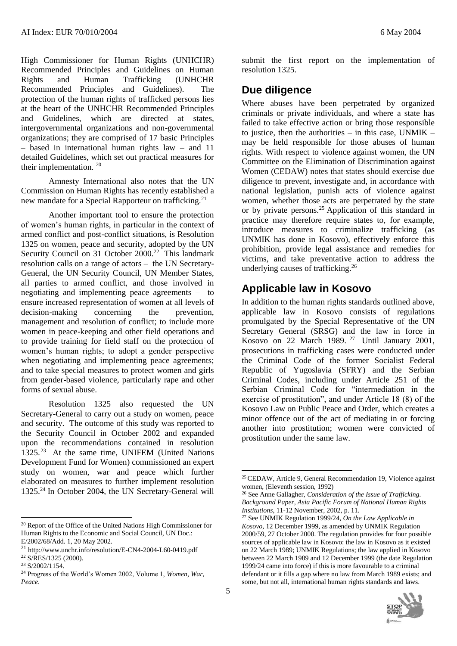High Commissioner for Human Rights (UNHCHR) Recommended Principles and Guidelines on Human Rights and Human Trafficking (UNHCHR Recommended Principles and Guidelines). The protection of the human rights of trafficked persons lies at the heart of the UNHCHR Recommended Principles and Guidelines, which are directed at states, intergovernmental organizations and non-governmental organizations; they are comprised of 17 basic Principles – based in international human rights law – and 11 detailed Guidelines, which set out practical measures for their implementation. <sup>20</sup>

Amnesty International also notes that the UN Commission on Human Rights has recently established a new mandate for a Special Rapporteur on trafficking.<sup>21</sup>

Another important tool to ensure the protection of women's human rights, in particular in the context of armed conflict and post-conflict situations, is Resolution 1325 on women, peace and security, adopted by the UN Security Council on 31 October 2000.<sup>22</sup> This landmark resolution calls on a range of actors – the UN Secretary-General, the UN Security Council, UN Member States, all parties to armed conflict, and those involved in negotiating and implementing peace agreements – to ensure increased representation of women at all levels of decision-making concerning the prevention, management and resolution of conflict; to include more women in peace-keeping and other field operations and to provide training for field staff on the protection of women's human rights; to adopt a gender perspective when negotiating and implementing peace agreements; and to take special measures to protect women and girls from gender-based violence, particularly rape and other forms of sexual abuse.

Resolution 1325 also requested the UN Secretary-General to carry out a study on women, peace and security. The outcome of this study was reported to the Security Council in October 2002 and expanded upon the recommendations contained in resolution 1325.<sup>23</sup> At the same time, UNIFEM (United Nations Development Fund for Women) commissioned an expert study on women, war and peace which further elaborated on measures to further implement resolution 1325.<sup>24</sup> In October 2004, the UN Secretary-General will

l

 $\overline{a}$ 

5

submit the first report on the implementation of resolution 1325.

## **Due diligence**

Where abuses have been perpetrated by organized criminals or private individuals, and where a state has failed to take effective action or bring those responsible to justice, then the authorities – in this case, UNMIK – may be held responsible for those abuses of human rights. With respect to violence against women, the UN Committee on the Elimination of Discrimination against Women (CEDAW) notes that states should exercise due diligence to prevent, investigate and, in accordance with national legislation, punish acts of violence against women, whether those acts are perpetrated by the state or by private persons.<sup>25</sup> Application of this standard in practice may therefore require states to, for example, introduce measures to criminalize trafficking (as UNMIK has done in Kosovo), effectively enforce this prohibition, provide legal assistance and remedies for victims, and take preventative action to address the underlying causes of trafficking.<sup>26</sup>

#### **Applicable law in Kosovo**

In addition to the human rights standards outlined above, applicable law in Kosovo consists of regulations promulgated by the Special Representative of the UN Secretary General (SRSG) and the law in force in Kosovo on 22 March 1989. <sup>27</sup> Until January 2001, prosecutions in trafficking cases were conducted under the Criminal Code of the former Socialist Federal Republic of Yugoslavia (SFRY) and the Serbian Criminal Codes, including under Article 251 of the Serbian Criminal Code for "intermediation in the exercise of prostitution", and under Article 18 (8) of the Kosovo Law on Public Peace and Order, which creates a minor offence out of the act of mediating in or forcing another into prostitution; women were convicted of prostitution under the same law.

<sup>27</sup> See UNMIK Regulation 1999/24, *On the Law Applicable in Kosovo*, 12 December 1999, as amended by UNMIK Regulation 2000/59, 27 October 2000. The regulation provides for four possible sources of applicable law in Kosovo: the law in Kosovo as it existed on 22 March 1989; UNMIK Regulations; the law applied in Kosovo between 22 March 1989 and 12 December 1999 (the date Regulation 1999/24 came into force) if this is more favourable to a criminal defendant or it fills a gap where no law from March 1989 exists; and some, but not all, international human rights standards and laws.



<sup>20</sup> Report of the Office of the United Nations High Commissioner for Human Rights to the Economic and Social Council, UN Doc.:

E/2002/68/Add. 1, 20 May 2002.

<sup>21</sup> http://www.unchr.info/resolution/E-CN4-2004-L60-0419.pdf

<sup>22</sup> S/RES/1325 (2000).

<sup>23</sup> S/2002/1154.

<sup>24</sup> Progress of the World's Women 2002, Volume 1, *Women, War, Peace*.

<sup>25</sup>CEDAW, Article 9, General Recommendation 19, Violence against women, (Eleventh session, 1992)

<sup>26</sup> See Anne Gallagher, *Consideration of the Issue of Trafficking. Background Paper, Asia Pacific Forum of National Human Rights Institutions*, 11-12 November, 2002, p. 11.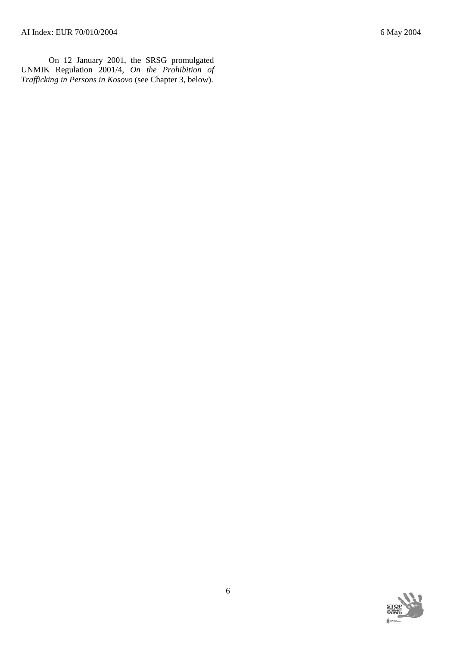On 12 January 2001, the SRSG promulgated UNMIK Regulation 2001/4, *On the Prohibition of Trafficking in Persons in Kosovo* (see Chapter 3, below).

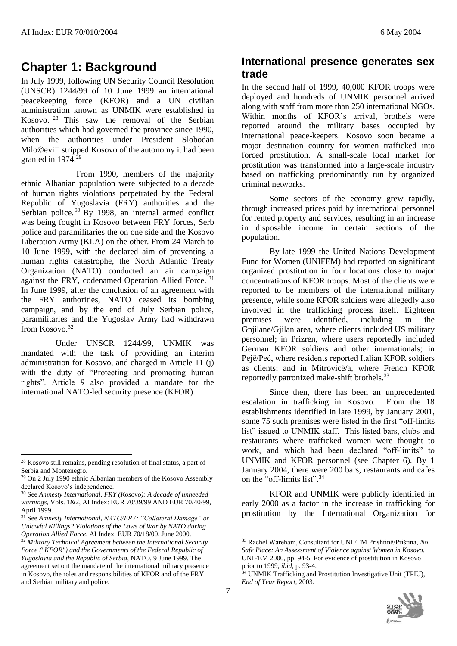# **Chapter 1: Background**

In July 1999, following UN Security Council Resolution (UNSCR) 1244/99 of 10 June 1999 an international peacekeeping force (KFOR) and a UN civilian administration known as UNMIK were established in Kosovo. <sup>28</sup> This saw the removal of the Serbian authorities which had governed the province since 1990, when the authorities under President Slobodan  $Milo@evi@$  stripped Kosovo of the autonomy it had been granted in 1974.<sup>29</sup>

From 1990, members of the majority ethnic Albanian population were subjected to a decade of human rights violations perpetrated by the Federal Republic of Yugoslavia (FRY) authorities and the Serbian police.<sup>30</sup> By 1998, an internal armed conflict was being fought in Kosovo between FRY forces, Serb police and paramilitaries the on one side and the Kosovo Liberation Army (KLA) on the other. From 24 March to 10 June 1999, with the declared aim of preventing a human rights catastrophe, the North Atlantic Treaty Organization (NATO) conducted an air campaign against the FRY, codenamed Operation Allied Force. <sup>31</sup> In June 1999, after the conclusion of an agreement with the FRY authorities, NATO ceased its bombing campaign, and by the end of July Serbian police, paramilitaries and the Yugoslav Army had withdrawn from Kosovo.<sup>32</sup>

Under UNSCR 1244/99, UNMIK was mandated with the task of providing an interim administration for Kosovo, and charged in Article 11 (j) with the duty of "Protecting and promoting human" rights". Article 9 also provided a mandate for the international NATO-led security presence (KFOR).

l

## **International presence generates sex trade**

In the second half of 1999, 40,000 KFOR troops were deployed and hundreds of UNMIK personnel arrived along with staff from more than 250 international NGOs. Within months of KFOR's arrival, brothels were reported around the military bases occupied by international peace-keepers. Kosovo soon became a major destination country for women trafficked into forced prostitution. A small-scale local market for prostitution was transformed into a large-scale industry based on trafficking predominantly run by organized criminal networks.

Some sectors of the economy grew rapidly, through increased prices paid by international personnel for rented property and services, resulting in an increase in disposable income in certain sections of the population.

By late 1999 the United Nations Development Fund for Women (UNIFEM) had reported on significant organized prostitution in four locations close to major concentrations of KFOR troops. Most of the clients were reported to be members of the international military presence, while some KFOR soldiers were allegedly also involved in the trafficking process itself. Eighteen premises were identified, including in the Gnjilane/Gjilan area, where clients included US military personnel; in Prizren, where users reportedly included German KFOR soldiers and other internationals; in Pejë/Peć, where residents reported Italian KFOR soldiers as clients; and in Mitrovicë/a, where French KFOR reportedly patronized make-shift brothels.<sup>33</sup>

Since then, there has been an unprecedented escalation in trafficking in Kosovo. From the 18 establishments identified in late 1999, by January 2001, some 75 such premises were listed in the first "off-limits list" issued to UNMIK staff. This listed bars, clubs and restaurants where trafficked women were thought to work, and which had been declared "off-limits" to UNMIK and KFOR personnel (see Chapter 6). By 1 January 2004, there were 200 bars, restaurants and cafes on the "off-limits list".<sup>34</sup>

KFOR and UNMIK were publicly identified in early 2000 as a factor in the increase in trafficking for prostitution by the International Organization for

<sup>&</sup>lt;sup>34</sup> UNMIK Trafficking and Prostitution Investigative Unit (TPIU), *End of Year Report*, 2003.



<sup>&</sup>lt;sup>28</sup> Kosovo still remains, pending resolution of final status, a part of Serbia and Montenegro.

 $29$  On 2 July 1990 ethnic Albanian members of the Kosovo Assembly declared Kosovo's independence.

<sup>30</sup> See *Amnesty International*, *FRY (Kosovo): A decade of unheeded warnings,* Vols. 1&2, AI Index: EUR 70/39/99 AND EUR 70/40/99, April 1999.

<sup>31</sup> See *Amnesty International*, *NATO/FRY: "Collateral Damage" or Unlawful Killings? Violations of the Laws of War by NATO during Operation Allied Force,* AI Index: EUR 70/18/00, June 2000. <sup>32</sup> *Military Technical Agreement between the International Security Force ("KFOR") and the Governments of the Federal Republic of Yugoslavia and the Republic of Serbia*, NATO, 9 June 1999. The agreement set out the mandate of the international military presence in Kosovo, the roles and responsibilities of KFOR and of the FRY and Serbian military and police.

<sup>&</sup>lt;u>.</u> <sup>33</sup> Rachel Wareham, Consultant for UNIFEM Prishtinë/Priština, *No Safe Place: An Assessment of Violence against Women in Kosovo*, UNIFEM 2000, pp. 94-5. For evidence of prostitution in Kosovo prior to 1999, *ibid,* p. 93-4.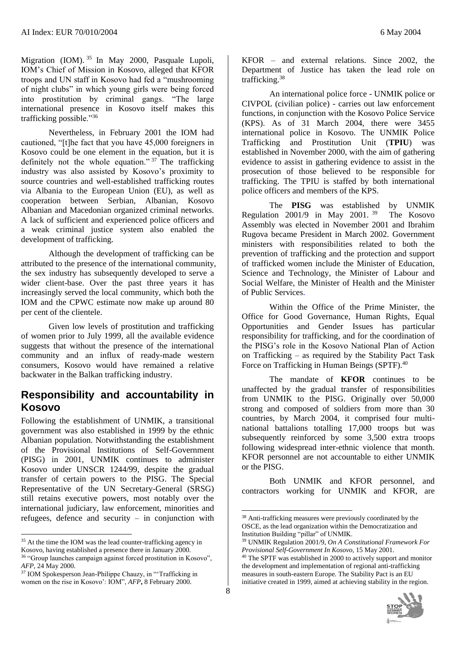Migration (IOM). <sup>35</sup> In May 2000, Pasquale Lupoli, IOM's Chief of Mission in Kosovo, alleged that KFOR troops and UN staff in Kosovo had fed a "mushrooming of night clubs" in which young girls were being forced into prostitution by criminal gangs. "The large international presence in Kosovo itself makes this trafficking possible."<sup>36</sup>

Nevertheless, in February 2001 the IOM had cautioned, "[t]he fact that you have 45,000 foreigners in Kosovo could be one element in the equation, but it is definitely not the whole equation."  $37$  The trafficking industry was also assisted by Kosovo's proximity to source countries and well-established trafficking routes via Albania to the European Union (EU), as well as cooperation between Serbian, Albanian, Kosovo Albanian and Macedonian organized criminal networks. A lack of sufficient and experienced police officers and a weak criminal justice system also enabled the development of trafficking.

Although the development of trafficking can be attributed to the presence of the international community, the sex industry has subsequently developed to serve a wider client-base. Over the past three years it has increasingly served the local community, which both the IOM and the CPWC estimate now make up around 80 per cent of the clientele.

Given low levels of prostitution and trafficking of women prior to July 1999, all the available evidence suggests that without the presence of the international community and an influx of ready-made western consumers, Kosovo would have remained a relative backwater in the Balkan trafficking industry.

#### **Responsibility and accountability in Kosovo**

Following the establishment of UNMIK, a transitional government was also established in 1999 by the ethnic Albanian population. Notwithstanding the establishment of the Provisional Institutions of Self-Government (PISG) in 2001, UNMIK continues to administer Kosovo under UNSCR 1244/99, despite the gradual transfer of certain powers to the PISG. The Special Representative of the UN Secretary-General (SRSG) still retains executive powers, most notably over the international judiciary, law enforcement, minorities and refugees, defence and security – in conjunction with

l

 $\overline{a}$ 

An international police force - UNMIK police or CIVPOL (civilian police) - carries out law enforcement functions, in conjunction with the Kosovo Police Service (KPS). As of 31 March 2004, there were 3455 international police in Kosovo. The UNMIK Police Trafficking and Prostitution Unit (**TPIU**) was established in November 2000, with the aim of gathering evidence to assist in gathering evidence to assist in the prosecution of those believed to be responsible for trafficking. The TPIU is staffed by both international police officers and members of the KPS.

trafficking.<sup>38</sup>

The **PISG** was established by UNMIK Regulation 2001/9 in May 2001. <sup>39</sup> The Kosovo Assembly was elected in November 2001 and Ibrahim Rugova became President in March 2002. Government ministers with responsibilities related to both the prevention of trafficking and the protection and support of trafficked women include the Minister of Education, Science and Technology, the Minister of Labour and Social Welfare, the Minister of Health and the Minister of Public Services.

Within the Office of the Prime Minister, the Office for Good Governance, Human Rights, Equal Opportunities and Gender Issues has particular responsibility for trafficking, and for the coordination of the PISG's role in the Kosovo National Plan of Action on Trafficking – as required by the Stability Pact Task Force on Trafficking in Human Beings (SPTF).<sup>40</sup>

The mandate of **KFOR** continues to be unaffected by the gradual transfer of responsibilities from UNMIK to the PISG. Originally over 50,000 strong and composed of soldiers from more than 30 countries, by March 2004, it comprised four multinational battalions totalling 17,000 troops but was subsequently reinforced by some 3,500 extra troops following widespread inter-ethnic violence that month. KFOR personnel are not accountable to either UNMIK or the PISG.

Both UNMIK and KFOR personnel, and contractors working for UNMIK and KFOR, are

<sup>40</sup> The SPTF was established in 2000 to actively support and monitor the development and implementation of regional anti-trafficking measures in south-eastern Europe. The Stability Pact is an EU initiative created in 1999, aimed at achieving stability in the region.



<sup>&</sup>lt;sup>35</sup> At the time the IOM was the lead counter-trafficking agency in Kosovo, having established a presence there in January 2000.

<sup>36</sup> "Group launches campaign against forced prostitution in Kosovo", *AFP*, 24 May 2000.

<sup>&</sup>lt;sup>37</sup> IOM Spokesperson Jean-Philippe Chauzy, in "Trafficking in women on the rise in Kosovo': IOM", *AFP***,** 8 February 2000.

<sup>38</sup> Anti-trafficking measures were previously coordinated by the OSCE, as the lead organization within the Democratization and Institution Building "pillar" of UNMIK.

<sup>39</sup> UNMIK Regulation 2001/9, *On A Constitutional Framework For Provisional Self-Government In Kosovo*, 15 May 2001.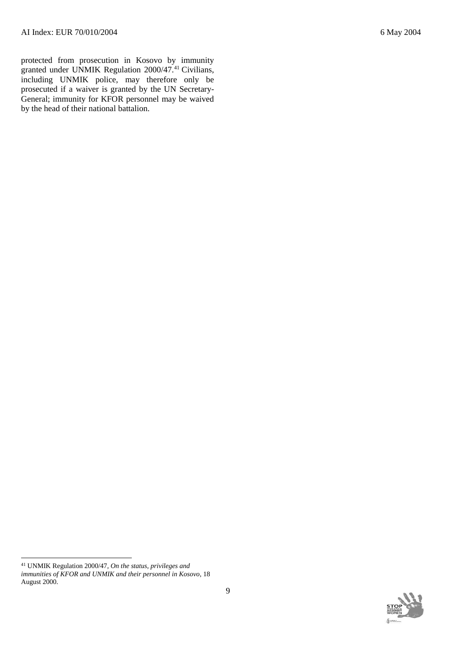protected from prosecution in Kosovo by immunity granted under UNMIK Regulation 2000/47.<sup>41</sup> Civilians, including UNMIK police, may therefore only be prosecuted if a waiver is granted by the UN Secretary-General; immunity for KFOR personnel may be waived by the head of their national battalion.

l



<sup>41</sup> UNMIK Regulation 2000/47*, On the status, privileges and immunities of KFOR and UNMIK and their personnel in Kosovo*, 18 August 2000.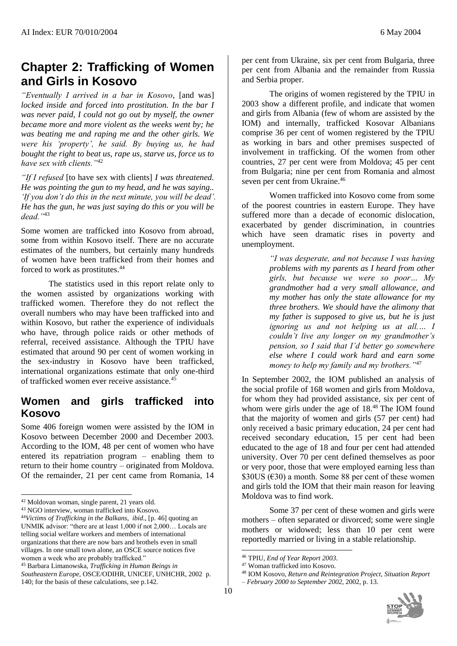# **Chapter 2: Trafficking of Women and Girls in Kosovo**

*"Eventually I arrived in a bar in Kosovo*, [and was] *locked inside and forced into prostitution. In the bar I was never paid, I could not go out by myself, the owner became more and more violent as the weeks went by; he was beating me and raping me and the other girls. We were his 'property', he said. By buying us, he had bought the right to beat us, rape us, starve us, force us to have sex with clients."*<sup>42</sup>

*"If I refused* [to have sex with clients] *I was threatened. He was pointing the gun to my head, and he was saying.. 'If you don't do this in the next minute, you will be dead'. He has the gun, he was just saying do this or you will be dead."*<sup>43</sup>

Some women are trafficked into Kosovo from abroad, some from within Kosovo itself. There are no accurate estimates of the numbers, but certainly many hundreds of women have been trafficked from their homes and forced to work as prostitutes.<sup>44</sup>

The statistics used in this report relate only to the women assisted by organizations working with trafficked women. Therefore they do not reflect the overall numbers who may have been trafficked into and within Kosovo, but rather the experience of individuals who have, through police raids or other methods of referral, received assistance. Although the TPIU have estimated that around 90 per cent of women working in the sex-industry in Kosovo have been trafficked, international organizations estimate that only one-third of trafficked women ever receive assistance.<sup>45</sup>

## **Women and girls trafficked into Kosovo**

Some 406 foreign women were assisted by the IOM in Kosovo between December 2000 and December 2003. According to the IOM, 48 per cent of women who have entered its repatriation program – enabling them to return to their home country – originated from Moldova. Of the remainder, 21 per cent came from Romania, 14

l

per cent from Ukraine, six per cent from Bulgaria, three per cent from Albania and the remainder from Russia and Serbia proper.

The origins of women registered by the TPIU in 2003 show a different profile, and indicate that women and girls from Albania (few of whom are assisted by the IOM) and internally, trafficked Kosovar Albanians comprise 36 per cent of women registered by the TPIU as working in bars and other premises suspected of involvement in trafficking. Of the women from other countries, 27 per cent were from Moldova; 45 per cent from Bulgaria; nine per cent from Romania and almost seven per cent from Ukraine.<sup>46</sup>

Women trafficked into Kosovo come from some of the poorest countries in eastern Europe. They have suffered more than a decade of economic dislocation, exacerbated by gender discrimination, in countries which have seen dramatic rises in poverty and unemployment.

> *"I was desperate, and not because I was having problems with my parents as I heard from other girls, but because we were so poor… My grandmother had a very small allowance, and my mother has only the state allowance for my three brothers. We should have the alimony that my father is supposed to give us, but he is just ignoring us and not helping us at all.… I couldn't live any longer on my grandmother's pension, so I said that I'd better go somewhere else where I could work hard and earn some money to help my family and my brothers."*<sup>47</sup>

In September 2002, the IOM published an analysis of the social profile of 168 women and girls from Moldova, for whom they had provided assistance, six per cent of whom were girls under the age of 18.<sup>48</sup> The IOM found that the majority of women and girls (57 per cent) had only received a basic primary education, 24 per cent had received secondary education, 15 per cent had been educated to the age of 18 and four per cent had attended university. Over 70 per cent defined themselves as poor or very poor, those that were employed earning less than  $$30US$  ( $$30$ ) a month. Some 88 per cent of these women and girls told the IOM that their main reason for leaving Moldova was to find work.

Some 37 per cent of these women and girls were mothers – often separated or divorced; some were single mothers or widowed; less than 10 per cent were reportedly married or living in a stable relationship.

*<sup>–</sup> February 2000 to September 2002*, 2002, p. 13.



<sup>42</sup> Moldovan woman, single parent, 21 years old.

<sup>43</sup> NGO interview, woman trafficked into Kosovo.

<sup>44</sup>*Victims of Trafficking in the Balkans, ibid*., [p. 46] quoting an UNMIK advisor: "there are at least 1,000 if not 2,000… Locals are telling social welfare workers and members of international organizations that there are now bars and brothels even in small villages. In one small town alone, an OSCE source notices five women a week who are probably trafficked."

<sup>45</sup> Barbara Limanowska, *Trafficking in Human Beings in Southeastern Europe*, OSCE/ODIHR, UNICEF, UNHCHR, 2002 p. 140; for the basis of these calculations, see p.142.

<sup>46</sup> TPIU, *End of Year Report 2003*.

<sup>47</sup> Woman trafficked into Kosovo.

<sup>48</sup> IOM Kosovo, *Return and Reintegration Project, Situation Report*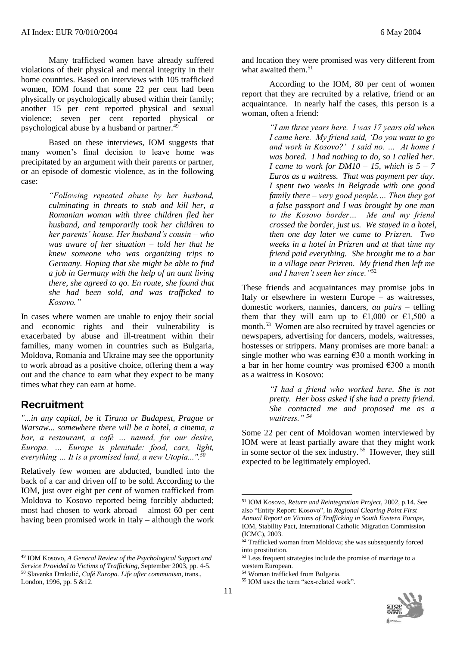Many trafficked women have already suffered violations of their physical and mental integrity in their home countries. Based on interviews with 105 trafficked women, IOM found that some 22 per cent had been physically or psychologically abused within their family; another 15 per cent reported physical and sexual violence; seven per cent reported physical or psychological abuse by a husband or partner.<sup>49</sup>

Based on these interviews, IOM suggests that many women's final decision to leave home was precipitated by an argument with their parents or partner, or an episode of domestic violence, as in the following case:

> *"Following repeated abuse by her husband, culminating in threats to stab and kill her, a Romanian woman with three children fled her husband, and temporarily took her children to her parents' house. Her husband's cousin – who was aware of her situation – told her that he knew someone who was organizing trips to Germany. Hoping that she might be able to find a job in Germany with the help of an aunt living there, she agreed to go. En route, she found that she had been sold, and was trafficked to Kosovo."*

In cases where women are unable to enjoy their social and economic rights and their vulnerability is exacerbated by abuse and ill-treatment within their families, many women in countries such as Bulgaria, Moldova, Romania and Ukraine may see the opportunity to work abroad as a positive choice, offering them a way out and the chance to earn what they expect to be many times what they can earn at home.

#### **Recruitment**

 $\overline{a}$ 

*"...in any capital, be it Tirana or Budapest, Prague or Warsaw... somewhere there will be a hotel, a cinema, a*  bar, a restaurant, a café ... named, for our desire, *Europa. … Europe is plenitude: food, cars, light, everything … It is a promised land, a new Utopia...".<sup>50</sup>*

Relatively few women are abducted, bundled into the back of a car and driven off to be sold. According to the IOM, just over eight per cent of women trafficked from Moldova to Kosovo reported being forcibly abducted; most had chosen to work abroad – almost 60 per cent having been promised work in Italy – although the work and location they were promised was very different from what awaited them.<sup>51</sup>

According to the IOM, 80 per cent of women report that they are recruited by a relative, friend or an acquaintance. In nearly half the cases, this person is a woman, often a friend:

> *"I am three years here. I was 17 years old when I came here. My friend said, 'Do you want to go and work in Kosovo?' I said no. … At home I was bored. I had nothing to do, so I called her. I* came to work for  $DM10 - 15$ , which is  $5 - 7$ *Euros as a waitress. That was payment per day. I spent two weeks in Belgrade with one good family there – very good people.… Then they got a false passport and I was brought by one man to the Kosovo border… Me and my friend crossed the border, just us. We stayed in a hotel, then one day later we came to Prizren. Two weeks in a hotel in Prizren and at that time my friend paid everything. She brought me to a bar in a village near Prizren. My friend then left me and I haven't seen her since."*<sup>52</sup>

These friends and acquaintances may promise jobs in Italy or elsewhere in western Europe – as waitresses, domestic workers, nannies, dancers, *au pairs* – telling them that they will earn up to  $\epsilon$ 1.000 or  $\epsilon$ 1.500 a month.<sup>53</sup> Women are also recruited by travel agencies or newspapers, advertising for dancers, models, waitresses, hostesses or strippers. Many promises are more banal: a single mother who was earning  $\epsilon$ 30 a month working in a bar in her home country was promised €300 a month as a waitress in Kosovo:

> *"I had a friend who worked here*. *She is not pretty. Her boss asked if she had a pretty friend. She contacted me and proposed me as a waitress." <sup>54</sup>*

Some 22 per cent of Moldovan women interviewed by IOM were at least partially aware that they might work in some sector of the sex industry.<sup>55</sup> However, they still expected to be legitimately employed.

<sup>55</sup> IOM uses the term "sex-related work".



<sup>49</sup> IOM Kosovo, *A General Review of the Psychological Support and Service Provided to Victims of Trafficking*, September 2003, pp. 4-5. <sup>50</sup> Slavenka Drakulić*, Café Europa. Life after communism*, trans., London, 1996, pp. 5 &12.

<sup>51</sup> IOM Kosovo, *Return and Reintegration Project*, 2002, p.14. See also "Entity Report: Kosovo"*,* in *Regional Clearing Point First Annual Report on Victims of Trafficking in South Eastern Europe*, IOM, Stability Pact, International Catholic Migration Commission (ICMC), 2003.

 $52$  Trafficked woman from Moldova; she was subsequently forced into prostitution.

<sup>&</sup>lt;sup>53</sup> Less frequent strategies include the promise of marriage to a western European.

<sup>54</sup> Woman trafficked from Bulgaria.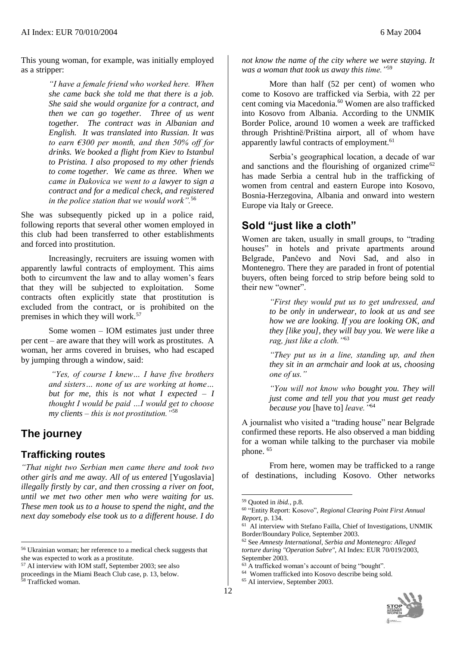This young woman, for example, was initially employed as a stripper:

> *"I have a female friend who worked here. When she came back she told me that there is a job. She said she would organize for a contract, and then we can go together. Three of us went together. The contract was in Albanian and English. It was translated into Russian. It was to earn €300 per month, and then 50% off for drinks. We booked a flight from Kiev to Istanbul to Pristina. I also proposed to my other friends to come together. We came as three. When we came in Đakovica we went to a lawyer to sign a contract and for a medical check, and registered in the police station that we would work".*<sup>56</sup>

She was subsequently picked up in a police raid, following reports that several other women employed in this club had been transferred to other establishments and forced into prostitution.

Increasingly, recruiters are issuing women with apparently lawful contracts of employment. This aims both to circumvent the law and to allay women's fears that they will be subjected to exploitation. Some contracts often explicitly state that prostitution is excluded from the contract, or is prohibited on the premises in which they will work.<sup>57</sup>

Some women – IOM estimates just under three per cent – are aware that they will work as prostitutes. A woman, her arms covered in bruises, who had escaped by jumping through a window, said:

> *"Yes, of course I knew… I have five brothers and sisters… none of us are working at home… but for me, this is not what I expected – I thought I would be paid …I would get to choose my clients – this is not prostitution."*<sup>58</sup>

## **The journey**

#### **Trafficking routes**

*"That night two Serbian men came there and took two other girls and me away. All of us entered* [Yugoslavia] *illegally firstly by car, and then crossing a river on foot, until we met two other men who were waiting for us. These men took us to a house to spend the night, and the next day somebody else took us to a different house. I do* 

l

*not know the name of the city where we were staying. It was a woman that took us away this time."*<sup>59</sup>

More than half (52 per cent) of women who come to Kosovo are trafficked via Serbia, with 22 per cent coming via Macedonia.<sup>60</sup> Women are also trafficked into Kosovo from Albania. According to the UNMIK Border Police, around 10 women a week are trafficked through Prishtinë/Priština airport, all of whom have apparently lawful contracts of employment.<sup>61</sup>

Serbia's geographical location, a decade of war and sanctions and the flourishing of organized crime<sup>62</sup> has made Serbia a central hub in the trafficking of women from central and eastern Europe into Kosovo, Bosnia-Herzegovina, Albania and onward into western Europe via Italy or Greece.

## **Sold "just like a cloth"**

Women are taken, usually in small groups, to "trading houses" in hotels and private apartments around Belgrade, Pančevo and Novi Sad, and also in Montenegro. There they are paraded in front of potential buyers, often being forced to strip before being sold to their new "owner".

> *"First they would put us to get undressed, and to be only in underwear, to look at us and see how we are looking. If you are looking OK, and they [like you], they will buy you. We were like a rag, just like a cloth."*<sup>63</sup>

> *"They put us in a line, standing up, and then they sit in an armchair and look at us, choosing one of us."*

> *"You will not know who bought you. They will just come and tell you that you must get ready because you* [have to] *leave."*<sup>64</sup>

A journalist who visited a "trading house" near Belgrade confirmed these reports. He also observed a man bidding for a woman while talking to the purchaser via mobile phone. <sup>65</sup>

From here, women may be trafficked to a range of destinations, including Kosovo. Other networks



<sup>56</sup> Ukrainian woman; her reference to a medical check suggests that she was expected to work as a prostitute.

<sup>57</sup> AI interview with IOM staff, September 2003; see also proceedings in the Miami Beach Club case, p. 13, below.

<sup>58</sup> Trafficked woman.

<sup>59</sup> Quoted in *ibid.,* p.8.

<sup>60</sup> "Entity Report: Kosovo", *Regional Clearing Point First Annual Report,* p. 134.

<sup>61</sup> AI interview with Stefano Failla, Chief of Investigations, UNMIK Border/Boundary Police, September 2003.

<sup>62</sup> See *Amnesty International*, *Serbia and Montenegro: Alleged torture during "Operation Sabre"*, AI Index: EUR 70/019/2003, September 2003.

<sup>63</sup> A trafficked woman's account of being "bought".

<sup>64</sup> Women trafficked into Kosovo describe being sold.

<sup>65</sup> AI interview, September 2003.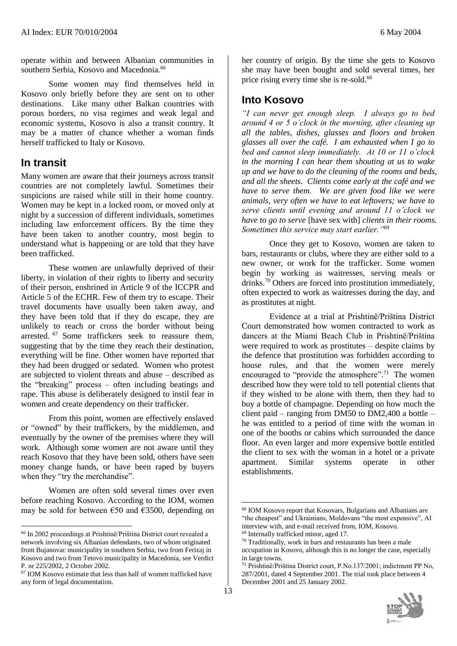operate within and between Albanian communities in southern Serbia, Kosovo and Macedonia.<sup>66</sup>

Some women may find themselves held in Kosovo only briefly before they are sent on to other destinations. Like many other Balkan countries with porous borders, no visa regimes and weak legal and economic systems, Kosovo is also a transit country. It may be a matter of chance whether a woman finds herself trafficked to Italy or Kosovo.

### **In transit**

 $\overline{a}$ 

Many women are aware that their journeys across transit countries are not completely lawful. Sometimes their suspicions are raised while still in their home country. Women may be kept in a locked room, or moved only at night by a succession of different individuals, sometimes including law enforcement officers. By the time they have been taken to another country, most begin to understand what is happening or are told that they have been trafficked.

These women are unlawfully deprived of their liberty, in violation of their rights to liberty and security of their person, enshrined in Article 9 of the ICCPR and Article 5 of the ECHR. Few of them try to escape. Their travel documents have usually been taken away, and they have been told that if they do escape, they are unlikely to reach or cross the border without being arrested. <sup>67</sup> Some traffickers seek to reassure them, suggesting that by the time they reach their destination, everything will be fine. Other women have reported that they had been drugged or sedated. Women who protest are subjected to violent threats and abuse – described as the "breaking" process – often including beatings and rape. This abuse is deliberately designed to instil fear in women and create dependency on their trafficker.

From this point, women are effectively enslaved or "owned" by their traffickers, by the middlemen, and eventually by the owner of the premises where they will work. Although some women are not aware until they reach Kosovo that they have been sold, others have seen money change hands, or have been raped by buyers when they "try the merchandise".

Women are often sold several times over even before reaching Kosovo. According to the IOM, women may be sold for between  $\epsilon$ 50 and  $\epsilon$ 3500, depending on her country of origin. By the time she gets to Kosovo she may have been bought and sold several times, her price rising every time she is re-sold.<sup>68</sup>

## **Into Kosovo**

*"I can never get enough sleep. I always go to bed around 4 or 5 o'clock in the morning, after cleaning up all the tables, dishes, glasses and floors and broken glasses all over the café. I am exhausted when I go to bed and cannot sleep immediately. At 10 or 11 o'clock in the morning I can hear them shouting at us to wake up and we have to do the cleaning of the rooms and beds, and all the sheets. Clients come early at the café and we have to serve them. We are given food like we were animals, very often we have to eat leftovers; we have to serve clients until evening and around 11 o'clock we have to go to serve* [have sex with] *clients in their rooms. Sometimes this service may start earlier."*<sup>69</sup>

Once they get to Kosovo, women are taken to bars, restaurants or clubs, where they are either sold to a new owner, or work for the trafficker. Some women begin by working as waitresses, serving meals or drinks.<sup>70</sup> Others are forced into prostitution immediately, often expected to work as waitresses during the day, and as prostitutes at night.

Evidence at a trial at Prishtinë/Priština District Court demonstrated how women contracted to work as dancers at the Miami Beach Club in Prishtinë/Priština were required to work as prostitutes – despite claims by the defence that prostitution was forbidden according to house rules, and that the women were merely encouraged to "provide the atmosphere".<sup>71</sup> The women described how they were told to tell potential clients that if they wished to be alone with them, then they had to buy a bottle of champagne. Depending on how much the client paid – ranging from DM50 to DM2,400 a bottle – he was entitled to a period of time with the woman in one of the booths or cabins which surrounded the dance floor. An even larger and more expensive bottle entitled the client to sex with the woman in a hotel or a private apartment. Similar systems operate in other establishments.

<sup>71</sup> Prishtinë/Priština District court, P.No.137/2001; indictment PP No, 287/2001, dated 4 September 2001. The trial took place between 4 December 2001 and 25 January 2002.



<sup>66</sup> In 2002 proceedings at Prishtinë/Priština District court revealed a network involving six Albanian defendants, two of whom originated from Bujanovac municipality in southern Serbia, two from Ferizaj in Kosovo and two from Tetovo municipality in Macedonia, see Verdict P. nr 225/2002, 2 October 2002.

<sup>67</sup> IOM Kosovo estimate that less than half of women trafficked have any form of legal documentation.

<sup>68</sup> IOM Kosovo report that Kosovars, Bulgarians and Albanians are "the cheapest" and Ukrainians, Moldovans "the most expensive", AI interview with, and e-mail received from, IOM, Kosovo. <sup>69</sup> Internally trafficked minor, aged 17.

<sup>70</sup> Traditionally, work in bars and restaurants has been a male occupation in Kosovo, although this is no longer the case, especially in large towns.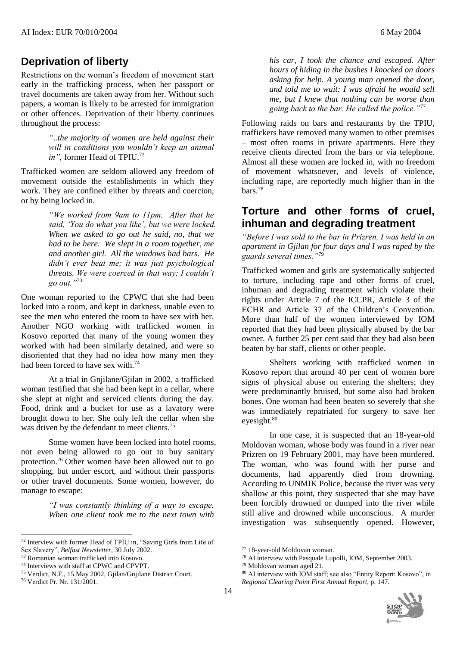#### **Deprivation of liberty**

Restrictions on the woman's freedom of movement start early in the trafficking process, when her passport or travel documents are taken away from her. Without such papers, a woman is likely to be arrested for immigration or other offences. Deprivation of their liberty continues throughout the process:

> *"..the majority of women are held against their will in conditions you wouldn't keep an animal in"*, former Head of TPIU.<sup>72</sup>

Trafficked women are seldom allowed any freedom of movement outside the establishments in which they work. They are confined either by threats and coercion, or by being locked in.

> *"We worked from 9am to 11pm. After that he said, 'You do what you like', but we were locked. When we asked to go out he said, no, that we had to be here. We slept in a room together, me and another girl. All the windows had bars. He didn't ever beat me; it was just psychological threats. We were coerced in that way; I couldn't go out."*<sup>73</sup>

One woman reported to the CPWC that she had been locked into a room, and kept in darkness, unable even to see the men who entered the room to have sex with her. Another NGO working with trafficked women in Kosovo reported that many of the young women they worked with had been similarly detained, and were so disoriented that they had no idea how many men they had been forced to have sex with <sup>74</sup>

At a trial in Gnjilane/Gjilan in 2002, a trafficked woman testified that she had been kept in a cellar, where she slept at night and serviced clients during the day. Food, drink and a bucket for use as a lavatory were brought down to her. She only left the cellar when she was driven by the defendant to meet clients.<sup>75</sup>

Some women have been locked into hotel rooms, not even being allowed to go out to buy sanitary protection.<sup>76</sup> Other women have been allowed out to go shopping, but under escort, and without their passports or other travel documents. Some women, however, do manage to escape:

> *"I was constantly thinking of a way to escape. When one client took me to the next town with*

l

*his car, I took the chance and escaped. After hours of hiding in the bushes I knocked on doors asking for help. A young man opened the door, and told me to wait: I was afraid he would sell me, but I knew that nothing can be worse than going back to the bar. He called the police."*<sup>77</sup>

Following raids on bars and restaurants by the TPIU, traffickers have removed many women to other premises – most often rooms in private apartments. Here they receive clients directed from the bars or via telephone. Almost all these women are locked in, with no freedom of movement whatsoever, and levels of violence, including rape, are reportedly much higher than in the bars.<sup>78</sup>

### **Torture and other forms of cruel, inhuman and degrading treatment**

*"Before I was sold to the bar in Prizren, I was held in an apartment in Gjilan for four days and I was raped by the guards several times."*<sup>79</sup>

Trafficked women and girls are systematically subjected to torture, including rape and other forms of cruel, inhuman and degrading treatment which violate their rights under Article 7 of the ICCPR, Article 3 of the ECHR and Article 37 of the Children's Convention. More than half of the women interviewed by IOM reported that they had been physically abused by the bar owner. A further 25 per cent said that they had also been beaten by bar staff, clients or other people.

Shelters working with trafficked women in Kosovo report that around 40 per cent of women bore signs of physical abuse on entering the shelters; they were predominantly bruised, but some also had broken bones. One woman had been beaten so severely that she was immediately repatriated for surgery to save her eyesight.<sup>80</sup>

In one case, it is suspected that an 18-year-old Moldovan woman, whose body was found in a river near Prizren on 19 February 2001, may have been murdered. The woman, who was found with her purse and documents, had apparently died from drowning. According to UNMIK Police, because the river was very shallow at this point, they suspected that she may have been forcibly drowned or dumped into the river while still alive and drowned while unconscious. A murder investigation was subsequently opened. However,

<sup>72</sup> Interview with former Head of TPIU in, "Saving Girls from Life of Sex Slavery", *Belfast Newsletter*, 30 July 2002.

<sup>73</sup> Romanian woman trafficked into Kosovo.

<sup>74</sup> Interviews with staff at CPWC and CPVPT.

<sup>75</sup> Verdict, N.F., 15 May 2002, Gjilan/Gnjilane District Court.

<sup>76</sup> Verdict Pr. Nr. 131/2001.

<sup>77</sup> 18-year-old Moldovan woman.

<sup>78</sup> AI interview with Pasquale Lupolli, IOM, September 2003.

<sup>79</sup> Moldovan woman aged 21.

<sup>80</sup> AI interview with IOM staff; see also "Entity Report: Kosovo"*,* in *Regional Clearing Point First Annual Report*, p. 147.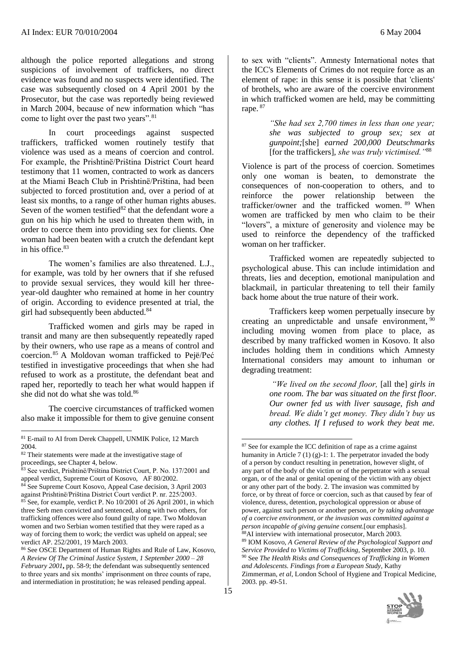although the police reported allegations and strong suspicions of involvement of traffickers, no direct evidence was found and no suspects were identified. The case was subsequently closed on 4 April 2001 by the Prosecutor, but the case was reportedly being reviewed in March 2004, because of new information which "has come to light over the past two years".<sup>81</sup>

In court proceedings against suspected traffickers, trafficked women routinely testify that violence was used as a means of coercion and control. For example, the Prishtinë/Priština District Court heard testimony that 11 women, contracted to work as dancers at the Miami Beach Club in Prishtinë/Priština, had been subjected to forced prostitution and, over a period of at least six months, to a range of other human rights abuses. Seven of the women testified $82$  that the defendant wore a gun on his hip which he used to threaten them with, in order to coerce them into providing sex for clients. One woman had been beaten with a crutch the defendant kept in his office.<sup>83</sup>

The women's families are also threatened. L.J., for example, was told by her owners that if she refused to provide sexual services, they would kill her threeyear-old daughter who remained at home in her country of origin. According to evidence presented at trial, the girl had subsequently been abducted.<sup>84</sup>

Trafficked women and girls may be raped in transit and many are then subsequently repeatedly raped by their owners, who use rape as a means of control and coercion.<sup>85</sup> A Moldovan woman trafficked to Pejë/Peć testified in investigative proceedings that when she had refused to work as a prostitute, the defendant beat and raped her, reportedly to teach her what would happen if she did not do what she was told.<sup>86</sup>

The coercive circumstances of trafficked women also make it impossible for them to give genuine consent

 $\overline{a}$ 

to sex with "clients". Amnesty International notes that the ICC's Elements of Crimes do not require force as an element of rape: in this sense it is possible that 'clients' of brothels, who are aware of the coercive environment in which trafficked women are held, may be committing rape. <sup>87</sup>

> *"She had sex 2,700 times in less than one year; she was subjected to group sex; sex at gunpoint;*[she] *earned 200,000 Deutschmarks*  [for the traffickers]*, she was truly victimised."*<sup>88</sup>

Violence is part of the process of coercion. Sometimes only one woman is beaten, to demonstrate the consequences of non-cooperation to others, and to reinforce the power relationship between the trafficker/owner and the trafficked women. <sup>89</sup> When women are trafficked by men who claim to be their "lovers", a mixture of generosity and violence may be used to reinforce the dependency of the trafficked woman on her trafficker.

Trafficked women are repeatedly subjected to psychological abuse. This can include intimidation and threats, lies and deception, emotional manipulation and blackmail, in particular threatening to tell their family back home about the true nature of their work.

Traffickers keep women perpetually insecure by creating an unpredictable and unsafe environment, <sup>90</sup> including moving women from place to place, as described by many trafficked women in Kosovo. It also includes holding them in conditions which Amnesty International considers may amount to inhuman or degrading treatment:

> *"We lived on the second floor,* [all the] *girls in one room. The bar was situated on the first floor. Our owner fed us with liver sausage, fish and bread. We didn't get money. They didn't buy us any clothes. If I refused to work they beat me.*

<sup>87</sup> See for example the ICC definition of rape as a crime against humanity in Article 7 (1) (g)-1: 1. The perpetrator invaded the body of a person by conduct resulting in penetration, however slight, of any part of the body of the victim or of the perpetrator with a sexual organ, or of the anal or genital opening of the victim with any object or any other part of the body. 2. The invasion was committed by force, or by threat of force or coercion, such as that caused by fear of violence, duress, detention, psychological oppression or abuse of power, against such person or another person*, or by taking advantage of a coercive environment, or the invasion was committed against a person incapable of giving genuine consent.*[our emphasis]. <sup>88</sup>AI interview with international prosecutor, March 2003. <sup>89</sup> IOM Kosovo, *A General Review of the Psychological Support and Service Provided to Victims of Trafficking*, September 2003, p. 10. <sup>90</sup> See *The Health Risks and Consequences of Trafficking in Women and Adolescents. Findings from a European Study,* Kathy Zimmerman, *et al*, London School of Hygiene and Tropical Medicine, 2003. pp. 49-51.



<sup>&</sup>lt;sup>81</sup> E-mail to AI from Derek Chappell, UNMIK Police, 12 March 2004.

<sup>82</sup> Their statements were made at the investigative stage of proceedings, see Chapter 4, below.

<sup>83</sup> See verdict, Prishtinë/Priština District Court, P. No. 137/2001 and appeal verdict, Supreme Court of Kosovo, AF 80/2002.

<sup>84</sup> See Supreme Court Kosovo, Appeal Case decision, 3 April 2003 against Prishtinë/Priština District Court verdict P. nr. 225/2003. <sup>85</sup> See, for example, verdict P. No 10/2001 of 26 April 2001, in which three Serb men convicted and sentenced, along with two others, for trafficking offences were also found guilty of rape. Two Moldovan women and two Serbian women testified that they were raped as a way of forcing them to work; the verdict was upheld on appeal; see verdict AP. 252/2001, 19 March 2003.

<sup>86</sup> See OSCE Department of Human Rights and Rule of Law, Kosovo, *A Review Of The Criminal Justice System, 1 September 2000 – 28 February 2001***,** pp. 58-9; the defendant was subsequently sentenced to three years and six months' imprisonment on three counts of rape, and intermediation in prostitution; he was released pending appeal.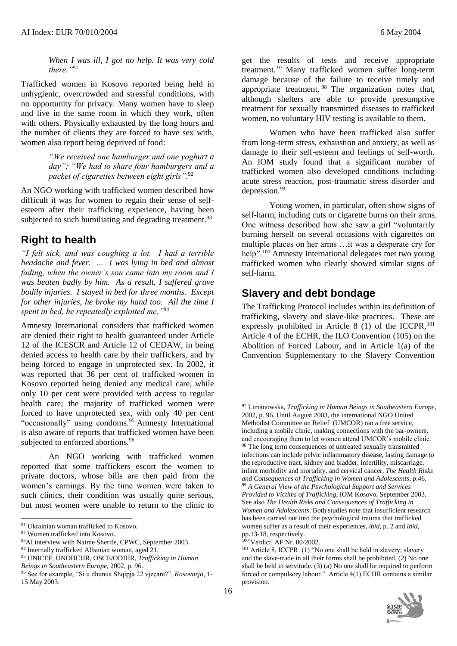*When I was ill, I got no help. It was very cold there."*<sup>91</sup>

Trafficked women in Kosovo reported being held in unhygienic, overcrowded and stressful conditions, with no opportunity for privacy. Many women have to sleep and live in the same room in which they work, often with others. Physically exhausted by the long hours and the number of clients they are forced to have sex with, women also report being deprived of food:

> *"We received one hamburger and one yoghurt a day"; "We had to share four hamburgers and a packet of cigarettes between eight girls"*. 92

An NGO working with trafficked women described how difficult it was for women to regain their sense of selfesteem after their trafficking experience, having been subjected to such humiliating and degrading treatment.<sup>93</sup>

### **Right to health**

*"I felt sick, and was coughing a lot. I had a terrible headache and fever. ... I was lying in bed and almost fading, when the owner's son came into my room and I was beaten badly by him. As a result, I suffered grave bodily injuries. I stayed in bed for three months. Except for other injuries, he broke my hand too. All the time I spent in bed, he repeatedly exploited me."*<sup>94</sup>

Amnesty International considers that trafficked women are denied their right to health guaranteed under Article 12 of the ICESCR and Article 12 of CEDAW, in being denied access to health care by their traffickers, and by being forced to engage in unprotected sex. In 2002, it was reported that 36 per cent of trafficked women in Kosovo reported being denied any medical care, while only 10 per cent were provided with access to regular health care; the majority of trafficked women were forced to have unprotected sex, with only 40 per cent "occasionally" using condoms.<sup>95</sup> Amnesty International is also aware of reports that trafficked women have been subjected to enforced abortions.<sup>96</sup>

An NGO working with trafficked women reported that some traffickers escort the women to private doctors, whose bills are then paid from the women's earnings. By the time women were taken to such clinics, their condition was usually quite serious, but most women were unable to return to the clinic to

l

get the results of tests and receive appropriate treatment. <sup>97</sup> Many trafficked women suffer long-term damage because of the failure to receive timely and appropriate treatment. <sup>98</sup> The organization notes that, although shelters are able to provide presumptive treatment for sexually transmitted diseases to trafficked women, no voluntary HIV testing is available to them.

Women who have been trafficked also suffer from long-term stress, exhaustion and anxiety, as well as damage to their self-esteem and feelings of self-worth. An IOM study found that a significant number of trafficked women also developed conditions including acute stress reaction, post-traumatic stress disorder and depression. 99

Young women, in particular, often show signs of self-harm, including cuts or cigarette burns on their arms. One witness described how she saw a girl "voluntarily burning herself on several occasions with cigarettes on multiple places on her arms …it was a desperate cry for help".<sup>100</sup> Amnesty International delegates met two young trafficked women who clearly showed similar signs of self-harm.

#### **Slavery and debt bondage**

The Trafficking Protocol includes within its definition of trafficking, slavery and slave-like practices. These are expressly prohibited in Article  $8(1)$  of the ICCPR,<sup>101</sup> Article 4 of the ECHR, the ILO Convention (105) on the Abolition of Forced Labour, and in Article 1(a) of the Convention Supplementary to the Slavery Convention

<sup>&</sup>lt;sup>101</sup> Article 8, ICCPR: (1) "No one shall be held in slavery; slavery and the slave-trade in all their forms shall be prohibited. (2) No one shall be held in servitude. (3) (a) No one shall be required to perform forced or compulsory labour." Article 4(1) ECHR contains a similar provision.



<sup>91</sup> Ukrainian woman trafficked to Kosovo.

<sup>92</sup> Women trafficked into Kosovo.

<sup>93</sup>AI interview with Naime Sherife, CPWC, September 2003.

<sup>94</sup> Internally trafficked Albanian woman, aged 21.

<sup>95</sup> UNICEF, UNOHCHR, OSCE/ODIHR, *Trafficking in Human Beings in Southeastern Europe*, 2002, p. 96.

<sup>96</sup> See for example, "Si u dhunua Shqipja 22 vjeçare?", *Kosovarja*, 1- 15 May 2003.

<sup>97</sup> Limanowska, *Trafficking in Human Beings in Southeastern Europe*, 2002, p. 96. Until August 2003, the international NGO United Methodist Committee on Relief (UMCOR) ran a free service, including a mobile clinic, making connections with the bar-owners, and encouraging them to let women attend UMCOR's mobile clinic.  $98$  The long term consequences of untreated sexually transmitted infections can include pelvic inflammatory disease, lasting damage to the reproductive tract, kidney and bladder, infertility, miscarriage, infant morbidity and mortality, and cervical cancer, *The Health Risks and Consequences of Trafficking in Women and Adolescents*, p.46. <sup>99</sup> *A General View of the Psychological Support and Services Provided to Victims of Trafficking*, IOM Kosovo, September 2003. See also *The Health Risks and Consequences of Trafficking in Women and Adolescents*. Both studies note that insufficient research has been carried out into the psychological trauma that trafficked women suffer as a result of their experiences, *ibid*, p. 2 and *ibid*, pp.13-18, respectively.

<sup>100</sup> Verdict, AF Nr. 80/2002.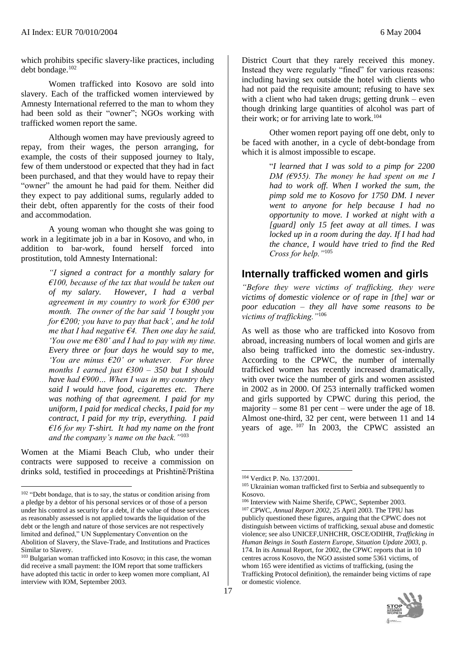which prohibits specific slavery-like practices, including debt bondage.<sup>102</sup>

Women trafficked into Kosovo are sold into slavery. Each of the trafficked women interviewed by Amnesty International referred to the man to whom they had been sold as their "owner"; NGOs working with trafficked women report the same.

Although women may have previously agreed to repay, from their wages, the person arranging, for example, the costs of their supposed journey to Italy, few of them understood or expected that they had in fact been purchased, and that they would have to repay their "owner" the amount he had paid for them. Neither did they expect to pay additional sums, regularly added to their debt, often apparently for the costs of their food and accommodation.

A young woman who thought she was going to work in a legitimate job in a bar in Kosovo, and who, in addition to bar-work, found herself forced into prostitution, told Amnesty International:

> *"I signed a contract for a monthly salary for €100, because of the tax that would be taken out of my salary. However, I had a verbal agreement in my country to work for €300 per month. The owner of the bar said 'I bought you for €200; you have to pay that back', and he told me that I had negative €4. Then one day he said, 'You owe me €80' and I had to pay with my time. Every three or four days he would say to me, 'You are minus €20' or whatever. For three months I earned just €300 – 350 but I should have had €900… When I was in my country they said I would have food, cigarettes etc. There was nothing of that agreement. I paid for my uniform, I paid for medical checks, I paid for my contract, I paid for my trip, everything. I paid €16 for my T-shirt. It had my name on the front and the company's name on the back."*<sup>103</sup>

Women at the Miami Beach Club, who under their contracts were supposed to receive a commission on drinks sold, testified in proceedings at Prishtinë/Priština

 $\overline{a}$ 

District Court that they rarely received this money. Instead they were regularly "fined" for various reasons: including having sex outside the hotel with clients who had not paid the requisite amount; refusing to have sex with a client who had taken drugs; getting drunk – even though drinking large quantities of alcohol was part of their work; or for arriving late to work.<sup>104</sup>

Other women report paying off one debt, only to be faced with another, in a cycle of debt-bondage from which it is almost impossible to escape.

> "*I learned that I was sold to a pimp for 2200 DM (€955). The money he had spent on me I had to work off. When I worked the sum, the pimp sold me to Kosovo for 1750 DM. I never went to anyone for help because I had no opportunity to move. I worked at night with a [guard] only 15 feet away at all times. I was locked up in a room during the day. If I had had the chance, I would have tried to find the Red Cross for help."*<sup>105</sup>

### **Internally trafficked women and girls**

*"Before they were victims of trafficking, they were victims of domestic violence or of rape in [the] war or poor education – they all have some reasons to be victims of trafficking."*<sup>106</sup>

As well as those who are trafficked into Kosovo from abroad, increasing numbers of local women and girls are also being trafficked into the domestic sex-industry. According to the CPWC, the number of internally trafficked women has recently increased dramatically, with over twice the number of girls and women assisted in 2002 as in 2000. Of 253 internally trafficked women and girls supported by CPWC during this period, the majority – some 81 per cent – were under the age of 18. Almost one-third, 32 per cent, were between 11 and 14 years of age. <sup>107</sup> In 2003, the CPWC assisted an

<sup>106</sup> Interview with Naime Sherife, CPWC, September 2003. <sup>107</sup> CPWC, *Annual Report 2002*, 25 April 2003. The TPIU has publicly questioned these figures, arguing that the CPWC does not distinguish between victims of trafficking, sexual abuse and domestic violence; see also UNICEF,UNHCHR, OSCE/ODIHR, *Trafficking in Human Beings in South Eastern Europe, Situation Update 2003*, p. 174. In its Annual Report, for 2002, the CPWC reports that in 10 centres across Kosovo, the NGO assisted some 5361 victims, of whom 165 were identified as victims of trafficking, (using the Trafficking Protocol definition), the remainder being victims of rape or domestic violence.



<sup>102</sup> "Debt bondage, that is to say, the status or condition arising from a pledge by a debtor of his personal services or of those of a person under his control as security for a debt, if the value of those services as reasonably assessed is not applied towards the liquidation of the debt or the length and nature of those services are not respectively limited and defined," UN Supplementary Convention on the Abolition of Slavery, the Slave-Trade, and Institutions and Practices Similar to Slavery.

<sup>103</sup> Bulgarian woman trafficked into Kosovo; in this case, the woman did receive a small payment: the IOM report that some traffickers have adopted this tactic in order to keep women more compliant, AI interview with IOM, September 2003.

<sup>104</sup> Verdict P. No. 137/2001.

<sup>&</sup>lt;sup>105</sup> Ukrainian woman trafficked first to Serbia and subsequently to Kosovo.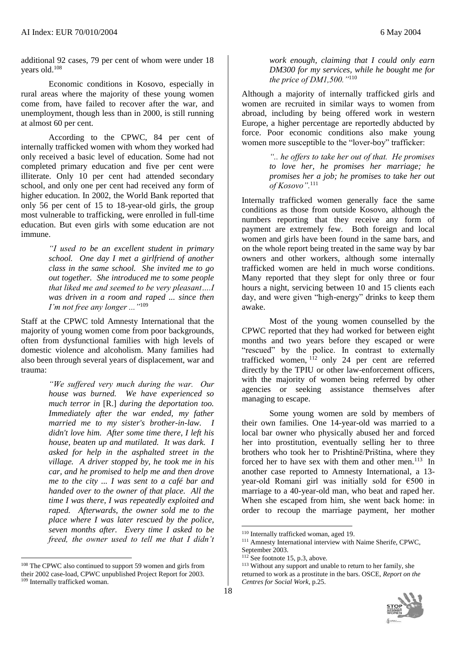additional 92 cases, 79 per cent of whom were under 18 years old.<sup>108</sup>

Economic conditions in Kosovo, especially in rural areas where the majority of these young women come from, have failed to recover after the war, and unemployment, though less than in 2000, is still running at almost 60 per cent.

According to the CPWC, 84 per cent of internally trafficked women with whom they worked had only received a basic level of education. Some had not completed primary education and five per cent were illiterate. Only 10 per cent had attended secondary school, and only one per cent had received any form of higher education. In 2002, the World Bank reported that only 56 per cent of 15 to 18-year-old girls, the group most vulnerable to trafficking, were enrolled in full-time education. But even girls with some education are not immune.

> *"I used to be an excellent student in primary school. One day I met a girlfriend of another class in the same school. She invited me to go out together. She introduced me to some people that liked me and seemed to be very pleasant….I was driven in a room and raped ... since then I'm not free any longer ..."*<sup>109</sup>

Staff at the CPWC told Amnesty International that the majority of young women come from poor backgrounds, often from dysfunctional families with high levels of domestic violence and alcoholism. Many families had also been through several years of displacement, war and trauma:

> *"We suffered very much during the war. Our house was burned. We have experienced so much terror in* [R.] *during the deportation too. Immediately after the war ended, my father married me to my sister's brother-in-law. I didn't love him. After some time there, I left his house, beaten up and mutilated. It was dark. I asked for help in the asphalted street in the village. A driver stopped by, he took me in his car, and he promised to help me and then drove me to the city ... I was sent to a café bar and handed over to the owner of that place. All the time I was there, I was repeatedly exploited and raped. Afterwards, the owner sold me to the place where I was later rescued by the police, seven months after. Every time I asked to be freed, the owner used to tell me that I didn't*

l

*work enough, claiming that I could only earn DM300 for my services, while he bought me for the price of DM1,500."*<sup>110</sup>

Although a majority of internally trafficked girls and women are recruited in similar ways to women from abroad, including by being offered work in western Europe, a higher percentage are reportedly abducted by force. Poor economic conditions also make young women more susceptible to the "lover-boy" trafficker:

> *".. he offers to take her out of that. He promises to love her, he promises her marriage; he promises her a job; he promises to take her out of Kosovo".*<sup>111</sup>

Internally trafficked women generally face the same conditions as those from outside Kosovo, although the numbers reporting that they receive any form of payment are extremely few. Both foreign and local women and girls have been found in the same bars, and on the whole report being treated in the same way by bar owners and other workers, although some internally trafficked women are held in much worse conditions. Many reported that they slept for only three or four hours a night, servicing between 10 and 15 clients each day, and were given "high-energy" drinks to keep them awake.

Most of the young women counselled by the CPWC reported that they had worked for between eight months and two years before they escaped or were "rescued" by the police. In contrast to externally trafficked women,  $1\overline{1}2$  only 24 per cent are referred directly by the TPIU or other law-enforcement officers, with the majority of women being referred by other agencies or seeking assistance themselves after managing to escape.

Some young women are sold by members of their own families. One 14-year-old was married to a local bar owner who physically abused her and forced her into prostitution, eventually selling her to three brothers who took her to Prishtinë/Priština, where they forced her to have sex with them and other men.<sup>113</sup> In another case reported to Amnesty International, a 13 year-old Romani girl was initially sold for €500 in marriage to a 40-year-old man, who beat and raped her. When she escaped from him, she went back home: in order to recoup the marriage payment, her mother

<sup>113</sup> Without any support and unable to return to her family, she returned to work as a prostitute in the bars. OSCE, *Report on the Centres for Social Work*, p.25.



<sup>108</sup> The CPWC also continued to support 59 women and girls from their 2002 case-load, CPWC unpublished Project Report for 2003. <sup>109</sup> Internally trafficked woman.

<sup>110</sup> Internally trafficked woman, aged 19.

<sup>&</sup>lt;sup>111</sup> Amnesty International interview with Naime Sherife, CPWC, September 2003.

 $112$  See footnote 15, p.3, above.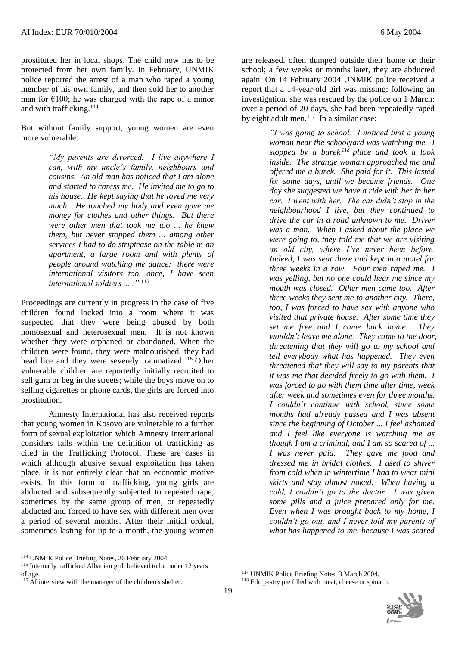prostituted her in local shops. The child now has to be protected from her own family. In February, UNMIK police reported the arrest of a man who raped a young member of his own family, and then sold her to another man for  $\epsilon$ 100; he was charged with the rape of a minor and with trafficking.<sup>114</sup>

But without family support, young women are even more vulnerable:

> *"My parents are divorced. I live anywhere I can, with my uncle's family, neighbours and cousins. An old man has noticed that I am alone and started to caress me. He invited me to go to his house. He kept saying that he loved me very much. He touched my body and even gave me money for clothes and other things. But there were other men that took me too ... he knew them, but never stopped them ... among other services I had to do striptease on the table in an apartment, a large room and with plenty of people around watching me dance; there were international visitors too, once, I have seen international soldiers ... ."* <sup>115</sup>

Proceedings are currently in progress in the case of five children found locked into a room where it was suspected that they were being abused by both homosexual and heterosexual men. It is not known whether they were orphaned or abandoned. When the children were found, they were malnourished, they had head lice and they were severely traumatized.<sup>116</sup> Other vulnerable children are reportedly initially recruited to sell gum or beg in the streets; while the boys move on to selling cigarettes or phone cards, the girls are forced into prostitution.

Amnesty International has also received reports that young women in Kosovo are vulnerable to a further form of sexual exploitation which Amnesty International considers falls within the definition of trafficking as cited in the Trafficking Protocol. These are cases in which although abusive sexual exploitation has taken place, it is not entirely clear that an economic motive exists. In this form of trafficking, young girls are abducted and subsequently subjected to repeated rape, sometimes by the same group of men, or repeatedly abducted and forced to have sex with different men over a period of several months. After their initial ordeal, sometimes lasting for up to a month, the young women

 $\overline{a}$ 

are released, often dumped outside their home or their school; a few weeks or months later, they are abducted again. On 14 February 2004 UNMIK police received a report that a 14-year-old girl was missing; following an investigation, she was rescued by the police on 1 March: over a period of 20 days, she had been repeatedly raped by eight adult men. $117$  In a similar case:

> *"I was going to school. I noticed that a young woman near the schoolyard was watching me. I stopped by a burek <sup>118</sup> place and took a look inside. The strange woman approached me and offered me a burek. She paid for it. This lasted for some days, until we became friends. One day she suggested we have a ride with her in her car. I went with her. The car didn't stop in the neighbourhood I live, but they continued to drive the car in a road unknown to me. Driver was a man. When I asked about the place we were going to, they told me that we are visiting an old city, where I've never been before. Indeed, I was sent there and kept in a motel for three weeks in a row. Four men raped me. I was yelling, but no one could hear me since my mouth was closed. Other men came too. After three weeks they sent me to another city. There, too, I was forced to have sex with anyone who visited that private house. After some time they set me free and I came back home. They wouldn't leave me alone. They came to the door, threatening that they will go to my school and tell everybody what has happened. They even threatened that they will say to my parents that it was me that decided freely to go with them. I was forced to go with them time after time, week after week and sometimes even for three months. I couldn't continue with school, since some months had already passed and I was absent since the beginning of October ... I feel ashamed and I feel like everyone is watching me as though I am a criminal, and I am so scared of ... I was never paid. They gave me food and dressed me in bridal clothes. I used to shiver from cold when in wintertime I had to wear mini skirts and stay almost naked. When having a cold, I couldn't go to the doctor. I was given some pills and a juice prepared only for me. Even when I was brought back to my home, I couldn't go out, and I never told my parents of what has happened to me, because I was scared*

<sup>118</sup> Filo pastry pie filled with meat, cheese or spinach.



<sup>114</sup> UNMIK Police Briefing Notes, 26 February 2004.

<sup>115</sup> Internally trafficked Albanian girl, believed to be under 12 years of age.

<sup>&</sup>lt;sup>116</sup> AI interview with the manager of the children's shelter.

<sup>117</sup> UNMIK Police Briefing Notes, 3 March 2004.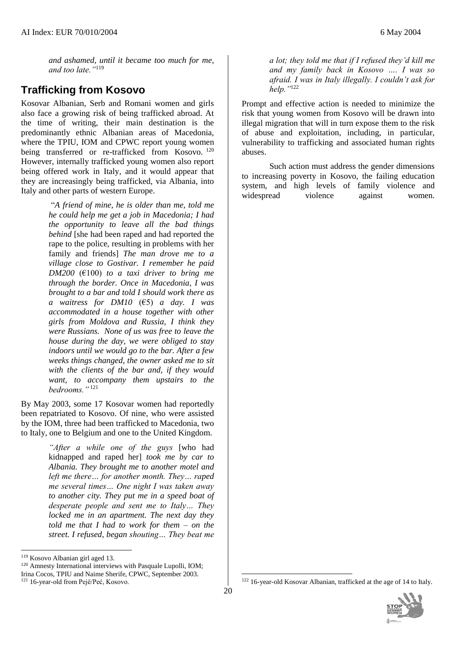*and ashamed, until it became too much for me, and too late."*<sup>119</sup>

## **Trafficking from Kosovo**

Kosovar Albanian, Serb and Romani women and girls also face a growing risk of being trafficked abroad. At the time of writing, their main destination is the predominantly ethnic Albanian areas of Macedonia, where the TPIU, IOM and CPWC report young women being transferred or re-trafficked from Kosovo.<sup>120</sup> However, internally trafficked young women also report being offered work in Italy, and it would appear that they are increasingly being trafficked, via Albania, into Italy and other parts of western Europe.

> "*A friend of mine, he is older than me, told me he could help me get a job in Macedonia; I had the opportunity to leave all the bad things behind* [she had been raped and had reported the rape to the police, resulting in problems with her family and friends] *The man drove me to a village close to Gostivar. I remember he paid DM200*  $(F100)$  *to a taxi driver to bring me through the border. Once in Macedonia, I was brought to a bar and told I should work there as a waitress for DM10* (€5) *a day. I was accommodated in a house together with other girls from Moldova and Russia, I think they were Russians. None of us was free to leave the house during the day, we were obliged to stay indoors until we would go to the bar. After a few weeks things changed, the owner asked me to sit with the clients of the bar and, if they would want, to accompany them upstairs to the bedrooms."* <sup>121</sup>

By May 2003, some 17 Kosovar women had reportedly been repatriated to Kosovo. Of nine, who were assisted by the IOM, three had been trafficked to Macedonia, two to Italy, one to Belgium and one to the United Kingdom.

> *"After a while one of the guys* [who had kidnapped and raped her] *took me by car to Albania. They brought me to another motel and left me there… for another month. They… raped me several times… One night I was taken away to another city. They put me in a speed boat of desperate people and sent me to Italy… They locked me in an apartment. The next day they told me that I had to work for them – on the street. I refused, began shouting… They beat me*

 $\overline{a}$ 

<sup>120</sup> Amnesty International interviews with Pasquale Lupolli, IOM; Irina Cocos, TPIU and Naime Sherife, CPWC, September 2003. <sup>121</sup> 16-year-old from Pejë/Peć, Kosovo.

*a lot; they told me that if I refused they'd kill me and my family back in Kosovo …. I was so afraid. I was in Italy illegally. I couldn't ask for help."*<sup>122</sup>

Prompt and effective action is needed to minimize the risk that young women from Kosovo will be drawn into illegal migration that will in turn expose them to the risk of abuse and exploitation, including, in particular, vulnerability to trafficking and associated human rights abuses.

Such action must address the gender dimensions to increasing poverty in Kosovo, the failing education system, and high levels of family violence and widespread violence against women.

<sup>119</sup> Kosovo Albanian girl aged 13.

<sup>122</sup> 16-year-old Kosovar Albanian, trafficked at the age of 14 to Italy.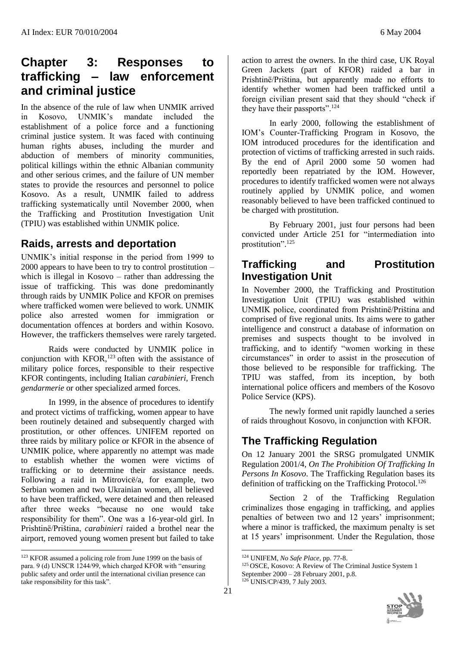# **Chapter 3: Responses to trafficking – law enforcement and criminal justice**

In the absence of the rule of law when UNMIK arrived in Kosovo, UNMIK's mandate included the establishment of a police force and a functioning criminal justice system. It was faced with continuing human rights abuses, including the murder and abduction of members of minority communities, political killings within the ethnic Albanian community and other serious crimes, and the failure of UN member states to provide the resources and personnel to police Kosovo. As a result, UNMIK failed to address trafficking systematically until November 2000, when the Trafficking and Prostitution Investigation Unit (TPIU) was established within UNMIK police.

## **Raids, arrests and deportation**

UNMIK's initial response in the period from 1999 to 2000 appears to have been to try to control prostitution – which is illegal in Kosovo – rather than addressing the issue of trafficking. This was done predominantly through raids by UNMIK Police and KFOR on premises where trafficked women were believed to work. UNMIK police also arrested women for immigration or documentation offences at borders and within Kosovo. However, the traffickers themselves were rarely targeted.

Raids were conducted by UNMIK police in conjunction with  $KFOR$ ,<sup>123</sup> often with the assistance of military police forces, responsible to their respective KFOR contingents, including Italian *carabinieri,* French *gendarmerie* or other specialized armed forces.

In 1999, in the absence of procedures to identify and protect victims of trafficking, women appear to have been routinely detained and subsequently charged with prostitution, or other offences. UNIFEM reported on three raids by military police or KFOR in the absence of UNMIK police, where apparently no attempt was made to establish whether the women were victims of trafficking or to determine their assistance needs. Following a raid in Mitrovicë/a, for example, two Serbian women and two Ukrainian women, all believed to have been trafficked, were detained and then released after three weeks "because no one would take responsibility for them". One was a 16-year-old girl. In Prishtinë/Priština, *carabinieri* raided a brothel near the airport, removed young women present but failed to take

 $\overline{a}$ 

action to arrest the owners. In the third case, UK Royal Green Jackets (part of KFOR) raided a bar in Prishtinë/Priština, but apparently made no efforts to identify whether women had been trafficked until a foreign civilian present said that they should "check if they have their passports".<sup>124</sup>

In early 2000, following the establishment of IOM's Counter-Trafficking Program in Kosovo, the IOM introduced procedures for the identification and protection of victims of trafficking arrested in such raids. By the end of April 2000 some 50 women had reportedly been repatriated by the IOM. However, procedures to identify trafficked women were not always routinely applied by UNMIK police, and women reasonably believed to have been trafficked continued to be charged with prostitution.

By February 2001, just four persons had been convicted under Article 251 for "intermediation into prostitution". 125

## **Trafficking and Prostitution Investigation Unit**

In November 2000, the Trafficking and Prostitution Investigation Unit (TPIU) was established within UNMIK police, coordinated from Prishtinë/Priština and comprised of five regional units. Its aims were to gather intelligence and construct a database of information on premises and suspects thought to be involved in trafficking, and to identify "women working in these circumstances" in order to assist in the prosecution of those believed to be responsible for trafficking. The TPIU was staffed, from its inception, by both international police officers and members of the Kosovo Police Service (KPS).

The newly formed unit rapidly launched a series of raids throughout Kosovo, in conjunction with KFOR.

# **The Trafficking Regulation**

On 12 January 2001 the SRSG promulgated UNMIK Regulation 2001/4, *On The Prohibition Of Trafficking In Persons In Kosovo*. The Trafficking Regulation bases its definition of trafficking on the Trafficking Protocol.<sup>126</sup>

Section 2 of the Trafficking Regulation criminalizes those engaging in trafficking, and applies penalties of between two and 12 years' imprisonment; where a minor is trafficked, the maximum penalty is set at 15 years' imprisonment. Under the Regulation, those

<sup>&</sup>lt;sup>123</sup> KFOR assumed a policing role from June 1999 on the basis of para. 9 (d) UNSCR 1244/99, which charged KFOR with "ensuring public safety and order until the international civilian presence can take responsibility for this task".

<sup>124</sup> UNIFEM, *No Safe Place*, pp. 77-8.

<sup>125</sup> OSCE, Kosovo: A Review of The Criminal Justice System 1 September 2000 – 28 February 2001, p.8. <sup>126</sup> UNIS/CP/439, 7 July 2003.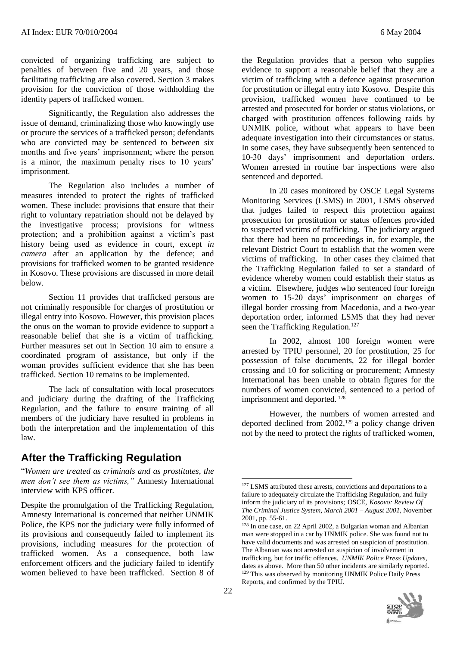convicted of organizing trafficking are subject to penalties of between five and 20 years, and those facilitating trafficking are also covered. Section 3 makes provision for the conviction of those withholding the identity papers of trafficked women.

Significantly, the Regulation also addresses the issue of demand, criminalizing those who knowingly use or procure the services of a trafficked person; defendants who are convicted may be sentenced to between six months and five years' imprisonment; where the person is a minor, the maximum penalty rises to 10 years' imprisonment.

The Regulation also includes a number of measures intended to protect the rights of trafficked women. These include: provisions that ensure that their right to voluntary repatriation should not be delayed by the investigative process; provisions for witness protection; and a prohibition against a victim's past history being used as evidence in court, except *in camera* after an application by the defence; and provisions for trafficked women to be granted residence in Kosovo. These provisions are discussed in more detail below.

Section 11 provides that trafficked persons are not criminally responsible for charges of prostitution or illegal entry into Kosovo. However, this provision places the onus on the woman to provide evidence to support a reasonable belief that she is a victim of trafficking. Further measures set out in Section 10 aim to ensure a coordinated program of assistance, but only if the woman provides sufficient evidence that she has been trafficked. Section 10 remains to be implemented.

The lack of consultation with local prosecutors and judiciary during the drafting of the Trafficking Regulation, and the failure to ensure training of all members of the judiciary have resulted in problems in both the interpretation and the implementation of this law.

### **After the Trafficking Regulation**

"*Women are treated as criminals and as prostitutes, the men don't see them as victims,"* Amnesty International interview with KPS officer.

Despite the promulgation of the Trafficking Regulation, Amnesty International is concerned that neither UNMIK Police, the KPS nor the judiciary were fully informed of its provisions and consequently failed to implement its provisions, including measures for the protection of trafficked women. As a consequence, both law enforcement officers and the judiciary failed to identify women believed to have been trafficked. Section 8 of

the Regulation provides that a person who supplies evidence to support a reasonable belief that they are a victim of trafficking with a defence against prosecution for prostitution or illegal entry into Kosovo. Despite this provision, trafficked women have continued to be arrested and prosecuted for border or status violations, or charged with prostitution offences following raids by UNMIK police, without what appears to have been adequate investigation into their circumstances or status. In some cases, they have subsequently been sentenced to 10-30 days' imprisonment and deportation orders. Women arrested in routine bar inspections were also sentenced and deported.

In 20 cases monitored by OSCE Legal Systems Monitoring Services (LSMS) in 2001, LSMS observed that judges failed to respect this protection against prosecution for prostitution or status offences provided to suspected victims of trafficking. The judiciary argued that there had been no proceedings in, for example, the relevant District Court to establish that the women were victims of trafficking. In other cases they claimed that the Trafficking Regulation failed to set a standard of evidence whereby women could establish their status as a victim. Elsewhere, judges who sentenced four foreign women to 15-20 days' imprisonment on charges of illegal border crossing from Macedonia, and a two-year deportation order, informed LSMS that they had never seen the Trafficking Regulation.<sup>127</sup>

In 2002, almost 100 foreign women were arrested by TPIU personnel, 20 for prostitution, 25 for possession of false documents, 22 for illegal border crossing and 10 for soliciting or procurement; Amnesty International has been unable to obtain figures for the numbers of women convicted, sentenced to a period of imprisonment and deported.<sup>128</sup>

However, the numbers of women arrested and deported declined from 2002,<sup>129</sup> a policy change driven not by the need to protect the rights of trafficked women,

<sup>128</sup> In one case, on 22 April 2002, a Bulgarian woman and Albanian man were stopped in a car by UNMIK police. She was found not to have valid documents and was arrested on suspicion of prostitution. The Albanian was not arrested on suspicion of involvement in trafficking, but for traffic offences. *UNMIK Police Press Updates*, dates as above. More than 50 other incidents are similarly reported. <sup>129</sup> This was observed by monitoring UNMIK Police Daily Press Reports, and confirmed by the TPIU.



<sup>&</sup>lt;sup>127</sup> LSMS attributed these arrests, convictions and deportations to a failure to adequately circulate the Trafficking Regulation, and fully inform the judiciary of its provisions; OSCE, *Kosovo: Review Of The Criminal Justice System, March 2001 – August 2001,* November 2001, pp. 55-61.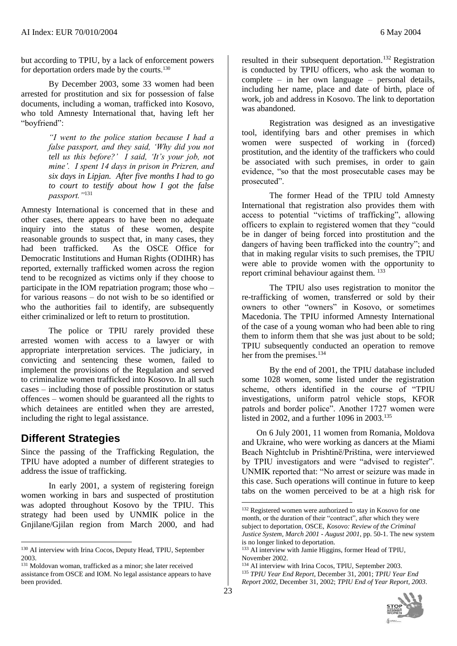but according to TPIU, by a lack of enforcement powers for deportation orders made by the courts. 130

By December 2003, some 33 women had been arrested for prostitution and six for possession of false documents, including a woman, trafficked into Kosovo, who told Amnesty International that, having left her "boyfriend":

> *"I went to the police station because I had a false passport, and they said, 'Why did you not tell us this before?' I said, 'It's your job, not mine'. I spent 14 days in prison in Prizren, and six days in Lipjan. After five months I had to go to court to testify about how I got the false passport."*<sup>131</sup>

Amnesty International is concerned that in these and other cases, there appears to have been no adequate inquiry into the status of these women, despite reasonable grounds to suspect that, in many cases, they had been trafficked. As the OSCE Office for Democratic Institutions and Human Rights (ODIHR) has reported, externally trafficked women across the region tend to be recognized as victims only if they choose to participate in the IOM repatriation program; those who – for various reasons – do not wish to be so identified or who the authorities fail to identify, are subsequently either criminalized or left to return to prostitution.

The police or TPIU rarely provided these arrested women with access to a lawyer or with appropriate interpretation services. The judiciary, in convicting and sentencing these women, failed to implement the provisions of the Regulation and served to criminalize women trafficked into Kosovo. In all such cases – including those of possible prostitution or status offences – women should be guaranteed all the rights to which detainees are entitled when they are arrested, including the right to legal assistance.

### **Different Strategies**

l

Since the passing of the Trafficking Regulation, the TPIU have adopted a number of different strategies to address the issue of trafficking.

In early 2001, a system of registering foreign women working in bars and suspected of prostitution was adopted throughout Kosovo by the TPIU. This strategy had been used by UNMIK police in the Gnjilane/Gjilan region from March 2000, and had resulted in their subsequent deportation.<sup>132</sup> Registration is conducted by TPIU officers, who ask the woman to complete – in her own language – personal details, including her name, place and date of birth, place of work, job and address in Kosovo. The link to deportation was abandoned.

Registration was designed as an investigative tool, identifying bars and other premises in which women were suspected of working in (forced) prostitution, and the identity of the traffickers who could be associated with such premises, in order to gain evidence, "so that the most prosecutable cases may be prosecuted".

The former Head of the TPIU told Amnesty International that registration also provides them with access to potential "victims of trafficking", allowing officers to explain to registered women that they "could be in danger of being forced into prostitution and the dangers of having been trafficked into the country"; and that in making regular visits to such premises, the TPIU were able to provide women with the opportunity to report criminal behaviour against them.  $133$ 

The TPIU also uses registration to monitor the re-trafficking of women, transferred or sold by their owners to other "owners" in Kosovo, or sometimes Macedonia. The TPIU informed Amnesty International of the case of a young woman who had been able to ring them to inform them that she was just about to be sold; TPIU subsequently conducted an operation to remove her from the premises.<sup>134</sup>

By the end of 2001, the TPIU database included some 1028 women, some listed under the registration scheme, others identified in the course of "TPIU investigations, uniform patrol vehicle stops, KFOR patrols and border police". Another 1727 women were listed in 2002, and a further 1096 in  $2003$ <sup>135</sup>

 On 6 July 2001, 11 women from Romania, Moldova and Ukraine, who were working as dancers at the Miami Beach Nightclub in Prishtinë/Priština, were interviewed by TPIU investigators and were "advised to register". UNMIK reported that: "No arrest or seizure was made in this case. Such operations will continue in future to keep tabs on the women perceived to be at a high risk for

<sup>135</sup> *TPIU Year End Report*, December 31, 2001; *TPIU Year End Report 2002,* December 31, 2002; *TPIU End of Year Report, 2003*.



<sup>&</sup>lt;sup>130</sup> AI interview with Irina Cocos, Deputy Head, TPIU, September 2003.

<sup>131</sup> Moldovan woman, trafficked as a minor; she later received assistance from OSCE and IOM. No legal assistance appears to have been provided.

<sup>&</sup>lt;sup>132</sup> Registered women were authorized to stay in Kosovo for one month, or the duration of their "contract", after which they were subject to deportation, OSCE, *Kosovo: Review of the Criminal Justice System, March 2001 - August 2001*, pp. 50-1. The new system is no longer linked to deportation.

<sup>&</sup>lt;sup>133</sup> AI interview with Jamie Higgins, former Head of TPIU, November 2002.

<sup>134</sup> AI interview with Irina Cocos, TPIU, September 2003.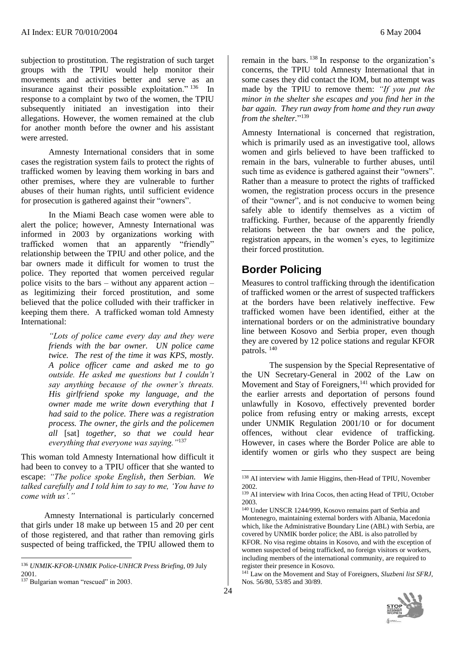subjection to prostitution. The registration of such target groups with the TPIU would help monitor their movements and activities better and serve as an insurance against their possible exploitation." <sup>136</sup> In response to a complaint by two of the women, the TPIU subsequently initiated an investigation into their allegations. However, the women remained at the club for another month before the owner and his assistant were arrested.

Amnesty International considers that in some cases the registration system fails to protect the rights of trafficked women by leaving them working in bars and other premises, where they are vulnerable to further abuses of their human rights, until sufficient evidence for prosecution is gathered against their "owners".

In the Miami Beach case women were able to alert the police; however, Amnesty International was informed in 2003 by organizations working with trafficked women that an apparently "friendly" relationship between the TPIU and other police, and the bar owners made it difficult for women to trust the police. They reported that women perceived regular police visits to the bars – without any apparent action – as legitimizing their forced prostitution, and some believed that the police colluded with their trafficker in keeping them there. A trafficked woman told Amnesty International:

> *"Lots of police came every day and they were friends with the bar owner. UN police came twice. The rest of the time it was KPS, mostly. A police officer came and asked me to go outside. He asked me questions but I couldn't say anything because of the owner's threats. His girlfriend spoke my language, and the owner made me write down everything that I had said to the police. There was a registration process. The owner, the girls and the policemen all* [sat] *together, so that we could hear everything that everyone was saying."*<sup>137</sup>

This woman told Amnesty International how difficult it had been to convey to a TPIU officer that she wanted to escape: *"The police spoke English, then Serbian. We talked carefully and I told him to say to me, 'You have to come with us'."*

 Amnesty International is particularly concerned that girls under 18 make up between 15 and 20 per cent of those registered, and that rather than removing girls suspected of being trafficked, the TPIU allowed them to

l

remain in the bars. <sup>138</sup> In response to the organization's concerns, the TPIU told Amnesty International that in some cases they did contact the IOM, but no attempt was made by the TPIU to remove them: *"If you put the minor in the shelter she escapes and you find her in the bar again. They run away from home and they run away from the shelter.*" 139

Amnesty International is concerned that registration, which is primarily used as an investigative tool, allows women and girls believed to have been trafficked to remain in the bars, vulnerable to further abuses, until such time as evidence is gathered against their "owners". Rather than a measure to protect the rights of trafficked women, the registration process occurs in the presence of their "owner", and is not conducive to women being safely able to identify themselves as a victim of trafficking. Further, because of the apparently friendly relations between the bar owners and the police, registration appears, in the women's eyes, to legitimize their forced prostitution.

## **Border Policing**

Measures to control trafficking through the identification of trafficked women or the arrest of suspected traffickers at the borders have been relatively ineffective. Few trafficked women have been identified, either at the international borders or on the administrative boundary line between Kosovo and Serbia proper, even though they are covered by 12 police stations and regular KFOR patrols. <sup>140</sup>

The suspension by the Special Representative of the UN Secretary-General in 2002 of the Law on Movement and Stay of Foreigners,<sup>141</sup> which provided for the earlier arrests and deportation of persons found unlawfully in Kosovo, effectively prevented border police from refusing entry or making arrests, except under UNMIK Regulation 2001/10 or for document offences, without clear evidence of trafficking. However, in cases where the Border Police are able to identify women or girls who they suspect are being

<sup>141</sup> Law on the Movement and Stay of Foreigners, *Sluzbeni list SFRJ,* Nos. 56/80, 53/85 and 30/89.



<sup>136</sup> *UNMIK-KFOR-UNMIK Police-UNHCR Press Briefing*, 09 July 2001.

<sup>&</sup>lt;sup>137</sup> Bulgarian woman "rescued" in 2003.

<sup>138</sup> AI interview with Jamie Higgins, then-Head of TPIU, November 2002.

<sup>139</sup> AI interview with Irina Cocos, then acting Head of TPIU, October 2003.

<sup>140</sup> Under UNSCR 1244/999, Kosovo remains part of Serbia and Montenegro, maintaining external borders with Albania, Macedonia which, like the Administrative Boundary Line (ABL) with Serbia, are covered by UNMIK border police; the ABL is also patrolled by KFOR. No visa regime obtains in Kosovo, and with the exception of women suspected of being trafficked, no foreign visitors or workers, including members of the international community, are required to register their presence in Kosovo.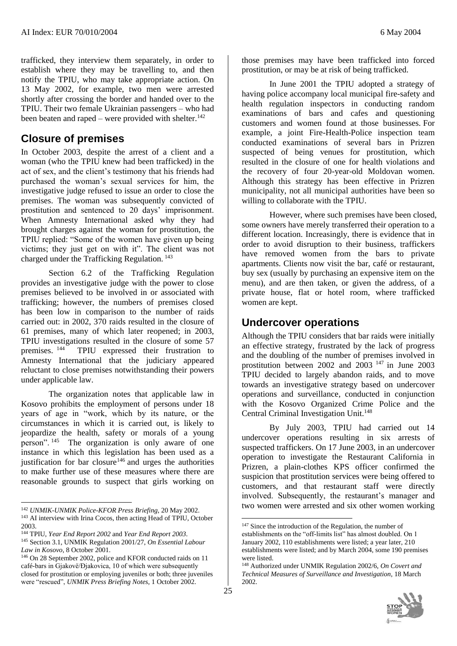trafficked, they interview them separately, in order to establish where they may be travelling to, and then notify the TPIU, who may take appropriate action. On 13 May 2002, for example, two men were arrested shortly after crossing the border and handed over to the TPIU. Their two female Ukrainian passengers – who had been beaten and raped – were provided with shelter.<sup>142</sup>

## **Closure of premises**

In October 2003, despite the arrest of a client and a woman (who the TPIU knew had been trafficked) in the act of sex, and the client's testimony that his friends had purchased the woman's sexual services for him, the investigative judge refused to issue an order to close the premises. The woman was subsequently convicted of prostitution and sentenced to 20 days' imprisonment. When Amnesty International asked why they had brought charges against the woman for prostitution, the TPIU replied: "Some of the women have given up being victims; they just get on with it". The client was not charged under the Trafficking Regulation. <sup>143</sup>

Section 6.2 of the Trafficking Regulation provides an investigative judge with the power to close premises believed to be involved in or associated with trafficking; however, the numbers of premises closed has been low in comparison to the number of raids carried out: in 2002, 370 raids resulted in the closure of 61 premises, many of which later reopened; in 2003, TPIU investigations resulted in the closure of some 57 premises. <sup>144</sup> TPIU expressed their frustration to Amnesty International that the judiciary appeared reluctant to close premises notwithstanding their powers under applicable law.

The organization notes that applicable law in Kosovo prohibits the employment of persons under 18 years of age in "work, which by its nature, or the circumstances in which it is carried out, is likely to jeopardize the health, safety or morals of a young person". <sup>145</sup> The organization is only aware of one instance in which this legislation has been used as a justification for bar closure<sup>146</sup> and urges the authorities to make further use of these measures where there are reasonable grounds to suspect that girls working on

l

those premises may have been trafficked into forced prostitution, or may be at risk of being trafficked.

In June 2001 the TPIU adopted a strategy of having police accompany local municipal fire-safety and health regulation inspectors in conducting random examinations of bars and cafes and questioning customers and women found at those businesses. For example, a joint Fire-Health-Police inspection team conducted examinations of several bars in Prizren suspected of being venues for prostitution, which resulted in the closure of one for health violations and the recovery of four 20-year-old Moldovan women. Although this strategy has been effective in Prizren municipality, not all municipal authorities have been so willing to collaborate with the TPIU.

However, where such premises have been closed, some owners have merely transferred their operation to a different location. Increasingly, there is evidence that in order to avoid disruption to their business, traffickers have removed women from the bars to private apartments. Clients now visit the bar, café or restaurant, buy sex (usually by purchasing an expensive item on the menu), and are then taken, or given the address, of a private house, flat or hotel room, where trafficked women are kept.

## **Undercover operations**

Although the TPIU considers that bar raids were initially an effective strategy, frustrated by the lack of progress and the doubling of the number of premises involved in prostitution between  $2002$  and  $2003$  <sup>147</sup> in June 2003 TPIU decided to largely abandon raids, and to move towards an investigative strategy based on undercover operations and surveillance, conducted in conjunction with the Kosovo Organized Crime Police and the Central Criminal Investigation Unit.<sup>148</sup>

By July 2003, TPIU had carried out 14 undercover operations resulting in six arrests of suspected traffickers. On 17 June 2003, in an undercover operation to investigate the Restaurant California in Prizren, a plain-clothes KPS officer confirmed the suspicion that prostitution services were being offered to customers, and that restaurant staff were directly involved. Subsequently, the restaurant's manager and two women were arrested and six other women working

<sup>148</sup> Authorized under UNMIK Regulation 2002/6*, On Covert and Technical Measures of Surveillance and Investigation*, 18 March 2002.



<sup>142</sup> *UNMIK-UNMIK Police-KFOR Press Briefing*, 20 May 2002. <sup>143</sup> AI interview with Irina Cocos, then acting Head of TPIU, October 2003.

<sup>144</sup> TPIU, *Year End Report 2002* and *Year End Report 2003*. <sup>145</sup> Section 3.1, UNMIK Regulation 2001/27, *On Essential Labour* 

*Law in Kosovo*, 8 October 2001. <sup>146</sup> On 28 September 2002, police and KFOR conducted raids on 11 café-bars in Gjakovë/Đjakovica, 10 of which were subsequently closed for prostitution or employing juveniles or both; three juveniles were "rescued", *UNMIK Press Briefing Notes*, 1 October 2002.

<sup>&</sup>lt;sup>147</sup> Since the introduction of the Regulation, the number of establishments on the "off-limits list" has almost doubled. On 1 January 2002, 110 establishments were listed; a year later, 210 establishments were listed; and by March 2004, some 190 premises were listed.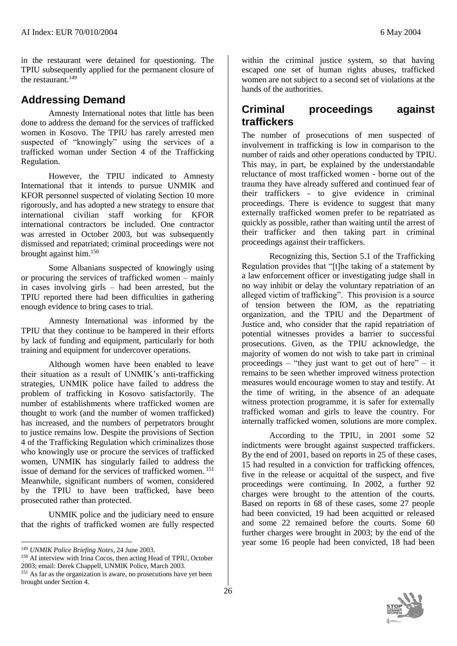in the restaurant were detained for questioning. The TPIU subsequently applied for the permanent closure of the restaurant. $149$ 

## **Addressing Demand**

Amnesty International notes that little has been done to address the demand for the services of trafficked women in Kosovo. The TPIU has rarely arrested men suspected of "knowingly" using the services of a trafficked woman under Section 4 of the Trafficking Regulation.

However, the TPIU indicated to Amnesty International that it intends to pursue UNMIK and KFOR personnel suspected of violating Section 10 more rigorously, and has adopted a new strategy to ensure that international civilian staff working for KFOR international contractors be included. One contractor was arrested in October 2003, but was subsequently dismissed and repatriated; criminal proceedings were not brought against him.<sup>150</sup>

Some Albanians suspected of knowingly using or procuring the services of trafficked women – mainly in cases involving girls – had been arrested, but the TPIU reported there had been difficulties in gathering enough evidence to bring cases to trial.

Amnesty International was informed by the TPIU that they continue to be hampered in their efforts by lack of funding and equipment, particularly for both training and equipment for undercover operations.

Although women have been enabled to leave their situation as a result of UNMIK's anti-trafficking strategies, UNMIK police have failed to address the problem of trafficking in Kosovo satisfactorily. The number of establishments where trafficked women are thought to work (and the number of women trafficked) has increased, and the numbers of perpetrators brought to justice remains low. Despite the provisions of Section 4 of the Trafficking Regulation which criminalizes those who knowingly use or procure the services of trafficked women, UNMIK has singularly failed to address the issue of demand for the services of trafficked women. <sup>151</sup> Meanwhile, significant numbers of women, considered by the TPIU to have been trafficked, have been prosecuted rather than protected.

UNMIK police and the judiciary need to ensure that the rights of trafficked women are fully respected

within the criminal justice system, so that having escaped one set of human rights abuses, trafficked women are not subject to a second set of violations at the hands of the authorities.

## **Criminal proceedings against traffickers**

The number of prosecutions of men suspected of involvement in trafficking is low in comparison to the number of raids and other operations conducted by TPIU. This may, in part, be explained by the understandable reluctance of most trafficked women - borne out of the trauma they have already suffered and continued fear of their traffickers - to give evidence in criminal proceedings. There is evidence to suggest that many externally trafficked women prefer to be repatriated as quickly as possible, rather than waiting until the arrest of their trafficker and then taking part in criminal proceedings against their traffickers.

Recognizing this, Section 5.1 of the Trafficking Regulation provides that "[t]he taking of a statement by a law enforcement officer or investigating judge shall in no way inhibit or delay the voluntary repatriation of an alleged victim of trafficking". This provision is a source of tension between the IOM, as the repatriating organization, and the TPIU and the Department of Justice and, who consider that the rapid repatriation of potential witnesses provides a barrier to successful prosecutions. Given, as the TPIU acknowledge, the majority of women do not wish to take part in criminal proceedings – "they just want to get out of here" – it remains to be seen whether improved witness protection measures would encourage women to stay and testify. At the time of writing, in the absence of an adequate witness protection programme, it is safer for externally trafficked woman and girls to leave the country. For internally trafficked women, solutions are more complex.

According to the TPIU, in 2001 some 52 indictments were brought against suspected traffickers. By the end of 2001, based on reports in 25 of these cases, 15 had resulted in a conviction for trafficking offences, five in the release or acquittal of the suspect, and five proceedings were continuing. In 2002, a further 92 charges were brought to the attention of the courts. Based on reports in 68 of these cases, some 27 people had been convicted, 19 had been acquitted or released and some 22 remained before the courts. Some 60 further charges were brought in 2003; by the end of the year some 16 people had been convicted, 18 had been



l <sup>149</sup> *UNMIK Police Briefing Notes*, 24 June 2003.

<sup>150</sup> AI interview with Irina Cocos, then acting Head of TPIU, October 2003; email: Derek Chappell, UNMIK Police, March 2003.

<sup>&</sup>lt;sup>151</sup> As far as the organization is aware, no prosecutions have yet been brought under Section 4.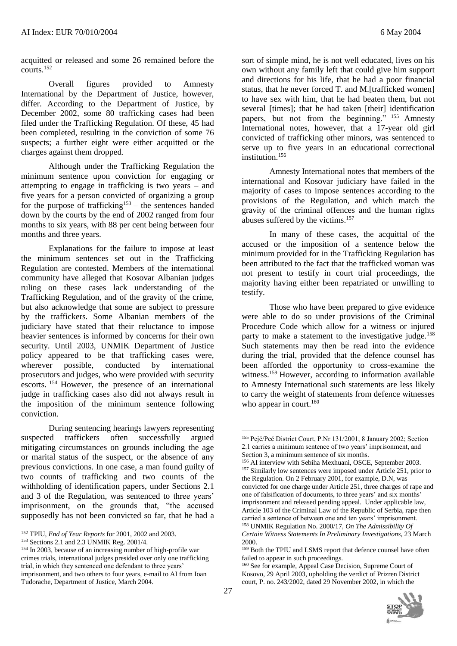acquitted or released and some 26 remained before the courts.<sup>152</sup>

Overall figures provided to Amnesty International by the Department of Justice, however, differ. According to the Department of Justice, by December 2002, some 80 trafficking cases had been filed under the Trafficking Regulation. Of these, 45 had been completed, resulting in the conviction of some 76 suspects; a further eight were either acquitted or the charges against them dropped.

Although under the Trafficking Regulation the minimum sentence upon conviction for engaging or attempting to engage in trafficking is two years – and five years for a person convicted of organizing a group for the purpose of trafficking<sup>153</sup> – the sentences handed down by the courts by the end of 2002 ranged from four months to six years, with 88 per cent being between four months and three years.

Explanations for the failure to impose at least the minimum sentences set out in the Trafficking Regulation are contested. Members of the international community have alleged that Kosovar Albanian judges ruling on these cases lack understanding of the Trafficking Regulation, and of the gravity of the crime, but also acknowledge that some are subject to pressure by the traffickers. Some Albanian members of the judiciary have stated that their reluctance to impose heavier sentences is informed by concerns for their own security. Until 2003, UNMIK Department of Justice policy appeared to be that trafficking cases were, wherever possible, conducted by international prosecutors and judges, who were provided with security escorts. <sup>154</sup> However, the presence of an international judge in trafficking cases also did not always result in the imposition of the minimum sentence following conviction.

During sentencing hearings lawyers representing suspected traffickers often successfully argued mitigating circumstances on grounds including the age or marital status of the suspect, or the absence of any previous convictions. In one case, a man found guilty of two counts of trafficking and two counts of the withholding of identification papers, under Sections 2.1 and 3 of the Regulation, was sentenced to three years' imprisonment, on the grounds that, "the accused supposedly has not been convicted so far, that he had a

<sup>152</sup> TPIU, *End of Year Reports* for 2001, 2002 and 2003.

 $\overline{a}$ 

sort of simple mind, he is not well educated, lives on his own without any family left that could give him support and directions for his life, that he had a poor financial status, that he never forced T. and M.[trafficked women] to have sex with him, that he had beaten them, but not several [times]; that he had taken [their] identification papers, but not from the beginning." <sup>155</sup> Amnesty International notes, however, that a 17-year old girl convicted of trafficking other minors, was sentenced to serve up to five years in an educational correctional institution. 156

Amnesty International notes that members of the international and Kosovar judiciary have failed in the majority of cases to impose sentences according to the provisions of the Regulation, and which match the gravity of the criminal offences and the human rights abuses suffered by the victims.<sup>157</sup>

In many of these cases, the acquittal of the accused or the imposition of a sentence below the minimum provided for in the Trafficking Regulation has been attributed to the fact that the trafficked woman was not present to testify in court trial proceedings, the majority having either been repatriated or unwilling to testify.

Those who have been prepared to give evidence were able to do so under provisions of the Criminal Procedure Code which allow for a witness or injured party to make a statement to the investigative judge.<sup>158</sup> Such statements may then be read into the evidence during the trial, provided that the defence counsel has been afforded the opportunity to cross-examine the witness.<sup>159</sup> However, according to information available to Amnesty International such statements are less likely to carry the weight of statements from defence witnesses who appear in court. $160$ 

<sup>160</sup> See for example, Appeal Case Decision, Supreme Court of Kosovo, 29 April 2003, upholding the verdict of Prizren District court, P. no. 243/2002, dated 29 November 2002, in which the



<sup>153</sup> Sections 2.1 and 2.3 UNMIK Reg. 2001/4.

<sup>154</sup> In 2003, because of an increasing number of high-profile war crimes trials, international judges presided over only one trafficking trial, in which they sentenced one defendant to three years' imprisonment, and two others to four years, e-mail to AI from Ioan Tudorache, Department of Justice, March 2004.

<sup>155</sup> Pejë/Peć District Court, P.Nr 131/2001, 8 January 2002; Section 2.1 carries a minimum sentence of two years' imprisonment, and Section 3, a minimum sentence of six months.

<sup>156</sup> AI interview with Sebiha Mexhuani, OSCE, September 2003. <sup>157</sup> Similarly low sentences were imposed under Article 251, prior to the Regulation. On 2 February 2001, for example, D.N, was convicted for one charge under Article 251, three charges of rape and one of falsification of documents, to three years' and six months' imprisonment and released pending appeal. Under applicable law, Article 103 of the Criminal Law of the Republic of Serbia, rape then carried a sentence of between one and ten years' imprisonment. <sup>158</sup> UNMIK Regulation No. 2000/17, *On The Admissibility Of* 

*Certain Witness Statements In Preliminary Investigations*, 23 March 2000.

<sup>159</sup> Both the TPIU and LSMS report that defence counsel have often failed to appear in such proceedings.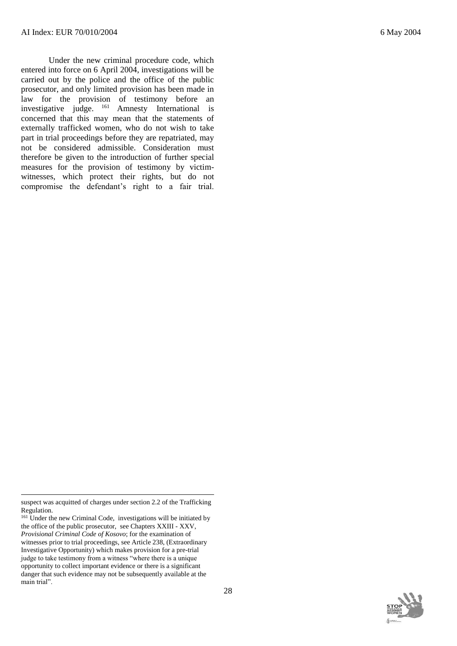Under the new criminal procedure code, which entered into force on 6 April 2004, investigations will be carried out by the police and the office of the public prosecutor, and only limited provision has been made in law for the provision of testimony before an investigative judge. <sup>161</sup> Amnesty International is concerned that this may mean that the statements of externally trafficked women, who do not wish to take part in trial proceedings before they are repatriated, may not be considered admissible. Consideration must therefore be given to the introduction of further special measures for the provision of testimony by victimwitnesses, which protect their rights, but do not compromise the defendant's right to a fair trial.

l



suspect was acquitted of charges under section 2.2 of the Trafficking Regulation.

<sup>&</sup>lt;sup>161</sup> Under the new Criminal Code, investigations will be initiated by the office of the public prosecutor, see Chapters XXIII - XXV, *Provisional Criminal Code of Kosovo*; for the examination of witnesses prior to trial proceedings, see Article 238, (Extraordinary Investigative Opportunity) which makes provision for a pre-trial judge to take testimony from a witness "where there is a unique opportunity to collect important evidence or there is a significant danger that such evidence may not be subsequently available at the main trial".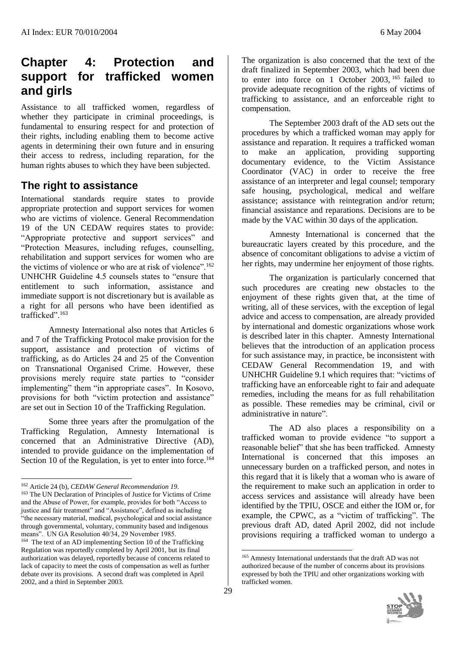# **Chapter 4: Protection and support for trafficked women and girls**

Assistance to all trafficked women, regardless of whether they participate in criminal proceedings, is fundamental to ensuring respect for and protection of their rights, including enabling them to become active agents in determining their own future and in ensuring their access to redress, including reparation, for the human rights abuses to which they have been subjected.

## **The right to assistance**

International standards require states to provide appropriate protection and support services for women who are victims of violence. General Recommendation 19 of the UN CEDAW requires states to provide: "Appropriate protective and support services" and "Protection Measures, including refuges, counselling, rehabilitation and support services for women who are the victims of violence or who are at risk of violence".  $162$ UNHCHR Guideline 4.5 counsels states to "ensure that entitlement to such information, assistance and immediate support is not discretionary but is available as a right for all persons who have been identified as trafficked".<sup>163</sup>

Amnesty International also notes that Articles 6 and 7 of the Trafficking Protocol make provision for the support, assistance and protection of victims of trafficking, as do Articles 24 and 25 of the Convention on Transnational Organised Crime. However, these provisions merely require state parties to "consider implementing" them "in appropriate cases". In Kosovo, provisions for both "victim protection and assistance" are set out in Section 10 of the Trafficking Regulation.

Some three years after the promulgation of the Trafficking Regulation, Amnesty International is concerned that an Administrative Directive (AD), intended to provide guidance on the implementation of Section 10 of the Regulation, is yet to enter into force.<sup>164</sup>

2002, and a third in September 2003.

l

<sup>163</sup> The UN Declaration of Principles of Justice for Victims of Crime and the Abuse of Power, for example, provides for both "Access to justice and fair treatment" and "Assistance", defined as including "the necessary material, medical, psychological and social assistance through governmental, voluntary, community based and indigenous means". UN GA Resolution 40/34, 29 November 1985. 164 The text of an AD implementing Section 10 of the Trafficking Regulation was reportedly completed by April 2001, but its final authorization was delayed, reportedly because of concerns related to lack of capacity to meet the costs of compensation as well as further debate over its provisions. A second draft was completed in April

The organization is also concerned that the text of the draft finalized in September 2003, which had been due to enter into force on 1 October 2003, <sup>165</sup> failed to provide adequate recognition of the rights of victims of trafficking to assistance, and an enforceable right to compensation.

The September 2003 draft of the AD sets out the procedures by which a trafficked woman may apply for assistance and reparation. It requires a trafficked woman to make an application, providing supporting documentary evidence, to the Victim Assistance Coordinator (VAC) in order to receive the free assistance of an interpreter and legal counsel; temporary safe housing, psychological, medical and welfare assistance; assistance with reintegration and/or return; financial assistance and reparations. Decisions are to be made by the VAC within 30 days of the application.

Amnesty International is concerned that the bureaucratic layers created by this procedure, and the absence of concomitant obligations to advise a victim of her rights, may undermine her enjoyment of those rights.

The organization is particularly concerned that such procedures are creating new obstacles to the enjoyment of these rights given that, at the time of writing, all of these services, with the exception of legal advice and access to compensation, are already provided by international and domestic organizations whose work is described later in this chapter. Amnesty International believes that the introduction of an application process for such assistance may, in practice, be inconsistent with CEDAW General Recommendation 19, and with UNHCHR Guideline 9.1 which requires that: "victims of trafficking have an enforceable right to fair and adequate remedies, including the means for as full rehabilitation as possible. These remedies may be criminal, civil or administrative in nature".

The AD also places a responsibility on a trafficked woman to provide evidence "to support a reasonable belief" that she has been trafficked. Amnesty International is concerned that this imposes an unnecessary burden on a trafficked person, and notes in this regard that it is likely that a woman who is aware of the requirement to make such an application in order to access services and assistance will already have been identified by the TPIU, OSCE and either the IOM or, for example, the CPWC, as a "victim of trafficking". The previous draft AD, dated April 2002, did not include provisions requiring a trafficked woman to undergo a

<sup>165</sup> Amnesty International understands that the draft AD was not authorized because of the number of concerns about its provisions expressed by both the TPIU and other organizations working with trafficked women.



<sup>162</sup> Article 24 (b), *CEDAW General Recommendation 19*.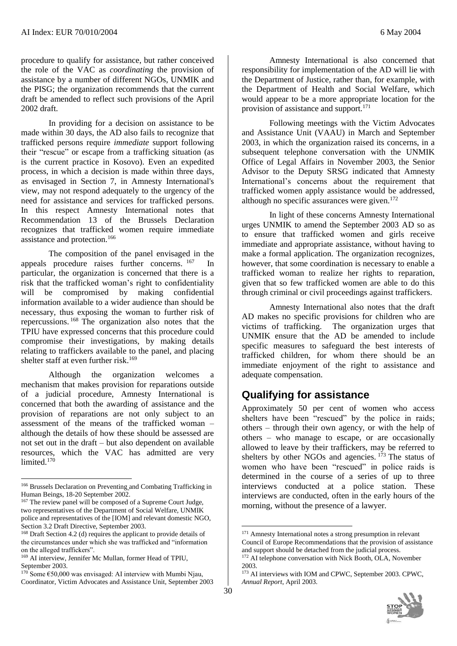procedure to qualify for assistance, but rather conceived the role of the VAC as *coordinating* the provision of assistance by a number of different NGOs, UNMIK and the PISG; the organization recommends that the current draft be amended to reflect such provisions of the April 2002 draft.

In providing for a decision on assistance to be made within 30 days, the AD also fails to recognize that trafficked persons require *immediate* support following their "rescue" or escape from a trafficking situation (as is the current practice in Kosovo). Even an expedited process, in which a decision is made within three days, as envisaged in Section 7, in Amnesty International's view, may not respond adequately to the urgency of the need for assistance and services for trafficked persons. In this respect Amnesty International notes that Recommendation 13 of the Brussels Declaration recognizes that trafficked women require immediate assistance and protection.<sup>166</sup>

The composition of the panel envisaged in the appeals procedure raises further concerns. <sup>167</sup> In particular, the organization is concerned that there is a risk that the trafficked woman's right to confidentiality will be compromised by making confidential information available to a wider audience than should be necessary, thus exposing the woman to further risk of repercussions. <sup>168</sup> The organization also notes that the TPIU have expressed concerns that this procedure could compromise their investigations, by making details relating to traffickers available to the panel, and placing shelter staff at even further risk.<sup>169</sup>

Although the organization welcomes a mechanism that makes provision for reparations outside of a judicial procedure, Amnesty International is concerned that both the awarding of assistance and the provision of reparations are not only subject to an assessment of the means of the trafficked woman – although the details of how these should be assessed are not set out in the draft – but also dependent on available resources, which the VAC has admitted are very limited.<sup>170</sup>

l

 $\overline{a}$ 

Amnesty International is also concerned that responsibility for implementation of the AD will lie with the Department of Justice, rather than, for example, with the Department of Health and Social Welfare, which would appear to be a more appropriate location for the provision of assistance and support.<sup>171</sup>

Following meetings with the Victim Advocates and Assistance Unit (VAAU) in March and September 2003, in which the organization raised its concerns, in a subsequent telephone conversation with the UNMIK Office of Legal Affairs in November 2003, the Senior Advisor to the Deputy SRSG indicated that Amnesty International's concerns about the requirement that trafficked women apply assistance would be addressed, although no specific assurances were given.<sup>172</sup>

In light of these concerns Amnesty International urges UNMIK to amend the September 2003 AD so as to ensure that trafficked women and girls receive immediate and appropriate assistance, without having to make a formal application. The organization recognizes, however, that some coordination is necessary to enable a trafficked woman to realize her rights to reparation, given that so few trafficked women are able to do this through criminal or civil proceedings against traffickers.

Amnesty International also notes that the draft AD makes no specific provisions for children who are victims of trafficking. The organization urges that UNMIK ensure that the AD be amended to include specific measures to safeguard the best interests of trafficked children, for whom there should be an immediate enjoyment of the right to assistance and adequate compensation.

## **Qualifying for assistance**

Approximately 50 per cent of women who access shelters have been "rescued" by the police in raids; others – through their own agency, or with the help of others – who manage to escape, or are occasionally allowed to leave by their traffickers, may be referred to shelters by other NGOs and agencies.  $173$  The status of women who have been "rescued" in police raids is determined in the course of a series of up to three interviews conducted at a police station. These interviews are conducted, often in the early hours of the morning, without the presence of a lawyer.

<sup>173</sup> AI interviews with IOM and CPWC, September 2003. CPWC, *Annual Report*, April 2003.



<sup>166</sup> Brussels Declaration on Preventing and Combating Trafficking in Human Beings, 18-20 September 2002.

<sup>&</sup>lt;sup>167</sup> The review panel will be composed of a Supreme Court Judge, two representatives of the Department of Social Welfare, UNMIK police and representatives of the [IOM] and relevant domestic NGO, Section 3.2 Draft Directive, September 2003.

<sup>&</sup>lt;sup>168</sup> Draft Section 4.2 (d) requires the applicant to provide details of the circumstances under which she was trafficked and "information on the alleged traffickers".

<sup>&</sup>lt;sup>169</sup> AI interview, Jennifer Mc Mullan, former Head of TPIU, September 2003.

 $170^{\circ}$  Some  $\epsilon$ 50,000 was envisaged: AI interview with Mumbi Njau, Coordinator, Victim Advocates and Assistance Unit, September 2003

<sup>171</sup> Amnesty International notes a strong presumption in relevant Council of Europe Recommendations that the provision of assistance and support should be detached from the judicial process.

 $172$  AI telephone conversation with Nick Booth, OLA, November 2003.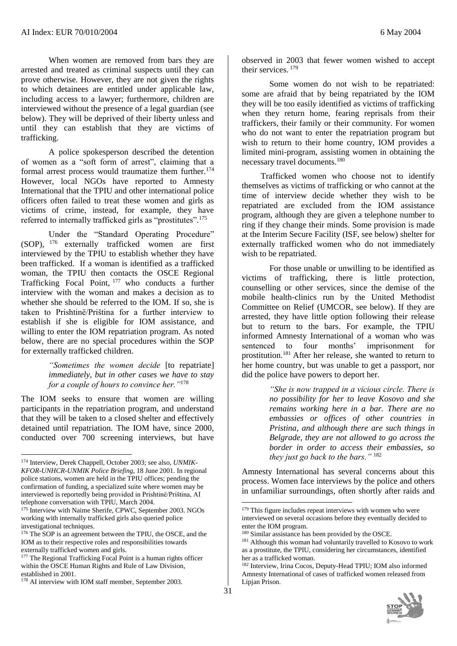When women are removed from bars they are arrested and treated as criminal suspects until they can prove otherwise. However, they are not given the rights to which detainees are entitled under applicable law, including access to a lawyer; furthermore, children are interviewed without the presence of a legal guardian (see below). They will be deprived of their liberty unless and until they can establish that they are victims of trafficking.

A police spokesperson described the detention of women as a "soft form of arrest", claiming that a formal arrest process would traumatize them further.<sup>174</sup> However, local NGOs have reported to Amnesty International that the TPIU and other international police officers often failed to treat these women and girls as victims of crime, instead, for example, they have referred to internally trafficked girls as "prostitutes".<sup>175</sup>

Under the "Standard Operating Procedure" (SOP), <sup>176</sup> externally trafficked women are first interviewed by the TPIU to establish whether they have been trafficked. If a woman is identified as a trafficked woman, the TPIU then contacts the OSCE Regional Trafficking Focal Point, <sup>177</sup> who conducts a further interview with the woman and makes a decision as to whether she should be referred to the IOM. If so, she is taken to Prishtinë/Priština for a further interview to establish if she is eligible for IOM assistance, and willing to enter the IOM repatriation program. As noted below, there are no special procedures within the SOP for externally trafficked children.

> *"Sometimes the women decide* [to repatriate] *immediately, but in other cases we have to stay for a couple of hours to convince her."*<sup>178</sup>

The IOM seeks to ensure that women are willing participants in the repatriation program, and understand that they will be taken to a closed shelter and effectively detained until repatriation. The IOM have, since 2000, conducted over 700 screening interviews, but have

l

observed in 2003 that fewer women wished to accept their services. <sup>179</sup>

Some women do not wish to be repatriated: some are afraid that by being repatriated by the IOM they will be too easily identified as victims of trafficking when they return home, fearing reprisals from their traffickers, their family or their community. For women who do not want to enter the repatriation program but wish to return to their home country, IOM provides a limited mini-program, assisting women in obtaining the necessary travel documents.<sup>180</sup>

 Trafficked women who choose not to identify themselves as victims of trafficking or who cannot at the time of interview decide whether they wish to be repatriated are excluded from the IOM assistance program, although they are given a telephone number to ring if they change their minds. Some provision is made at the Interim Secure Facility (ISF, see below) shelter for externally trafficked women who do not immediately wish to be repatriated.

For those unable or unwilling to be identified as victims of trafficking, there is little protection, counselling or other services, since the demise of the mobile health-clinics run by the United Methodist Committee on Relief (UMCOR, see below). If they are arrested, they have little option following their release but to return to the bars. For example, the TPIU informed Amnesty International of a woman who was sentenced to four months' imprisonment for prostitution.<sup>181</sup> After her release, she wanted to return to her home country, but was unable to get a passport, nor did the police have powers to deport her.

> *"She is now trapped in a vicious circle. There is no possibility for her to leave Kosovo and she remains working here in a bar. There are no embassies or offices of other countries in Pristina, and although there are such things in Belgrade, they are not allowed to go across the border in order to access their embassies, so they just go back to the bars."* <sup>182</sup>

Amnesty International has several concerns about this process. Women face interviews by the police and others in unfamiliar surroundings, often shortly after raids and

<sup>182</sup> Interview, Irina Cocos, Deputy-Head TPIU; IOM also informed Amnesty International of cases of trafficked women released from Lipjan Prison.



<sup>174</sup> Interview, Derek Chappell, October 2003; see also, *UNMIK-KFOR-UNHCR-UNMIK Police Briefing*, 18 June 2001. In regional police stations, women are held in the TPIU offices; pending the confirmation of funding, a specialized suite where women may be interviewed is reportedly being provided in Prishtinë/Priština, AI telephone conversation with TPIU, March 2004.

<sup>175</sup> Interview with Naime Sherife, CPWC, September 2003. NGOs working with internally trafficked girls also queried police investigational techniques.

<sup>&</sup>lt;sup>176</sup> The SOP is an agreement between the TPIU, the OSCE, and the IOM as to their respective roles and responsibilities towards externally trafficked women and girls.

<sup>&</sup>lt;sup>177</sup> The Regional Trafficking Focal Point is a human rights officer within the OSCE Human Rights and Rule of Law Division, established in 2001.

<sup>&</sup>lt;sup>178</sup> AI interview with IOM staff member, September 2003.

<sup>&</sup>lt;sup>179</sup> This figure includes repeat interviews with women who were interviewed on several occasions before they eventually decided to enter the IOM program.

<sup>180</sup> Similar assistance has been provided by the OSCE.

<sup>&</sup>lt;sup>181</sup> Although this woman had voluntarily travelled to Kosovo to work as a prostitute, the TPIU, considering her circumstances, identified her as a trafficked woman.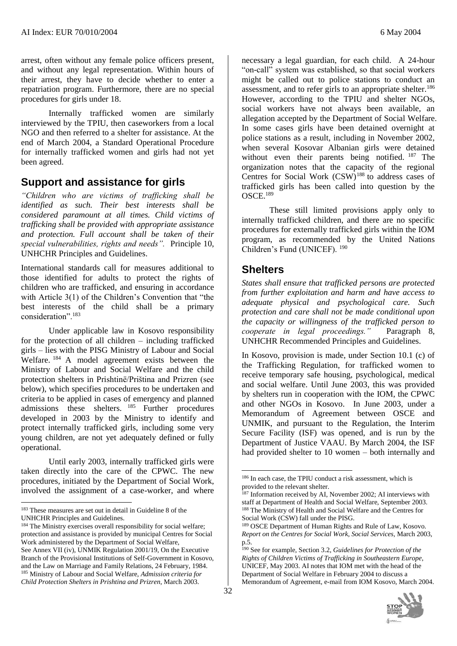arrest, often without any female police officers present, and without any legal representation. Within hours of their arrest, they have to decide whether to enter a repatriation program. Furthermore, there are no special procedures for girls under 18.

Internally trafficked women are similarly interviewed by the TPIU, then caseworkers from a local NGO and then referred to a shelter for assistance. At the end of March 2004, a Standard Operational Procedure for internally trafficked women and girls had not yet been agreed.

## **Support and assistance for girls**

*"Children who are victims of trafficking shall be identified as such. Their best interests shall be considered paramount at all times. Child victims of trafficking shall be provided with appropriate assistance and protection. Full account shall be taken of their special vulnerabilities, rights and needs".* Principle 10, UNHCHR Principles and Guidelines.

International standards call for measures additional to those identified for adults to protect the rights of children who are trafficked, and ensuring in accordance with Article 3(1) of the Children's Convention that "the best interests of the child shall be a primary consideration".<sup>183</sup>

Under applicable law in Kosovo responsibility for the protection of all children – including trafficked girls – lies with the PISG Ministry of Labour and Social Welfare. <sup>184</sup> A model agreement exists between the Ministry of Labour and Social Welfare and the child protection shelters in Prishtinë/Priština and Prizren (see below), which specifies procedures to be undertaken and criteria to be applied in cases of emergency and planned admissions these shelters. <sup>185</sup> Further procedures developed in 2003 by the Ministry to identify and protect internally trafficked girls, including some very young children, are not yet adequately defined or fully operational.

Until early 2003, internally trafficked girls were taken directly into the care of the CPWC. The new procedures, initiated by the Department of Social Work, involved the assignment of a case-worker, and where

necessary a legal guardian, for each child. A 24-hour "on-call" system was established, so that social workers might be called out to police stations to conduct an assessment, and to refer girls to an appropriate shelter.<sup>186</sup> However, according to the TPIU and shelter NGOs, social workers have not always been available, an allegation accepted by the Department of Social Welfare. In some cases girls have been detained overnight at police stations as a result, including in November 2002, when several Kosovar Albanian girls were detained without even their parents being notified. <sup>187</sup> The organization notes that the capacity of the regional Centres for Social Work  $(CSW)^{188}$  to address cases of trafficked girls has been called into question by the OSCE.<sup>189</sup>

These still limited provisions apply only to internally trafficked children, and there are no specific procedures for externally trafficked girls within the IOM program, as recommended by the United Nations Children's Fund (UNICEF). <sup>190</sup>

#### **Shelters**

*States shall ensure that trafficked persons are protected from further exploitation and harm and have access to adequate physical and psychological care. Such protection and care shall not be made conditional upon the capacity or willingness of the trafficked person to cooperate in legal proceedings."* Paragraph 8, UNHCHR Recommended Principles and Guidelines.

In Kosovo, provision is made, under Section 10.1 (c) of the Trafficking Regulation, for trafficked women to receive temporary safe housing, psychological, medical and social welfare. Until June 2003, this was provided by shelters run in cooperation with the IOM, the CPWC and other NGOs in Kosovo. In June 2003, under a Memorandum of Agreement between OSCE and UNMIK, and pursuant to the Regulation, the Interim Secure Facility (ISF) was opened, and is run by the Department of Justice VAAU. By March 2004, the ISF had provided shelter to 10 women – both internally and

<sup>190</sup> See for example, Section 3.2, *Guidelines for Protection of the Rights of Children Victims of Trafficking in Southeastern Europe*, UNICEF, May 2003. AI notes that IOM met with the head of the Department of Social Welfare in February 2004 to discuss a Memorandum of Agreement, e-mail from IOM Kosovo, March 2004.



l <sup>183</sup> These measures are set out in detail in Guideline 8 of the UNHCHR Principles and Guidelines.

<sup>&</sup>lt;sup>184</sup> The Ministry exercises overall responsibility for social welfare; protection and assistance is provided by municipal Centres for Social Work administered by the Department of Social Welfare, See Annex VII (iv), UNMIK Regulation 2001/19, On the Executive Branch of the Provisional Institutions of Self-Government in Kosovo, and the Law on Marriage and Family Relations, 24 February, 1984. <sup>185</sup> Ministry of Labour and Social Welfare, *Admission criteria for Child Protection Shelters in Prishtina and Prizren*, March 2003.

<sup>186</sup> In each case, the TPIU conduct a risk assessment, which is provided to the relevant shelter.

 $187$  Information received by AI, November 2002; AI interviews with staff at Department of Health and Social Welfare, September 2003. <sup>188</sup> The Ministry of Health and Social Welfare and the Centres for Social Work (CSW) fall under the PISG.

<sup>189</sup> OSCE Department of Human Rights and Rule of Law, Kosovo. *Report on the Centres for Social Work, Social Services,* March 2003, p.5.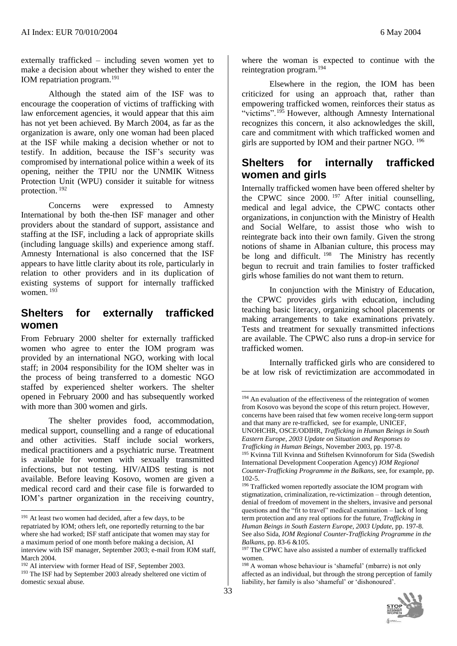externally trafficked – including seven women yet to make a decision about whether they wished to enter the IOM repatriation program.<sup>191</sup>

Although the stated aim of the ISF was to encourage the cooperation of victims of trafficking with law enforcement agencies, it would appear that this aim has not yet been achieved. By March 2004, as far as the organization is aware, only one woman had been placed at the ISF while making a decision whether or not to testify. In addition, because the ISF's security was compromised by international police within a week of its opening, neither the TPIU nor the UNMIK Witness Protection Unit (WPU) consider it suitable for witness protection.<sup>192</sup>

Concerns were expressed to Amnesty International by both the-then ISF manager and other providers about the standard of support, assistance and staffing at the ISF, including a lack of appropriate skills (including language skills) and experience among staff. Amnesty International is also concerned that the ISF appears to have little clarity about its role, particularly in relation to other providers and in its duplication of existing systems of support for internally trafficked women.<sup>193</sup>

## **Shelters for externally trafficked women**

From February 2000 shelter for externally trafficked women who agree to enter the IOM program was provided by an international NGO, working with local staff; in 2004 responsibility for the IOM shelter was in the process of being transferred to a domestic NGO staffed by experienced shelter workers. The shelter opened in February 2000 and has subsequently worked with more than 300 women and girls.

The shelter provides food, accommodation, medical support, counselling and a range of educational and other activities. Staff include social workers, medical practitioners and a psychiatric nurse. Treatment is available for women with sexually transmitted infections, but not testing. HIV/AIDS testing is not available. Before leaving Kosovo, women are given a medical record card and their case file is forwarded to IOM's partner organization in the receiving country,

 $\overline{a}$ 

where the woman is expected to continue with the reintegration program.<sup>194</sup>

Elsewhere in the region, the IOM has been criticized for using an approach that, rather than empowering trafficked women, reinforces their status as "victims".<sup>195</sup> However, although Amnesty International recognizes this concern, it also acknowledges the skill, care and commitment with which trafficked women and girls are supported by IOM and their partner NGO. <sup>196</sup>

## **Shelters for internally trafficked women and girls**

Internally trafficked women have been offered shelter by the CPWC since  $2000$ . <sup>197</sup> After initial counselling, medical and legal advice, the CPWC contacts other organizations, in conjunction with the Ministry of Health and Social Welfare, to assist those who wish to reintegrate back into their own family. Given the strong notions of shame in Albanian culture, this process may be long and difficult. <sup>198</sup> The Ministry has recently begun to recruit and train families to foster trafficked girls whose families do not want them to return.

In conjunction with the Ministry of Education, the CPWC provides girls with education, including teaching basic literacy, organizing school placements or making arrangements to take examinations privately. Tests and treatment for sexually transmitted infections are available. The CPWC also runs a drop-in service for trafficked women.

Internally trafficked girls who are considered to be at low risk of revictimization are accommodated in

<sup>&</sup>lt;sup>198</sup> A woman whose behaviour is 'shameful' (mbarre) is not only affected as an individual, but through the strong perception of family liability, her family is also 'shameful' or 'dishonoured'.



<sup>&</sup>lt;sup>191</sup> At least two women had decided, after a few days, to be repatriated by IOM; others left, one reportedly returning to the bar where she had worked: ISF staff anticipate that women may stay for a maximum period of one month before making a decision, AI interview with ISF manager, September 2003; e-mail from IOM staff, March 2004.

<sup>192</sup> AI interview with former Head of ISF, September 2003. <sup>193</sup> The ISF had by September 2003 already sheltered one victim of domestic sexual abuse.

<sup>&</sup>lt;sup>194</sup> An evaluation of the effectiveness of the reintegration of women from Kosovo was beyond the scope of this return project. However, concerns have been raised that few women receive long-term support and that many are re-trafficked, see for example, UNICEF, UNOHCHR, OSCE/ODIHR, *Trafficking in Human Beings in South Eastern Europe, 2003 Update on Situation and Responses to* 

*Trafficking in Human Beings*, November 2003, pp. 197-8. <sup>195</sup> Kvinna Till Kvinna and Stiftelsen Kvinnoforum for Sida (Swedish International Development Cooperation Agency) *IOM Regional Counter-Trafficking Programme in the Balkans*, see, for example, pp. 102-5.

<sup>&</sup>lt;sup>196</sup> Trafficked women reportedly associate the IOM program with stigmatization, criminalization, re-victimization – through detention, denial of freedom of movement in the shelters, invasive and personal questions and the "fit to travel" medical examination – lack of long term protection and any real options for the future, *Trafficking in Human Beings in South Eastern Europe, 2003 Update*, pp. 197-8. See also Sida, *IOM Regional Counter-Trafficking Programme in the Balkans*, pp. 83-6 &105.

<sup>&</sup>lt;sup>197</sup> The CPWC have also assisted a number of externally trafficked women.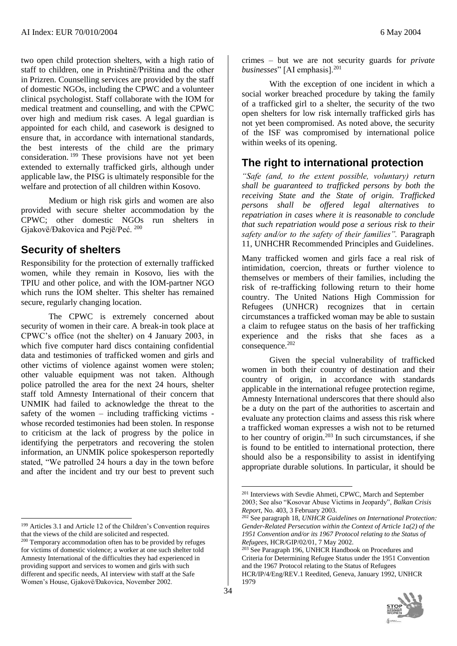two open child protection shelters, with a high ratio of staff to children, one in Prishtinë/Priština and the other in Prizren. Counselling services are provided by the staff of domestic NGOs, including the CPWC and a volunteer clinical psychologist. Staff collaborate with the IOM for medical treatment and counselling, and with the CPWC over high and medium risk cases. A legal guardian is appointed for each child, and casework is designed to ensure that, in accordance with international standards, the best interests of the child are the primary consideration. <sup>199</sup> These provisions have not yet been extended to externally trafficked girls, although under applicable law, the PISG is ultimately responsible for the welfare and protection of all children within Kosovo.

Medium or high risk girls and women are also provided with secure shelter accommodation by the CPWC; other domestic NGOs run shelters in Gjakovë/Đakovica and Pejë/Peć. <sup>200</sup>

#### **Security of shelters**

Responsibility for the protection of externally trafficked women, while they remain in Kosovo, lies with the TPIU and other police, and with the IOM-partner NGO which runs the IOM shelter. This shelter has remained secure, regularly changing location.

The CPWC is extremely concerned about security of women in their care. A break-in took place at CPWC's office (not the shelter) on 4 January 2003, in which five computer hard discs containing confidential data and testimonies of trafficked women and girls and other victims of violence against women were stolen; other valuable equipment was not taken. Although police patrolled the area for the next 24 hours, shelter staff told Amnesty International of their concern that UNMIK had failed to acknowledge the threat to the safety of the women – including trafficking victims whose recorded testimonies had been stolen. In response to criticism at the lack of progress by the police in identifying the perpetrators and recovering the stolen information, an UNMIK police spokesperson reportedly stated, "We patrolled 24 hours a day in the town before and after the incident and try our best to prevent such

l

 $\overline{a}$ 

crimes – but we are not security guards for *private businesses*" [AI emphasis].<sup>201</sup>

With the exception of one incident in which a social worker breached procedure by taking the family of a trafficked girl to a shelter, the security of the two open shelters for low risk internally trafficked girls has not yet been compromised. As noted above, the security of the ISF was compromised by international police within weeks of its opening.

## **The right to international protection**

*"Safe (and, to the extent possible, voluntary) return shall be guaranteed to trafficked persons by both the receiving State and the State of origin. Trafficked persons shall be offered legal alternatives to repatriation in cases where it is reasonable to conclude that such repatriation would pose a serious risk to their safety and/or to the safety of their families".* Paragraph 11, UNHCHR Recommended Principles and Guidelines.

Many trafficked women and girls face a real risk of intimidation, coercion, threats or further violence to themselves or members of their families, including the risk of re-trafficking following return to their home country. The United Nations High Commission for Refugees (UNHCR) recognizes that in certain circumstances a trafficked woman may be able to sustain a claim to refugee status on the basis of her trafficking experience and the risks that she faces as a consequence.<sup>202</sup>

Given the special vulnerability of trafficked women in both their country of destination and their country of origin, in accordance with standards applicable in the international refugee protection regime, Amnesty International underscores that there should also be a duty on the part of the authorities to ascertain and evaluate any protection claims and assess this risk where a trafficked woman expresses a wish not to be returned to her country of origin. $203$  In such circumstances, if she is found to be entitled to international protection, there should also be a responsibility to assist in identifying appropriate durable solutions. In particular, it should be

<sup>&</sup>lt;sup>203</sup> See Paragraph 196, UNHCR Handbook on Procedures and Criteria for Determining Refugee Status under the 1951 Convention and the 1967 Protocol relating to the Status of Refugees HCR/IP/4/Eng/REV.1 Reedited, Geneva, January 1992, UNHCR 1979



<sup>199</sup> Articles 3.1 and Article 12 of the Children's Convention requires that the views of the child are solicited and respected.

<sup>200</sup> Temporary accommodation often has to be provided by refuges for victims of domestic violence; a worker at one such shelter told Amnesty International of the difficulties they had experienced in providing support and services to women and girls with such different and specific needs, AI interview with staff at the Safe Women's House, Gjakovë/Đakovica, November 2002.

<sup>201</sup> Interviews with Sevdie Ahmeti, CPWC, March and September 2003; See also "Kosovar Abuse Victims in Jeopardy", *Balkan Crisis Report*, No. 403, 3 February 2003.

<sup>202</sup> See paragraph 18, *UNHCR Guidelines on International Protection: Gender-Related Persecution within the Context of Article 1a(2) of the 1951 Convention and/or its 1967 Protocol relating to the Status of Refugees*, HCR/GIP/02/01, 7 May 2002.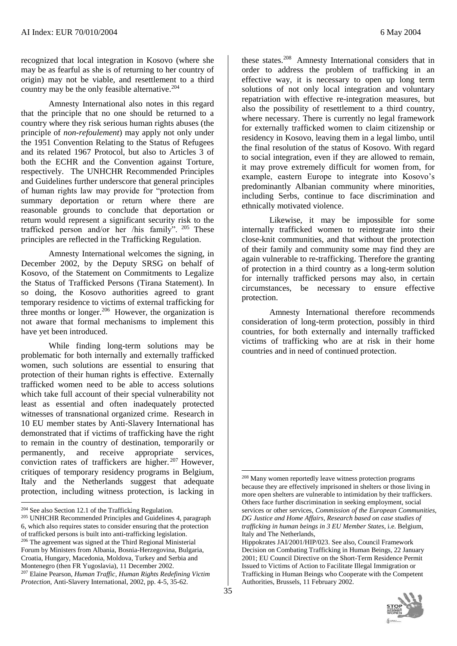recognized that local integration in Kosovo (where she may be as fearful as she is of returning to her country of origin) may not be viable, and resettlement to a third country may be the only feasible alternative.<sup>204</sup>

Amnesty International also notes in this regard that the principle that no one should be returned to a country where they risk serious human rights abuses (the principle of *non-refoulement*) may apply not only under the 1951 Convention Relating to the Status of Refugees and its related 1967 Protocol, but also to Articles 3 of both the ECHR and the Convention against Torture, respectively. The UNHCHR Recommended Principles and Guidelines further underscore that general principles of human rights law may provide for "protection from summary deportation or return where there are reasonable grounds to conclude that deportation or return would represent a significant security risk to the trafficked person and/or her /his family". <sup>205</sup> These principles are reflected in the Trafficking Regulation.

Amnesty International welcomes the signing, in December 2002, by the Deputy SRSG on behalf of Kosovo, of the Statement on Commitments to Legalize the Status of Trafficked Persons (Tirana Statement). In so doing, the Kosovo authorities agreed to grant temporary residence to victims of external trafficking for three months or longer.<sup>206</sup> However, the organization is not aware that formal mechanisms to implement this have yet been introduced.

While finding long-term solutions may be problematic for both internally and externally trafficked women, such solutions are essential to ensuring that protection of their human rights is effective. Externally trafficked women need to be able to access solutions which take full account of their special vulnerability not least as essential and often inadequately protected witnesses of transnational organized crime. Research in 10 EU member states by Anti-Slavery International has demonstrated that if victims of trafficking have the right to remain in the country of destination, temporarily or permanently, and receive appropriate services, conviction rates of traffickers are higher. <sup>207</sup> However, critiques of temporary residency programs in Belgium, Italy and the Netherlands suggest that adequate protection, including witness protection, is lacking in

l

these states.<sup>208</sup> Amnesty International considers that in order to address the problem of trafficking in an effective way, it is necessary to open up long term solutions of not only local integration and voluntary repatriation with effective re-integration measures, but also the possibility of resettlement to a third country, where necessary. There is currently no legal framework for externally trafficked women to claim citizenship or residency in Kosovo, leaving them in a legal limbo, until the final resolution of the status of Kosovo. With regard to social integration, even if they are allowed to remain, it may prove extremely difficult for women from, for example, eastern Europe to integrate into Kosovo's predominantly Albanian community where minorities, including Serbs, continue to face discrimination and ethnically motivated violence.

Likewise, it may be impossible for some internally trafficked women to reintegrate into their close-knit communities, and that without the protection of their family and community some may find they are again vulnerable to re-trafficking. Therefore the granting of protection in a third country as a long-term solution for internally trafficked persons may also, in certain circumstances, be necessary to ensure effective protection.

Amnesty International therefore recommends consideration of long-term protection, possibly in third countries, for both externally and internally trafficked victims of trafficking who are at risk in their home countries and in need of continued protection.

Hippokrates JAI/2001/HIP/023. See also, Council Framework Decision on Combating Trafficking in Human Beings, 22 January 2001; EU Council Directive on the Short-Term Residence Permit Issued to Victims of Action to Facilitate Illegal Immigration or Trafficking in Human Beings who Cooperate with the Competent Authorities, Brussels, 11 February 2002.



<sup>&</sup>lt;sup>204</sup> See also Section 12.1 of the Trafficking Regulation.

<sup>205</sup> UNHCHR Recommended Principles and Guidelines 4, paragraph 6, which also requires states to consider ensuring that the protection of trafficked persons is built into anti-trafficking legislation. <sup>206</sup> The agreement was signed at the Third Regional Ministerial Forum by Ministers from Albania, Bosnia-Herzegovina, Bulgaria, Croatia, Hungary, Macedonia, Moldova, Turkey and Serbia and Montenegro (then FR Yugoslavia), 11 December 2002. <sup>207</sup> Elaine Pearson*, Human Traffic, Human Rights Redefining Victim Protection*, Anti-Slavery International, 2002, pp. 4-5, 35-62.

<sup>208</sup> Many women reportedly leave witness protection programs because they are effectively imprisoned in shelters or those living in more open shelters are vulnerable to intimidation by their traffickers. Others face further discrimination in seeking employment, social services or other services, *Commission of the European Communities, DG Justice and Home Affairs, Research based on case studies of trafficking in human beings in 3 EU Member States*, i.e. Belgium, Italy and The Netherlands,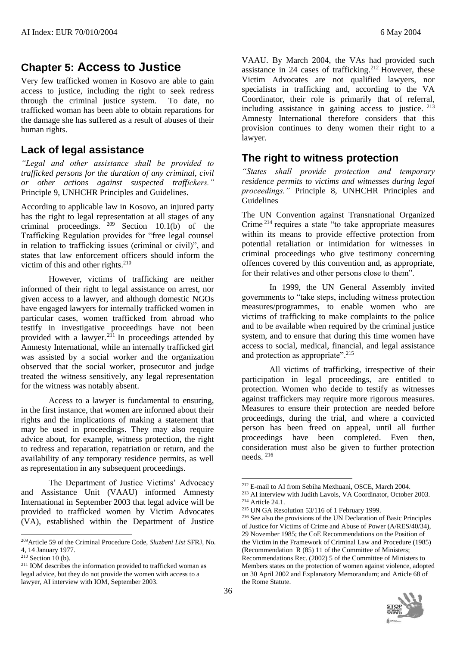## **Chapter 5: Access to Justice**

Very few trafficked women in Kosovo are able to gain access to justice, including the right to seek redress through the criminal justice system. To date, no trafficked woman has been able to obtain reparations for the damage she has suffered as a result of abuses of their human rights.

### **Lack of legal assistance**

*"Legal and other assistance shall be provided to trafficked persons for the duration of any criminal, civil or other actions against suspected traffickers."*  Principle 9, UNHCHR Principles and Guidelines.

According to applicable law in Kosovo, an injured party has the right to legal representation at all stages of any criminal proceedings.  $209$  Section 10.1(b) of the Trafficking Regulation provides for "free legal counsel in relation to trafficking issues (criminal or civil)", and states that law enforcement officers should inform the victim of this and other rights. $210$ 

However, victims of trafficking are neither informed of their right to legal assistance on arrest, nor given access to a lawyer, and although domestic NGOs have engaged lawyers for internally trafficked women in particular cases, women trafficked from abroad who testify in investigative proceedings have not been provided with a lawyer.<sup>211</sup> In proceedings attended by Amnesty International, while an internally trafficked girl was assisted by a social worker and the organization observed that the social worker, prosecutor and judge treated the witness sensitively, any legal representation for the witness was notably absent.

Access to a lawyer is fundamental to ensuring, in the first instance, that women are informed about their rights and the implications of making a statement that may be used in proceedings. They may also require advice about, for example, witness protection, the right to redress and reparation, repatriation or return, and the availability of any temporary residence permits, as well as representation in any subsequent proceedings.

The Department of Justice Victims' Advocacy and Assistance Unit (VAAU) informed Amnesty International in September 2003 that legal advice will be provided to trafficked women by Victim Advocates (VA), established within the Department of Justice

l

VAAU. By March 2004, the VAs had provided such assistance in 24 cases of trafficking.<sup>212</sup> However, these Victim Advocates are not qualified lawyers, nor specialists in trafficking and, according to the VA Coordinator, their role is primarily that of referral, including assistance in gaining access to justice. <sup>213</sup> Amnesty International therefore considers that this provision continues to deny women their right to a lawyer.

#### **The right to witness protection**

*"States shall provide protection and temporary residence permits to victims and witnesses during legal proceedings."* Principle 8, UNHCHR Principles and Guidelines

The UN Convention against Transnational Organized Crime <sup>214</sup> requires a state "to take appropriate measures within its means to provide effective protection from potential retaliation or intimidation for witnesses in criminal proceedings who give testimony concerning offences covered by this convention and, as appropriate, for their relatives and other persons close to them".

In 1999, the UN General Assembly invited governments to "take steps, including witness protection measures/programmes, to enable women who are victims of trafficking to make complaints to the police and to be available when required by the criminal justice system, and to ensure that during this time women have access to social, medical, financial, and legal assistance and protection as appropriate".<sup>215</sup>

All victims of trafficking, irrespective of their participation in legal proceedings, are entitled to protection. Women who decide to testify as witnesses against traffickers may require more rigorous measures. Measures to ensure their protection are needed before proceedings, during the trial, and where a convicted person has been freed on appeal, until all further proceedings have been completed. Even then, consideration must also be given to further protection needs. <sup>216</sup>

<sup>216</sup> See also the provisions of the UN Declaration of Basic Principles of Justice for Victims of Crime and Abuse of Power (A/RES/40/34), 29 November 1985; the CoE Recommendations on the Position of the Victim in the Framework of Criminal Law and Procedure (1985) (Recommendation R (85) 11 of the Committee of Ministers; Recommendations Rec. (2002) 5 of the Committee of Ministers to Members states on the protection of women against violence, adopted on 30 April 2002 and Explanatory Memorandum; and Article 68 of the Rome Statute.



<sup>209</sup>Article 59 of the Criminal Procedure Code, *Sluzbeni List* SFRJ, No. 4, 14 January 1977.

 $210$  Section 10 (b).

<sup>211</sup> IOM describes the information provided to trafficked woman as legal advice, but they do not provide the women with access to a lawyer, AI interview with IOM, September 2003.

<sup>212</sup> E-mail to AI from Sebiha Mexhuani, OSCE, March 2004.

<sup>213</sup> AI interview with Judith Lavois, VA Coordinator, October 2003. <sup>214</sup> Article 24.1.

<sup>215</sup> UN GA Resolution 53/116 of 1 February 1999.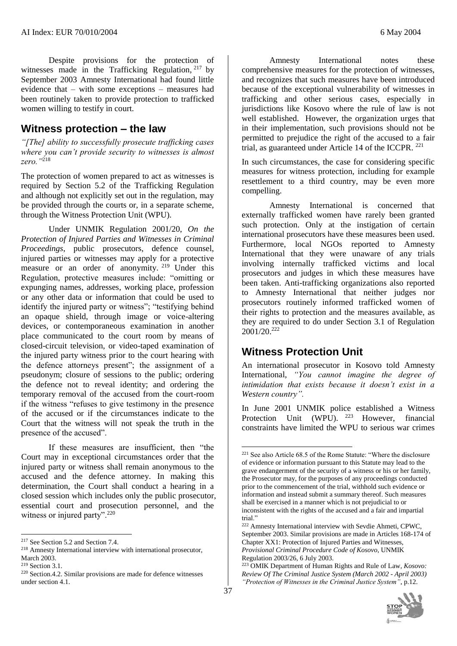Despite provisions for the protection of witnesses made in the Trafficking Regulation, <sup>217</sup> by September 2003 Amnesty International had found little evidence that – with some exceptions – measures had been routinely taken to provide protection to trafficked women willing to testify in court.

#### **Witness protection – the law**

*"[The] ability to successfully prosecute trafficking cases where you can't provide security to witnesses is almost zero."*<sup>218</sup>

The protection of women prepared to act as witnesses is required by Section 5.2 of the Trafficking Regulation and although not explicitly set out in the regulation, may be provided through the courts or, in a separate scheme, through the Witness Protection Unit (WPU).

Under UNMIK Regulation 2001/20, *On the Protection of Injured Parties and Witnesses in Criminal Proceedings*, public prosecutors, defence counsel, injured parties or witnesses may apply for a protective measure or an order of anonymity. <sup>219</sup> Under this Regulation, protective measures include: "omitting or expunging names, addresses, working place, profession or any other data or information that could be used to identify the injured party or witness"; "testifying behind an opaque shield, through image or voice-altering devices, or contemporaneous examination in another place communicated to the court room by means of closed-circuit television, or video-taped examination of the injured party witness prior to the court hearing with the defence attorneys present"; the assignment of a pseudonym; closure of sessions to the public; ordering the defence not to reveal identity; and ordering the temporary removal of the accused from the court-room if the witness "refuses to give testimony in the presence of the accused or if the circumstances indicate to the Court that the witness will not speak the truth in the presence of the accused".

If these measures are insufficient, then "the Court may in exceptional circumstances order that the injured party or witness shall remain anonymous to the accused and the defence attorney. In making this determination, the Court shall conduct a hearing in a closed session which includes only the public prosecutor, essential court and prosecution personnel, and the witness or injured party".<sup>220</sup>

l

Amnesty International notes these comprehensive measures for the protection of witnesses, and recognizes that such measures have been introduced because of the exceptional vulnerability of witnesses in trafficking and other serious cases, especially in jurisdictions like Kosovo where the rule of law is not well established. However, the organization urges that in their implementation, such provisions should not be permitted to prejudice the right of the accused to a fair trial, as guaranteed under Article 14 of the ICCPR. <sup>221</sup>

In such circumstances, the case for considering specific measures for witness protection, including for example resettlement to a third country, may be even more compelling.

Amnesty International is concerned that externally trafficked women have rarely been granted such protection. Only at the instigation of certain international prosecutors have these measures been used. Furthermore, local NGOs reported to Amnesty International that they were unaware of any trials involving internally trafficked victims and local prosecutors and judges in which these measures have been taken. Anti-trafficking organizations also reported to Amnesty International that neither judges nor prosecutors routinely informed trafficked women of their rights to protection and the measures available, as they are required to do under Section 3.1 of Regulation  $2001/20.<sup>222</sup>$ 

## **Witness Protection Unit**

An international prosecutor in Kosovo told Amnesty International, *"You cannot imagine the degree of intimidation that exists because it doesn't exist in a Western country".*

In June 2001 UNMIK police established a Witness Protection Unit (WPU). <sup>223</sup> However, financial constraints have limited the WPU to serious war crimes

<sup>223</sup> OMIK Department of Human Rights and Rule of Law*, Kosovo: Review Of The Criminal Justice System (March 2002 - April 2003) "Protection of Witnesses in the Criminal Justice System"*, p.12.



<sup>&</sup>lt;sup>217</sup> See Section 5.2 and Section 7.4.

<sup>218</sup> Amnesty International interview with international prosecutor, March 2003.

<sup>219</sup> Section 3.1.

<sup>220</sup> Section.4.2. Similar provisions are made for defence witnesses under section 4.1.

 $221$  See also Article 68.5 of the Rome Statute: "Where the disclosure of evidence or information pursuant to this Statute may lead to the grave endangerment of the security of a witness or his or her family, the Prosecutor may, for the purposes of any proceedings conducted prior to the commencement of the trial, withhold such evidence or information and instead submit a summary thereof. Such measures shall be exercised in a manner which is not prejudicial to or inconsistent with the rights of the accused and a fair and impartial trial."

<sup>222</sup> Amnesty International interview with Sevdie Ahmeti, CPWC, September 2003. Similar provisions are made in Articles 168-174 of Chapter XX1: Protection of Injured Parties and Witnesses, *Provisional Criminal Procedure Code of Kosovo*, UNMIK Regulation 2003/26, 6 July 2003.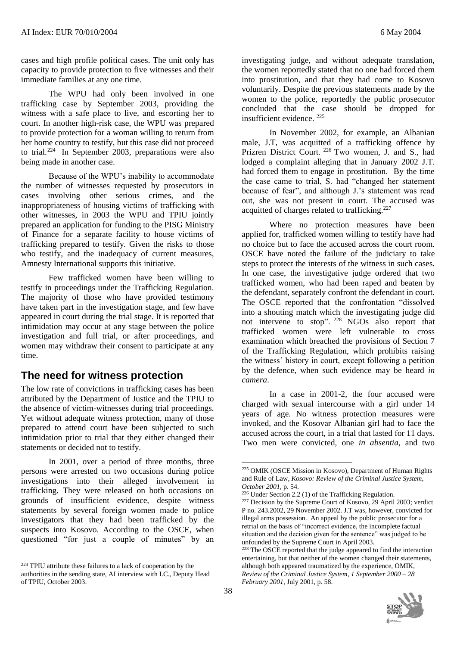cases and high profile political cases. The unit only has capacity to provide protection to five witnesses and their immediate families at any one time.

The WPU had only been involved in one trafficking case by September 2003, providing the witness with a safe place to live, and escorting her to court. In another high-risk case, the WPU was prepared to provide protection for a woman willing to return from her home country to testify, but this case did not proceed to trial. $^{224}$  In September 2003, preparations were also being made in another case.

Because of the WPU's inability to accommodate the number of witnesses requested by prosecutors in cases involving other serious crimes, and the inappropriateness of housing victims of trafficking with other witnesses, in 2003 the WPU and TPIU jointly prepared an application for funding to the PISG Ministry of Finance for a separate facility to house victims of trafficking prepared to testify. Given the risks to those who testify, and the inadequacy of current measures, Amnesty International supports this initiative.

Few trafficked women have been willing to testify in proceedings under the Trafficking Regulation. The majority of those who have provided testimony have taken part in the investigation stage, and few have appeared in court during the trial stage. It is reported that intimidation may occur at any stage between the police investigation and full trial, or after proceedings, and women may withdraw their consent to participate at any time.

## **The need for witness protection**

The low rate of convictions in trafficking cases has been attributed by the Department of Justice and the TPIU to the absence of victim-witnesses during trial proceedings. Yet without adequate witness protection, many of those prepared to attend court have been subjected to such intimidation prior to trial that they either changed their statements or decided not to testify.

In 2001, over a period of three months, three persons were arrested on two occasions during police investigations into their alleged involvement in trafficking. They were released on both occasions on grounds of insufficient evidence, despite witness statements by several foreign women made to police investigators that they had been trafficked by the suspects into Kosovo. According to the OSCE, when questioned "for just a couple of minutes" by an

l

investigating judge, and without adequate translation, the women reportedly stated that no one had forced them into prostitution, and that they had come to Kosovo voluntarily. Despite the previous statements made by the women to the police, reportedly the public prosecutor concluded that the case should be dropped for insufficient evidence. <sup>225</sup>

In November 2002, for example, an Albanian male, J.T, was acquitted of a trafficking offence by Prizren District Court. <sup>226</sup> Two women, J. and S., had lodged a complaint alleging that in January 2002 J.T. had forced them to engage in prostitution. By the time the case came to trial, S. had "changed her statement because of fear", and although J.'s statement was read out, she was not present in court. The accused was acquitted of charges related to trafficking.<sup>227</sup>

Where no protection measures have been applied for, trafficked women willing to testify have had no choice but to face the accused across the court room. OSCE have noted the failure of the judiciary to take steps to protect the interests of the witness in such cases. In one case, the investigative judge ordered that two trafficked women, who had been raped and beaten by the defendant, separately confront the defendant in court. The OSCE reported that the confrontation "dissolved into a shouting match which the investigating judge did not intervene to stop". <sup>228</sup> NGOs also report that trafficked women were left vulnerable to cross examination which breached the provisions of Section 7 of the Trafficking Regulation, which prohibits raising the witness' history in court, except following a petition by the defence, when such evidence may be heard *in camera*.

In a case in 2001-2, the four accused were charged with sexual intercourse with a girl under 14 years of age. No witness protection measures were invoked, and the Kosovar Albanian girl had to face the accused across the court, in a trial that lasted for 11 days. Two men were convicted, one *in absentia*, and two

<sup>&</sup>lt;sup>228</sup> The OSCE reported that the judge appeared to find the interaction entertaining, but that neither of the women changed their statements, although both appeared traumatized by the experience, OMIK, *Review of the Criminal Justice System, 1 September 2000 – 28 February 2001*, July 2001, p. 58.



<sup>224</sup> TPIU attribute these failures to a lack of cooperation by the authorities in the sending state, AI interview with I.C., Deputy Head of TPIU, October 2003.

<sup>225</sup> OMIK (OSCE Mission in Kosovo), Department of Human Rights and Rule of Law, *Kosovo: Review of the Criminal Justice System, October 2001,* p. 54.

<sup>226</sup> Under Section 2.2 (1) of the Trafficking Regulation.

<sup>&</sup>lt;sup>227</sup> Decision by the Supreme Court of Kosovo,  $\overline{29}$  April 2003; verdict P no. 243.2002, 29 November 2002. J.T was, however, convicted for illegal arms possession. An appeal by the public prosecutor for a retrial on the basis of "incorrect evidence, the incomplete factual situation and the decision given for the sentence" was judged to be unfounded by the Supreme Court in April 2003.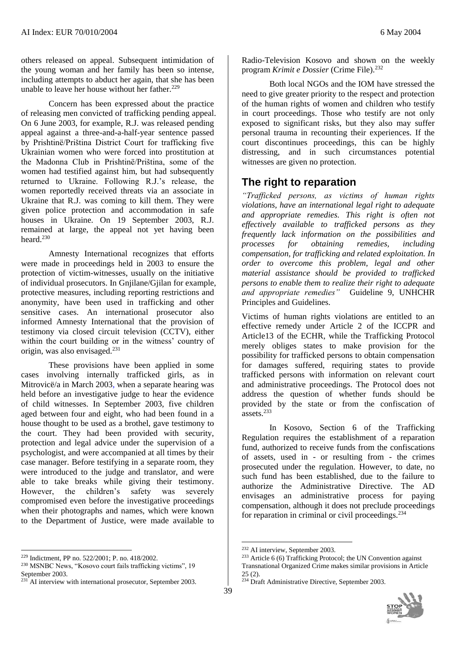others released on appeal. Subsequent intimidation of the young woman and her family has been so intense, including attempts to abduct her again, that she has been unable to leave her house without her father.<sup>229</sup>

Concern has been expressed about the practice of releasing men convicted of trafficking pending appeal. On 6 June 2003, for example, R.J. was released pending appeal against a three-and-a-half-year sentence passed by Prishtinë/Priština District Court for trafficking five Ukrainian women who were forced into prostitution at the Madonna Club in Prishtinë/Priština, some of the women had testified against him, but had subsequently returned to Ukraine. Following R.J.'s release, the women reportedly received threats via an associate in Ukraine that R.J. was coming to kill them. They were given police protection and accommodation in safe houses in Ukraine. On 19 September 2003, R.J. remained at large, the appeal not yet having been heard.<sup>230</sup>

Amnesty International recognizes that efforts were made in proceedings held in 2003 to ensure the protection of victim-witnesses, usually on the initiative of individual prosecutors. In Gnjilane/Gjilan for example, protective measures, including reporting restrictions and anonymity, have been used in trafficking and other sensitive cases. An international prosecutor also informed Amnesty International that the provision of testimony via closed circuit television (CCTV), either within the court building or in the witness' country of origin, was also envisaged.<sup>231</sup>

These provisions have been applied in some cases involving internally trafficked girls, as in Mitrovicë/a in March 2003, when a separate hearing was held before an investigative judge to hear the evidence of child witnesses. In September 2003, five children aged between four and eight, who had been found in a house thought to be used as a brothel, gave testimony to the court. They had been provided with security, protection and legal advice under the supervision of a psychologist, and were accompanied at all times by their case manager. Before testifying in a separate room, they were introduced to the judge and translator, and were able to take breaks while giving their testimony. However, the children's safety was severely compromised even before the investigative proceedings when their photographs and names, which were known to the Department of Justice, were made available to

 $\overline{a}$ 

Radio-Television Kosovo and shown on the weekly program *Krimit e Dossier* (Crime File).<sup>232</sup>

Both local NGOs and the IOM have stressed the need to give greater priority to the respect and protection of the human rights of women and children who testify in court proceedings. Those who testify are not only exposed to significant risks, but they also may suffer personal trauma in recounting their experiences. If the court discontinues proceedings, this can be highly distressing, and in such circumstances potential witnesses are given no protection.

## **The right to reparation**

*"Trafficked persons, as victims of human rights violations, have an international legal right to adequate and appropriate remedies. This right is often not effectively available to trafficked persons as they frequently lack information on the possibilities and processes for obtaining remedies, including compensation, for trafficking and related exploitation. In order to overcome this problem, legal and other material assistance should be provided to trafficked persons to enable them to realize their right to adequate and appropriate remedies"* Guideline 9, UNHCHR Principles and Guidelines.

Victims of human rights violations are entitled to an effective remedy under Article 2 of the ICCPR and Article13 of the ECHR, while the Trafficking Protocol merely obliges states to make provision for the possibility for trafficked persons to obtain compensation for damages suffered, requiring states to provide trafficked persons with information on relevant court and administrative proceedings. The Protocol does not address the question of whether funds should be provided by the state or from the confiscation of  $\arccos 233$ 

In Kosovo, Section 6 of the Trafficking Regulation requires the establishment of a reparation fund, authorized to receive funds from the confiscations of assets, used in - or resulting from - the crimes prosecuted under the regulation. However, to date, no such fund has been established, due to the failure to authorize the Administrative Directive. The AD envisages an administrative process for paying compensation, although it does not preclude proceedings for reparation in criminal or civil proceedings. $234$ 

<sup>&</sup>lt;sup>234</sup> Draft Administrative Directive, September 2003.



<sup>229</sup> Indictment, PP no. 522/2001; P. no. 418/2002.

<sup>230</sup> MSNBC News, "Kosovo court fails trafficking victims", 19 September 2003.

 $^{231}$ AI interview with international prosecutor, September 2003.

<sup>&</sup>lt;u>.</u> <sup>232</sup> AI interview, September 2003.

 $233$  Article 6 (6) Trafficking Protocol; the UN Convention against Transnational Organized Crime makes similar provisions in Article 25 (2).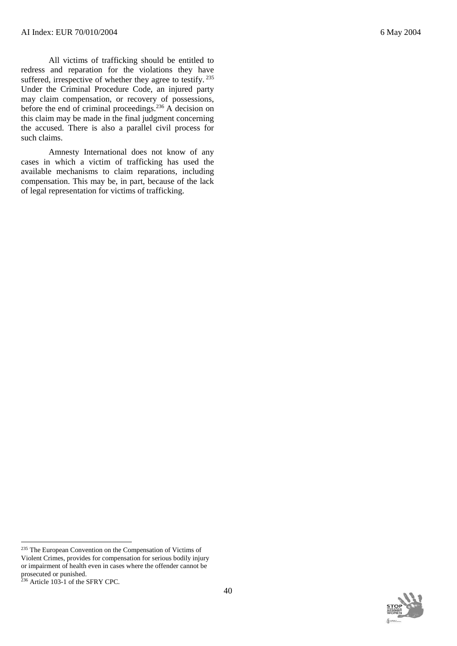All victims of trafficking should be entitled to redress and reparation for the violations they have suffered, irrespective of whether they agree to testify. <sup>235</sup> Under the Criminal Procedure Code, an injured party may claim compensation, or recovery of possessions, before the end of criminal proceedings.<sup>236</sup> A decision on this claim may be made in the final judgment concerning the accused. There is also a parallel civil process for such claims.

Amnesty International does not know of any cases in which a victim of trafficking has used the available mechanisms to claim reparations, including compensation. This may be, in part, because of the lack of legal representation for victims of trafficking.

l

<sup>&</sup>lt;sup>235</sup> The European Convention on the Compensation of Victims of Violent Crimes, provides for compensation for serious bodily injury or impairment of health even in cases where the offender cannot be prosecuted or punished.

<sup>&</sup>lt;sup>236</sup> Article 103-1 of the SFRY CPC.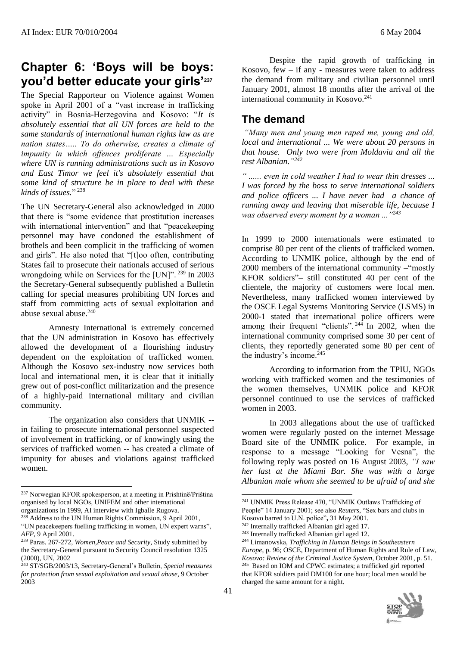# **Chapter 6: 'Boys will be boys: you'd better educate your girls'<sup>237</sup>**

The Special Rapporteur on Violence against Women spoke in April 2001 of a "vast increase in trafficking activity" in Bosnia-Herzegovina and Kosovo: "*It is absolutely essential that all UN forces are held to the same standards of international human rights law as are nation states….. To do otherwise, creates a climate of impunity in which offences proliferate … Especially where UN is running administrations such as in Kosovo and East Timor we feel it's absolutely essential that some kind of structure be in place to deal with these kinds of issues.*" 238

The UN Secretary-General also acknowledged in 2000 that there is "some evidence that prostitution increases with international intervention" and that "peacekeeping personnel may have condoned the establishment of brothels and been complicit in the trafficking of women and girls". He also noted that "[t]oo often, contributing States fail to prosecute their nationals accused of serious wrongdoing while on Services for the [UN]".<sup>239</sup> In 2003 the Secretary-General subsequently published a Bulletin calling for special measures prohibiting UN forces and staff from committing acts of sexual exploitation and abuse sexual abuse.<sup>240</sup>

Amnesty International is extremely concerned that the UN administration in Kosovo has effectively allowed the development of a flourishing industry dependent on the exploitation of trafficked women. Although the Kosovo sex-industry now services both local and international men, it is clear that it initially grew out of post-conflict militarization and the presence of a highly-paid international military and civilian community.

The organization also considers that UNMIK - in failing to prosecute international personnel suspected of involvement in trafficking, or of knowingly using the services of trafficked women -- has created a climate of impunity for abuses and violations against trafficked women.

 $\overline{a}$ 

Despite the rapid growth of trafficking in Kosovo, few  $-$  if any - measures were taken to address the demand from military and civilian personnel until January 2001, almost 18 months after the arrival of the international community in Kosovo.<sup>241</sup>

## **The demand**

*"Many men and young men raped me, young and old, local and international ... We were about 20 persons in that house. Only two were from Moldavia and all the rest Albanian*.*" 242*

*" ...... even in cold weather I had to wear thin dresses ... I was forced by the boss to serve international soldiers and police officers ... I have never had a chance of running away and leaving that miserable life, because I was observed every moment by a woman ..."<sup>243</sup>*

In 1999 to 2000 internationals were estimated to comprise 80 per cent of the clients of trafficked women. According to UNMIK police, although by the end of 2000 members of the international community –"mostly KFOR soldiers"– still constituted 40 per cent of the clientele, the majority of customers were local men. Nevertheless, many trafficked women interviewed by the OSCE Legal Systems Monitoring Service (LSMS) in 2000-1 stated that international police officers were among their frequent "clients".  $24\overline{4}$  In 2002, when the international community comprised some 30 per cent of clients, they reportedly generated some 80 per cent of the industry's income. $245$ 

According to information from the TPIU, NGOs working with trafficked women and the testimonies of the women themselves, UNMIK police and KFOR personnel continued to use the services of trafficked women in 2003.

In 2003 allegations about the use of trafficked women were regularly posted on the internet Message Board site of the UNMIK police. For example, in response to a message "Looking for Vesna", the following reply was posted on 16 August 2003, *"I saw her last at the Miami Bar. She was with a large Albanian male whom she seemed to be afraid of and she* 

<sup>244</sup> Limanowska, *Trafficking in Human Beings in Southeastern Europe*, p. 96; OSCE, Department of Human Rights and Rule of Law*, Kosovo: Review of the Criminal Justice System*, October 2001, p. 51. 245 Based on IOM and CPWC estimates; a trafficked girl reported that KFOR soldiers paid DM100 for one hour; local men would be charged the same amount for a night.



<sup>237</sup> Norwegian KFOR spokesperson, at a meeting in Prishtinë/Priština organised by local NGOs, UNIFEM and other international organizations in 1999, AI interview with Igballe Rugova.

<sup>238</sup> Address to the UN Human Rights Commission, 9 April 2001, "UN peacekeepers fuelling trafficking in women, UN expert warns", *AFP*, 9 April 2001.

<sup>239</sup> Paras. 267-272, *Women,Peace and Security*, Study submitted by the Secretary-General pursuant to Security Council resolution 1325 (2000), UN, 2002

<sup>240</sup> ST/SGB/2003/13, Secretary-General's Bulletin, *Special measures for protection from sexual exploitation and sexual abuse*, 9 October 2003

<sup>&</sup>lt;u>.</u> <sup>241</sup> UNMIK Press Release 470, "UNMIK Outlaws Trafficking of People" 14 January 2001; see also *Reuters*, "Sex bars and clubs in Kosovo barred to U.N. police"**,** 31 May 2001.

<sup>242</sup> Internally trafficked Albanian girl aged 17.

<sup>243</sup> Internally trafficked Albanian girl aged 12.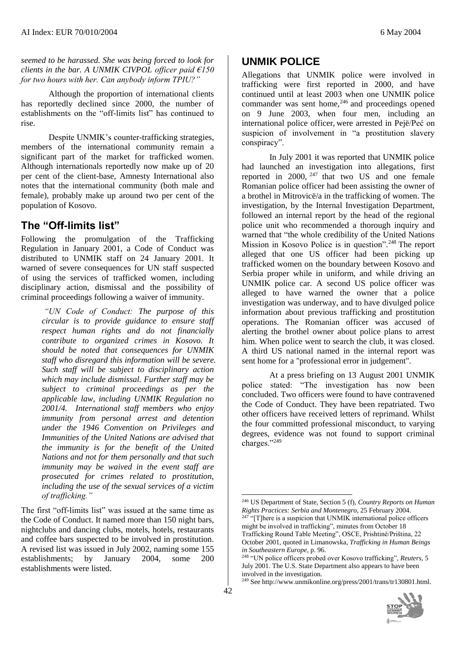*seemed to be harassed. She was being forced to look for clients in the bar. A UNMIK CIVPOL officer paid €150 for two hours with her. Can anybody inform TPIU?"*

Although the proportion of international clients has reportedly declined since 2000, the number of establishments on the "off-limits list" has continued to rise.

Despite UNMIK's counter-trafficking strategies, members of the international community remain a significant part of the market for trafficked women. Although internationals reportedly now make up of 20 per cent of the client-base, Amnesty International also notes that the international community (both male and female), probably make up around two per cent of the population of Kosovo.

### **The "Off-limits list"**

Following the promulgation of the Trafficking Regulation in January 2001, a Code of Conduct was distributed to UNMIK staff on 24 January 2001. It warned of severe consequences for UN staff suspected of using the services of trafficked women, including disciplinary action, dismissal and the possibility of criminal proceedings following a waiver of immunity.

> *"UN Code of Conduct: The purpose of this circular is to provide guidance to ensure staff respect human rights and do not financially contribute to organized crimes in Kosovo. It should be noted that consequences for UNMIK staff who disregard this information will be severe. Such staff will be subject to disciplinary action which may include dismissal. Further staff may be subject to criminal proceedings as per the applicable law, including UNMIK Regulation no 2001/4. International staff members who enjoy immunity from personal arrest and detention under the 1946 Convention on Privileges and Immunities of the United Nations are advised that the immunity is for the benefit of the United Nations and not for them personally and that such immunity may be waived in the event staff are prosecuted for crimes related to prostitution, including the use of the sexual services of a victim of trafficking."*

The first "off-limits list" was issued at the same time as the Code of Conduct. It named more than 150 night bars, nightclubs and dancing clubs, motels, hotels, restaurants and coffee bars suspected to be involved in prostitution. A revised list was issued in July 2002, naming some 155 establishments; by January 2004, some 200 establishments were listed.

## **UNMIK POLICE**

Allegations that UNMIK police were involved in trafficking were first reported in 2000, and have continued until at least 2003 when one UNMIK police commander was sent home,<sup>246</sup> and proceedings opened on 9 June 2003, when four men, including an international police officer, were arrested in Pejë/Peć on suspicion of involvement in "a prostitution slavery conspiracy".

In July 2001 it was reported that UNMIK police had launched an investigation into allegations, first reported in 2000,  $247$  that two US and one female Romanian police officer had been assisting the owner of a brothel in Mitrovicë/a in the trafficking of women. The investigation, by the Internal Investigation Department, followed an internal report by the head of the regional police unit who recommended a thorough inquiry and warned that "the whole credibility of the United Nations Mission in Kosovo Police is in question".<sup>248</sup> The report alleged that one US officer had been picking up trafficked women on the boundary between Kosovo and Serbia proper while in uniform, and while driving an UNMIK police car. A second US police officer was alleged to have warned the owner that a police investigation was underway, and to have divulged police information about previous trafficking and prostitution operations. The Romanian officer was accused of alerting the brothel owner about police plans to arrest him. When police went to search the club, it was closed. A third US national named in the internal report was sent home for a "professional error in judgement".

At a press briefing on 13 August 2001 UNMIK police stated: "The investigation has now been concluded. Two officers were found to have contravened the Code of Conduct. They have been repatriated. Two other officers have received letters of reprimand. Whilst the four committed professional misconduct, to varying degrees, evidence was not found to support criminal charges."<sup>249</sup>

<sup>249</sup> See http://www.unmikonline.org/press/2001/trans/tr130801.html.



<sup>&</sup>lt;u>.</u> <sup>246</sup> US Department of State, Section 5 (f), *Country Reports on Human Rights Practices: Serbia and Montenegro*, 25 February 2004.

 $247$  "[T]here is a suspicion that UNMIK international police officers might be involved in trafficking", minutes from October 18 Trafficking Round Table Meeting", OSCE, Prishtinë/Priština, 22 October 2001, quoted in Limanowska, *Trafficking in Human Beings in Southeastern Europe*, p. 96.

<sup>248</sup> "UN police officers probed over Kosovo trafficking", *Reuters*, 5 July 2001. The U.S. State Department also appears to have been involved in the investigation.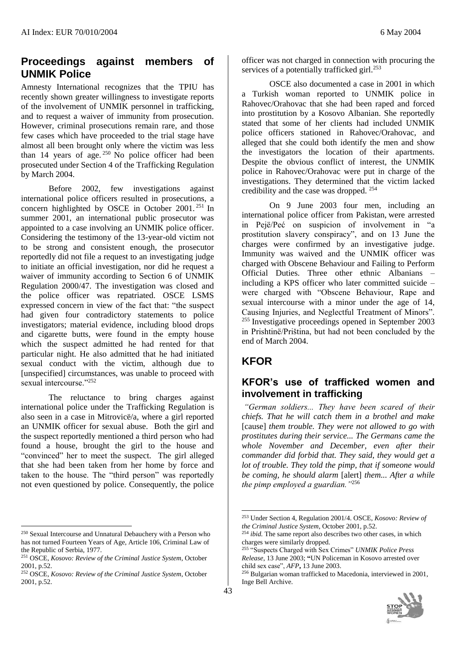#### **Proceedings against members of UNMIK Police**

Amnesty International recognizes that the TPIU has recently shown greater willingness to investigate reports of the involvement of UNMIK personnel in trafficking, and to request a waiver of immunity from prosecution. However, criminal prosecutions remain rare, and those few cases which have proceeded to the trial stage have almost all been brought only where the victim was less than 14 years of age.<sup>250</sup> No police officer had been prosecuted under Section 4 of the Trafficking Regulation by March 2004.

Before 2002, few investigations against international police officers resulted in prosecutions, a concern highlighted by OSCE in October 2001. <sup>251</sup> In summer 2001, an international public prosecutor was appointed to a case involving an UNMIK police officer. Considering the testimony of the 13-year-old victim not to be strong and consistent enough, the prosecutor reportedly did not file a request to an investigating judge to initiate an official investigation, nor did he request a waiver of immunity according to Section 6 of UNMIK Regulation 2000/47. The investigation was closed and the police officer was repatriated. OSCE LSMS expressed concern in view of the fact that: "the suspect had given four contradictory statements to police investigators; material evidence, including blood drops and cigarette butts, were found in the empty house which the suspect admitted he had rented for that particular night. He also admitted that he had initiated sexual conduct with the victim, although due to [unspecified] circumstances, was unable to proceed with sexual intercourse."<sup>252</sup>

The reluctance to bring charges against international police under the Trafficking Regulation is also seen in a case in Mitrovicë/a, where a girl reported an UNMIK officer for sexual abuse. Both the girl and the suspect reportedly mentioned a third person who had found a house, brought the girl to the house and "convinced" her to meet the suspect. The girl alleged that she had been taken from her home by force and taken to the house. The "third person" was reportedly not even questioned by police. Consequently, the police

 $\overline{a}$ 

officer was not charged in connection with procuring the services of a potentially trafficked girl.<sup>253</sup>

OSCE also documented a case in 2001 in which a Turkish woman reported to UNMIK police in Rahovec/Orahovac that she had been raped and forced into prostitution by a Kosovo Albanian. She reportedly stated that some of her clients had included UNMIK police officers stationed in Rahovec/Orahovac, and alleged that she could both identify the men and show the investigators the location of their apartments. Despite the obvious conflict of interest, the UNMIK police in Rahovec/Orahovac were put in charge of the investigations. They determined that the victim lacked credibility and the case was dropped. <sup>254</sup>

On 9 June 2003 four men, including an international police officer from Pakistan, were arrested in Pejë/Peć on suspicion of involvement in "a prostitution slavery conspiracy", and on 13 June the charges were confirmed by an investigative judge. Immunity was waived and the UNMIK officer was charged with Obscene Behaviour and Failing to Perform Official Duties. Three other ethnic Albanians – including a KPS officer who later committed suicide – were charged with "Obscene Behaviour, Rape and sexual intercourse with a minor under the age of 14, Causing Injuries, and Neglectful Treatment of Minors". <sup>255</sup> Investigative proceedings opened in September 2003 in Prishtinë/Priština, but had not been concluded by the end of March 2004.

#### **KFOR**

#### **KFOR's use of trafficked women and involvement in trafficking**

*"German soldiers... They have been scared of their chiefs. That he will catch them in a brothel and make* [cause] *them trouble. They were not allowed to go with prostitutes during their service... The Germans came the whole November and December, even after their commander did forbid that. They said, they would get a lot of trouble. They told the pimp, that if someone would be coming, he should alarm* [alert] *them... After a while the pimp employed a guardian."*<sup>256</sup>

<sup>250</sup> Sexual Intercourse and Unnatural Debauchery with a Person who has not turned Fourteen Years of Age, Article 106, Criminal Law of the Republic of Serbia, 1977.

<sup>251</sup> OSCE, *Kosovo: Review of the Criminal Justice System*, October 2001, p.52.

<sup>252</sup> OSCE, *Kosovo: Review of the Criminal Justice System*, October 2001, p.52.

<sup>253</sup> Under Section 4, Regulation 2001/4. OSCE*, Kosovo: Review of the Criminal Justice System*, October 2001, p.52.

<sup>&</sup>lt;sup>254</sup> *ibid*. The same report also describes two other cases, in which charges were similarly dropped.

<sup>255</sup> "Suspects Charged with Sex Crimes" *UNMIK Police Press Release*, 13 June 2003; **"**UN Policeman in Kosovo arrested over child sex case", *AFP***,** 13 June 2003.

<sup>256</sup> Bulgarian woman trafficked to Macedonia, interviewed in 2001, Inge Bell Archive.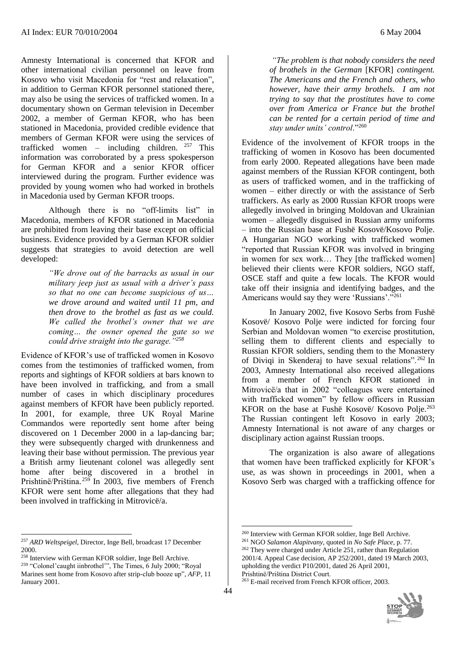Amnesty International is concerned that KFOR and other international civilian personnel on leave from Kosovo who visit Macedonia for "rest and relaxation", in addition to German KFOR personnel stationed there, may also be using the services of trafficked women. In a documentary shown on German television in December 2002, a member of German KFOR, who has been stationed in Macedonia, provided credible evidence that members of German KFOR were using the services of trafficked women – including children. <sup>257</sup> This information was corroborated by a press spokesperson for German KFOR and a senior KFOR officer interviewed during the program. Further evidence was provided by young women who had worked in brothels in Macedonia used by German KFOR troops.

Although there is no "off-limits list" in Macedonia, members of KFOR stationed in Macedonia are prohibited from leaving their base except on official business. Evidence provided by a German KFOR soldier suggests that strategies to avoid detection are well developed:

> *"We drove out of the barracks as usual in our military jeep just as usual with a driver's pass so that no one can become suspicious of us… we drove around and waited until 11 pm, and then drove to the brothel as fast as we could. We called the brothel's owner that we are coming… the owner opened the gate so we could drive straight into the garage."<sup>258</sup>*

Evidence of KFOR's use of trafficked women in Kosovo comes from the testimonies of trafficked women, from reports and sightings of KFOR soldiers at bars known to have been involved in trafficking, and from a small number of cases in which disciplinary procedures against members of KFOR have been publicly reported. In 2001, for example, three UK Royal Marine Commandos were reportedly sent home after being discovered on 1 December 2000 in a lap-dancing bar; they were subsequently charged with drunkenness and leaving their base without permission. The previous year a British army lieutenant colonel was allegedly sent home after being discovered in a brothel in Prishtinë/Priština. <sup>259</sup> In 2003, five members of French KFOR were sent home after allegations that they had been involved in trafficking in Mitrovicë/a.

l <sup>257</sup> *ARD Weltspeigel*, Director, Inge Bell, broadcast 17 December 2000.

<sup>258</sup> Interview with German KFOR soldier, Inge Bell Archive.

<sup>259</sup> "Colonel'caught iinbrothel'", The Times, 6 July 2000; "Royal Marines sent home from Kosovo after strip-club booze up"*, AFP*, 11 January 2001.

 $\overline{a}$ 

*"The problem is that nobody considers the need of brothels in the German* [KFOR] *contingent. The Americans and the French and others, who however, have their army brothels. I am not trying to say that the prostitutes have to come over from America or France but the brothel can be rented for a certain period of time and stay under units' control*."<sup>260</sup>

Evidence of the involvement of KFOR troops in the trafficking of women in Kosovo has been documented from early 2000. Repeated allegations have been made against members of the Russian KFOR contingent, both as users of trafficked women, and in the trafficking of women – either directly or with the assistance of Serb traffickers. As early as 2000 Russian KFOR troops were allegedly involved in bringing Moldovan and Ukrainian women – allegedly disguised in Russian army uniforms – into the Russian base at Fushë Kosovë/Kosovo Polje. A Hungarian NGO working with trafficked women "reported that Russian KFOR was involved in bringing in women for sex work… They [the trafficked women] believed their clients were KFOR soldiers, NGO staff, OSCE staff and quite a few locals. The KFOR would take off their insignia and identifying badges, and the Americans would say they were 'Russians'."<sup>261</sup>

In January 2002, five Kosovo Serbs from Fushë Kosovë/ Kosovo Polje were indicted for forcing four Serbian and Moldovan women "to exercise prostitution, selling them to different clients and especially to Russian KFOR soldiers, sending them to the Monastery of Diviqi in Skenderaj to have sexual relations".<sup>262</sup> In 2003, Amnesty International also received allegations from a member of French KFOR stationed in Mitrovicë/a that in 2002 "colleagues were entertained with trafficked women" by fellow officers in Russian KFOR on the base at Fushë Kosovë/ Kosovo Polje. 263 The Russian contingent left Kosovo in early 2003; Amnesty International is not aware of any charges or disciplinary action against Russian troops.

The organization is also aware of allegations that women have been trafficked explicitly for KFOR's use, as was shown in proceedings in 2001, when a Kosovo Serb was charged with a trafficking offence for

<sup>263</sup> E-mail received from French KFOR officer, 2003.



<sup>260</sup> Interview with German KFOR soldier, Inge Bell Archive.

<sup>261</sup> NGO *Salamon Alapitvany*, quoted in *No Safe Place*, p. 77.

<sup>262</sup> They were charged under Article 251, rather than Regulation 2001/4. Appeal Case decision, AP 252/2001, dated 19 March 2003, upholding the verdict P10/2001, dated 26 April 2001, Prishtinë/Priština District Court.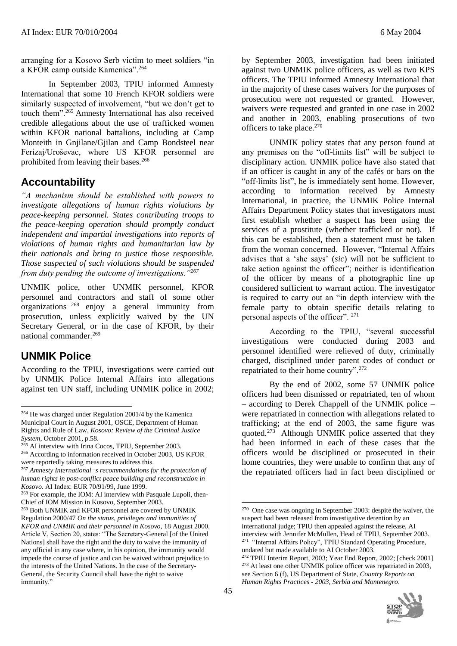arranging for a Kosovo Serb victim to meet soldiers "in a KFOR camp outside Kamenica".<sup>264</sup>

In September 2003, TPIU informed Amnesty International that some 10 French KFOR soldiers were similarly suspected of involvement, "but we don't get to touch them".<sup>265</sup> Amnesty International has also received credible allegations about the use of trafficked women within KFOR national battalions, including at Camp Monteith in Gniilane/Giilan and Camp Bondsteel near Ferizaj/Uroševac, where US KFOR personnel are prohibited from leaving their bases.<sup>266</sup>

## **Accountability**

*"A mechanism should be established with powers to investigate allegations of human rights violations by peace-keeping personnel. States contributing troops to the peace-keeping operation should promptly conduct independent and impartial investigations into reports of violations of human rights and humanitarian law by their nationals and bring to justice those responsible. Those suspected of such violations should be suspended from duty pending the outcome of investigations."<sup>267</sup>*

UNMIK police, other UNMIK personnel, KFOR personnel and contractors and staff of some other organizations <sup>268</sup> enjoy a general immunity from prosecution, unless explicitly waived by the UN Secretary General, or in the case of KFOR, by their national commander.<sup>269</sup>

## **UNMIK Police**

 $\overline{a}$ 

According to the TPIU, investigations were carried out by UNMIK Police Internal Affairs into allegations against ten UN staff, including UNMIK police in 2002;

by September 2003, investigation had been initiated against two UNMIK police officers, as well as two KPS officers. The TPIU informed Amnesty International that in the majority of these cases waivers for the purposes of prosecution were not requested or granted. However, waivers were requested and granted in one case in 2002 and another in 2003, enabling prosecutions of two officers to take place.<sup>270</sup>

UNMIK policy states that any person found at any premises on the "off-limits list" will be subject to disciplinary action. UNMIK police have also stated that if an officer is caught in any of the cafés or bars on the "off-limits list", he is immediately sent home. However, according to information received by Amnesty International, in practice, the UNMIK Police Internal Affairs Department Policy states that investigators must first establish whether a suspect has been using the services of a prostitute (whether trafficked or not). If this can be established, then a statement must be taken from the woman concerned. However, "Internal Affairs advises that a 'she says' (*sic*) will not be sufficient to take action against the officer"; neither is identification of the officer by means of a photographic line up considered sufficient to warrant action. The investigator is required to carry out an "in depth interview with the female party to obtain specific details relating to personal aspects of the officer". <sup>271</sup>

According to the TPIU, "several successful investigations were conducted during 2003 and personnel identified were relieved of duty, criminally charged, disciplined under parent codes of conduct or repatriated to their home country".<sup>272</sup>

By the end of 2002, some 57 UNMIK police officers had been dismissed or repatriated, ten of whom – according to Derek Chappell of the UNMIK police – were repatriated in connection with allegations related to trafficking; at the end of 2003, the same figure was quoted.<sup>273</sup> Although UNMIK police asserted that they had been informed in each of these cases that the officers would be disciplined or prosecuted in their home countries, they were unable to confirm that any of the repatriated officers had in fact been disciplined or

<sup>272</sup> TPIU Interim Report, 2003; Year End Report, 2002; [check 2001] <sup>273</sup> At least one other UNMIK police officer was repatriated in 2003, see Section 6 (f), US Department of State, *Country Reports on Human Rights Practices - 2003, Serbia and Montenegro*.



<sup>264</sup> He was charged under Regulation 2001/4 by the Kamenica Municipal Court in August 2001, OSCE, Department of Human Rights and Rule of Law*, Kosovo: Review of the Criminal Justice System*, October 2001, p.58.

<sup>&</sup>lt;sup>265</sup> AI interview with Irina Cocos, TPIU, September 2003.

<sup>266</sup> According to information received in October 2003, US KFOR were reportedly taking measures to address this.

<sup>267</sup> *Amnesty International=s recommendations for the protection of human rights in post-conflict peace building and reconstruction in Kosovo*. AI Index: EUR 70/91/99, June 1999.

<sup>268</sup> For example, the IOM: AI interview with Pasquale Lupoli, then-Chief of IOM Mission in Kosovo, September 2003.

<sup>&</sup>lt;sup>269</sup> Both UNMIK and KFOR personnel are covered by UNMIK Regulation 2000/47 *On the status, privileges and immunities of KFOR and UNMIK and their personnel in Kosovo*, 18 August 2000. Article V, Section 20, states: "The Secretary-General [of the United Nations] shall have the right and the duty to waive the immunity of any official in any case where, in his opinion, the immunity would impede the course of justice and can be waived without prejudice to the interests of the United Nations. In the case of the Secretary-General, the Security Council shall have the right to waive immunity."

<sup>&</sup>lt;sup>270</sup> One case was ongoing in September 2003: despite the waiver, the suspect had been released from investigative detention by an international judge; TPIU then appealed against the release, AI interview with Jennifer McMullen, Head of TPIU, September 2003. <sup>271</sup> "Internal Affairs Policy", TPIU Standard Operating Procedure, undated but made available to AI October 2003.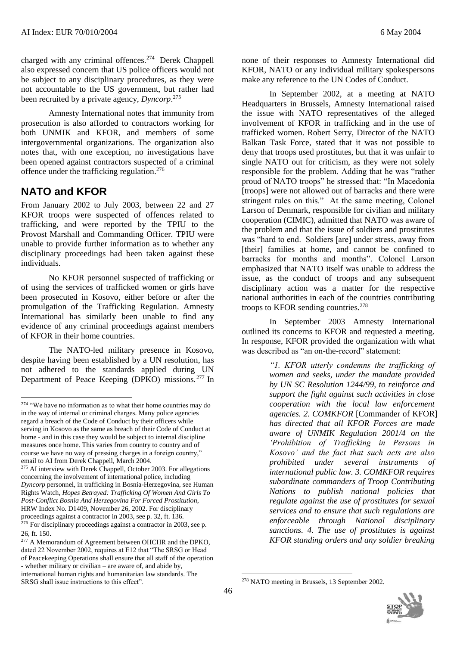charged with any criminal offences.<sup>274</sup> Derek Chappell also expressed concern that US police officers would not be subject to any disciplinary procedures, as they were not accountable to the US government, but rather had been recruited by a private agency, *Dyncorp*. 275

Amnesty International notes that immunity from prosecution is also afforded to contractors working for both UNMIK and KFOR, and members of some intergovernmental organizations. The organization also notes that, with one exception, no investigations have been opened against contractors suspected of a criminal offence under the trafficking regulation. 276

## **NATO and KFOR**

 $\overline{a}$ 

From January 2002 to July 2003, between 22 and 27 KFOR troops were suspected of offences related to trafficking, and were reported by the TPIU to the Provost Marshall and Commanding Officer. TPIU were unable to provide further information as to whether any disciplinary proceedings had been taken against these individuals.

No KFOR personnel suspected of trafficking or of using the services of trafficked women or girls have been prosecuted in Kosovo, either before or after the promulgation of the Trafficking Regulation. Amnesty International has similarly been unable to find any evidence of any criminal proceedings against members of KFOR in their home countries.

The NATO-led military presence in Kosovo, despite having been established by a UN resolution, has not adhered to the standards applied during UN Department of Peace Keeping (DPKO) missions. <sup>277</sup> In

none of their responses to Amnesty International did KFOR, NATO or any individual military spokespersons make any reference to the UN Codes of Conduct.

In September 2002, at a meeting at NATO Headquarters in Brussels, Amnesty International raised the issue with NATO representatives of the alleged involvement of KFOR in trafficking and in the use of trafficked women. Robert Serry, Director of the NATO Balkan Task Force, stated that it was not possible to deny that troops used prostitutes, but that it was unfair to single NATO out for criticism, as they were not solely responsible for the problem. Adding that he was "rather proud of NATO troops" he stressed that: "In Macedonia [troops] were not allowed out of barracks and there were stringent rules on this." At the same meeting, Colonel Larson of Denmark, responsible for civilian and military cooperation (CIMIC), admitted that NATO was aware of the problem and that the issue of soldiers and prostitutes was "hard to end. Soldiers [are] under stress, away from [their] families at home, and cannot be confined to barracks for months and months". Colonel Larson emphasized that NATO itself was unable to address the issue, as the conduct of troops and any subsequent disciplinary action was a matter for the respective national authorities in each of the countries contributing troops to KFOR sending countries. $278$ 

In September 2003 Amnesty International outlined its concerns to KFOR and requested a meeting. In response, KFOR provided the organization with what was described as "an on-the-record" statement:

> *"1. KFOR utterly condemns the trafficking of women and seeks, under the mandate provided by UN SC Resolution 1244/99, to reinforce and support the fight against such activities in close cooperation with the local law enforcement agencies. 2. COMKFOR* [Commander of KFOR] *has directed that all KFOR Forces are made aware of UNMIK Regulation 2001/4 on the 'Prohibition of Trafficking in Persons in Kosovo' and the fact that such acts are also prohibited under several instruments of international public law. 3. COMKFOR requires subordinate commanders of Troop Contributing Nations to publish national policies that regulate against the use of prostitutes for sexual services and to ensure that such regulations are enforceable through National disciplinary sanctions. 4. The use of prostitutes is against KFOR standing orders and any soldier breaking*

<sup>&</sup>lt;sup>274</sup> "We have no information as to what their home countries may do in the way of internal or criminal charges. Many police agencies regard a breach of the Code of Conduct by their officers while serving in Kosovo as the same as breach of their Code of Conduct at home - and in this case they would be subject to internal discipline measures once home. This varies from country to country and of course we have no way of pressing charges in a foreign country," email to AI from Derek Chappell, March 2004.

<sup>&</sup>lt;sup>275</sup> AI interview with Derek Chappell, October 2003. For allegations concerning the involvement of international police, including *Dyncorp* personnel, in trafficking in Bosnia-Herzegovina, see Human Rights Watch, *Hopes Betrayed: Trafficking Of Women And Girls To Post-Conflict Bosnia And Herzegovina For Forced Prostitution*, HRW Index No. D1409, November 26, 2002. For disciplinary proceedings against a contractor in 2003, see p. 32, ft. 136. <sup>276</sup> For disciplinary proceedings against a contractor in 2003, see p.

<sup>26,</sup> ft. 150. <sup>277</sup> A Memorandum of Agreement between OHCHR and the DPKO, dated 22 November 2002, requires at E12 that "The SRSG or Head of Peacekeeping Operations shall ensure that all staff of the operation - whether military or civilian – are aware of, and abide by, international human rights and humanitarian law standards. The SRSG shall issue instructions to this effect".

<sup>&</sup>lt;u>.</u> <sup>278</sup> NATO meeting in Brussels, 13 September 2002.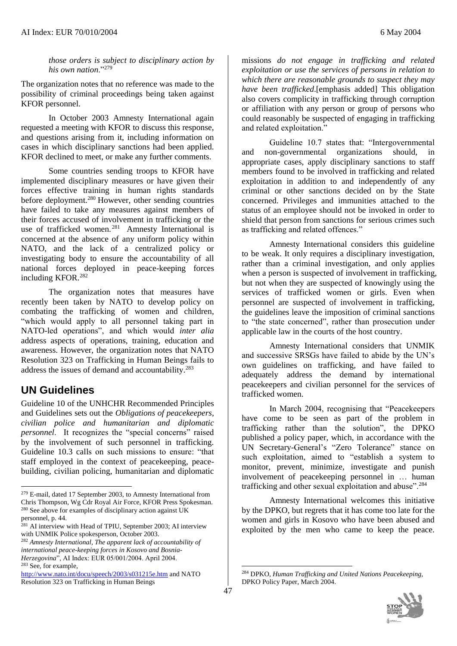*those orders is subject to disciplinary action by his own nation*."<sup>279</sup>

The organization notes that no reference was made to the possibility of criminal proceedings being taken against KFOR personnel.

In October 2003 Amnesty International again requested a meeting with KFOR to discuss this response, and questions arising from it, including information on cases in which disciplinary sanctions had been applied. KFOR declined to meet, or make any further comments.

Some countries sending troops to KFOR have implemented disciplinary measures or have given their forces effective training in human rights standards before deployment.<sup>280</sup> However, other sending countries have failed to take any measures against members of their forces accused of involvement in trafficking or the use of trafficked women.<sup>281</sup> Amnesty International is concerned at the absence of any uniform policy within NATO, and the lack of a centralized policy or investigating body to ensure the accountability of all national forces deployed in peace-keeping forces including KFOR.<sup>282</sup>

The organization notes that measures have recently been taken by NATO to develop policy on combating the trafficking of women and children, "which would apply to all personnel taking part in NATO-led operations", and which would *inter alia* address aspects of operations, training, education and awareness. However, the organization notes that NATO Resolution 323 on Trafficking in Human Beings fails to address the issues of demand and accountability.<sup>283</sup>

## **UN Guidelines**

Guideline 10 of the UNHCHR Recommended Principles and Guidelines sets out the *Obligations of peacekeepers, civilian police and humanitarian and diplomatic personnel*. It recognizes the "special concerns" raised by the involvement of such personnel in trafficking. Guideline 10.3 calls on such missions to ensure: "that staff employed in the context of peacekeeping, peacebuilding, civilian policing, humanitarian and diplomatic

 $\overline{a}$ 

<sup>282</sup> *Amnesty International, The apparent lack of accountability of international peace-keeping forces in Kosovo and Bosnia-Herzegovina*", AI Index: EUR 05/001/2004. April 2004. <sup>283</sup> See, for example,

missions *do not engage in trafficking and related exploitation or use the services of persons in relation to which there are reasonable grounds to suspect they may have been trafficked*.[emphasis added] This obligation also covers complicity in trafficking through corruption or affiliation with any person or group of persons who could reasonably be suspected of engaging in trafficking and related exploitation."

Guideline 10.7 states that: "Intergovernmental and non-governmental organizations should, in appropriate cases, apply disciplinary sanctions to staff members found to be involved in trafficking and related exploitation in addition to and independently of any criminal or other sanctions decided on by the State concerned. Privileges and immunities attached to the status of an employee should not be invoked in order to shield that person from sanctions for serious crimes such as trafficking and related offences."

Amnesty International considers this guideline to be weak. It only requires a disciplinary investigation, rather than a criminal investigation, and only applies when a person is suspected of involvement in trafficking, but not when they are suspected of knowingly using the services of trafficked women or girls. Even when personnel are suspected of involvement in trafficking, the guidelines leave the imposition of criminal sanctions to "the state concerned", rather than prosecution under applicable law in the courts of the host country.

Amnesty International considers that UNMIK and successive SRSGs have failed to abide by the UN's own guidelines on trafficking, and have failed to adequately address the demand by international peacekeepers and civilian personnel for the services of trafficked women.

In March 2004, recognising that "Peacekeepers have come to be seen as part of the problem in trafficking rather than the solution", the DPKO published a policy paper, which, in accordance with the UN Secretary-General's "Zero Tolerance" stance on such exploitation, aimed to "establish a system to monitor, prevent, minimize, investigate and punish involvement of peacekeeping personnel in … human trafficking and other sexual exploitation and abuse".<sup>284</sup>

Amnesty International welcomes this initiative by the DPKO, but regrets that it has come too late for the women and girls in Kosovo who have been abused and exploited by the men who came to keep the peace.

<sup>279</sup> E-mail, dated 17 September 2003, to Amnesty International from Chris Thompson, Wg Cdr Royal Air Force, KFOR Press Spokesman. <sup>280</sup> See above for examples of disciplinary action against UK

personnel, p. 44.

 $281$  AI interview with Head of TPIU, September 2003; AI interview with UNMIK Police spokesperson, October 2003.

<http://www.nato.int/docu/speech/2003/s031215e.htm> and NATO Resolution 323 on Trafficking in Human Beings

<sup>284</sup> DPKO, *Human Trafficking and United Nations Peacekeeping*, DPKO Policy Paper, March 2004.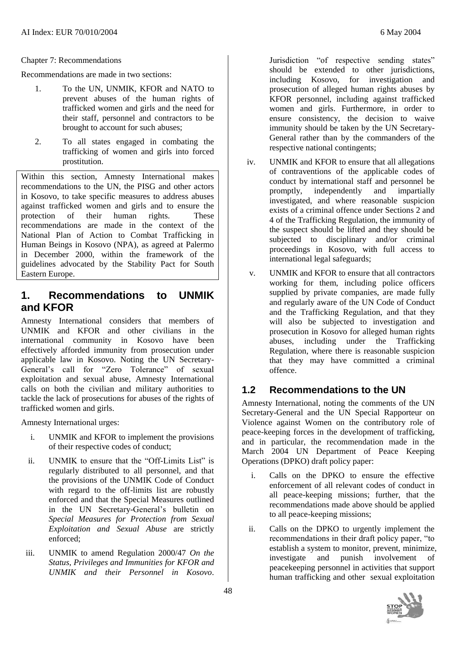Recommendations are made in two sections:

- 1. To the UN, UNMIK, KFOR and NATO to prevent abuses of the human rights of trafficked women and girls and the need for their staff, personnel and contractors to be brought to account for such abuses;
- 2. To all states engaged in combating the trafficking of women and girls into forced prostitution.

Within this section, Amnesty International makes recommendations to the UN, the PISG and other actors in Kosovo, to take specific measures to address abuses against trafficked women and girls and to ensure the protection of their human rights. These recommendations are made in the context of the National Plan of Action to Combat Trafficking in Human Beings in Kosovo (NPA), as agreed at Palermo in December 2000, within the framework of the guidelines advocated by the Stability Pact for South Eastern Europe.

### **1. Recommendations to UNMIK and KFOR**

Amnesty International considers that members of UNMIK and KFOR and other civilians in the international community in Kosovo have been effectively afforded immunity from prosecution under applicable law in Kosovo. Noting the UN Secretary-General's call for "Zero Tolerance" of sexual exploitation and sexual abuse, Amnesty International calls on both the civilian and military authorities to tackle the lack of prosecutions for abuses of the rights of trafficked women and girls.

Amnesty International urges:

- i. UNMIK and KFOR to implement the provisions of their respective codes of conduct;
- ii. UNMIK to ensure that the "Off-Limits List" is regularly distributed to all personnel, and that the provisions of the UNMIK Code of Conduct with regard to the off-limits list are robustly enforced and that the Special Measures outlined in the UN Secretary-General's bulletin on *Special Measures for Protection from Sexual Exploitation and Sexual Abuse* are strictly enforced;
- iii. UNMIK to amend Regulation 2000/47 *On the Status, Privileges and Immunities for KFOR and UNMIK and their Personnel in Kosovo*.

Jurisdiction "of respective sending states" should be extended to other jurisdictions, including Kosovo, for investigation and prosecution of alleged human rights abuses by KFOR personnel, including against trafficked women and girls. Furthermore, in order to ensure consistency, the decision to waive immunity should be taken by the UN Secretary-General rather than by the commanders of the respective national contingents;

- iv. UNMIK and KFOR to ensure that all allegations of contraventions of the applicable codes of conduct by international staff and personnel be promptly, independently and impartially investigated, and where reasonable suspicion exists of a criminal offence under Sections 2 and 4 of the Trafficking Regulation, the immunity of the suspect should be lifted and they should be subjected to disciplinary and/or criminal proceedings in Kosovo, with full access to international legal safeguards;
- v. UNMIK and KFOR to ensure that all contractors working for them, including police officers supplied by private companies, are made fully and regularly aware of the UN Code of Conduct and the Trafficking Regulation, and that they will also be subjected to investigation and prosecution in Kosovo for alleged human rights abuses, including under the Trafficking Regulation, where there is reasonable suspicion that they may have committed a criminal offence.

### **1.2 Recommendations to the UN**

Amnesty International, noting the comments of the UN Secretary-General and the UN Special Rapporteur on Violence against Women on the contributory role of peace-keeping forces in the development of trafficking, and in particular, the recommendation made in the March 2004 UN Department of Peace Keeping Operations (DPKO) draft policy paper:

- i. Calls on the DPKO to ensure the effective enforcement of all relevant codes of conduct in all peace-keeping missions; further, that the recommendations made above should be applied to all peace-keeping missions;
- ii. Calls on the DPKO to urgently implement the recommendations in their draft policy paper, "to establish a system to monitor, prevent, minimize, investigate and punish involvement of peacekeeping personnel in activities that support human trafficking and other sexual exploitation

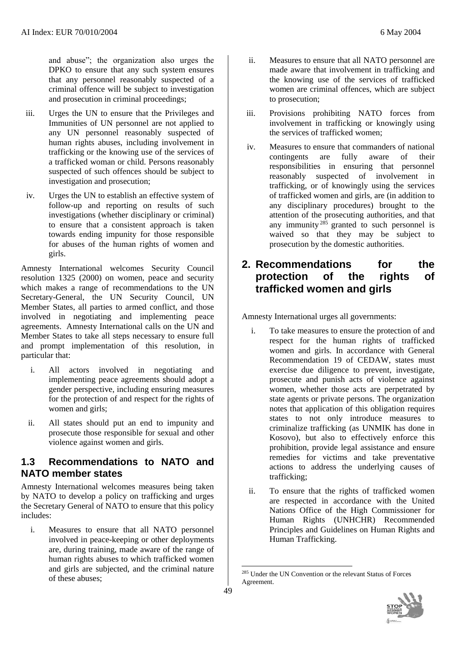and abuse"; the organization also urges the DPKO to ensure that any such system ensures that any personnel reasonably suspected of a criminal offence will be subject to investigation and prosecution in criminal proceedings;

- iii. Urges the UN to ensure that the Privileges and Immunities of UN personnel are not applied to any UN personnel reasonably suspected of human rights abuses, including involvement in trafficking or the knowing use of the services of a trafficked woman or child. Persons reasonably suspected of such offences should be subject to investigation and prosecution;
- iv. Urges the UN to establish an effective system of follow-up and reporting on results of such investigations (whether disciplinary or criminal) to ensure that a consistent approach is taken towards ending impunity for those responsible for abuses of the human rights of women and girls.

Amnesty International welcomes Security Council resolution 1325 (2000) on women, peace and security which makes a range of recommendations to the UN Secretary-General, the UN Security Council, UN Member States, all parties to armed conflict, and those involved in negotiating and implementing peace agreements. Amnesty International calls on the UN and Member States to take all steps necessary to ensure full and prompt implementation of this resolution, in particular that:

- i. All actors involved in negotiating and implementing peace agreements should adopt a gender perspective, including ensuring measures for the protection of and respect for the rights of women and girls;
- ii. All states should put an end to impunity and prosecute those responsible for sexual and other violence against women and girls.

#### **1.3 Recommendations to NATO and NATO member states**

Amnesty International welcomes measures being taken by NATO to develop a policy on trafficking and urges the Secretary General of NATO to ensure that this policy includes:

i. Measures to ensure that all NATO personnel involved in peace-keeping or other deployments are, during training, made aware of the range of human rights abuses to which trafficked women and girls are subjected, and the criminal nature of these abuses;

- ii. Measures to ensure that all NATO personnel are made aware that involvement in trafficking and the knowing use of the services of trafficked women are criminal offences, which are subject to prosecution;
- iii. Provisions prohibiting NATO forces from involvement in trafficking or knowingly using the services of trafficked women;
- iv. Measures to ensure that commanders of national contingents are fully aware of their responsibilities in ensuring that personnel reasonably suspected of involvement in trafficking, or of knowingly using the services of trafficked women and girls, are (in addition to any disciplinary procedures) brought to the attention of the prosecuting authorities, and that any immunity  $285$  granted to such personnel is waived so that they may be subject to prosecution by the domestic authorities.

## **2. Recommendations for the protection of the rights of trafficked women and girls**

Amnesty International urges all governments:

- i. To take measures to ensure the protection of and respect for the human rights of trafficked women and girls. In accordance with General Recommendation 19 of CEDAW, states must exercise due diligence to prevent, investigate, prosecute and punish acts of violence against women, whether those acts are perpetrated by state agents or private persons. The organization notes that application of this obligation requires states to not only introduce measures to criminalize trafficking (as UNMIK has done in Kosovo), but also to effectively enforce this prohibition, provide legal assistance and ensure remedies for victims and take preventative actions to address the underlying causes of trafficking;
- ii. To ensure that the rights of trafficked women are respected in accordance with the United Nations Office of the High Commissioner for Human Rights (UNHCHR) Recommended Principles and Guidelines on Human Rights and Human Trafficking.

<sup>285</sup> Under the UN Convention or the relevant Status of Forces Agreement.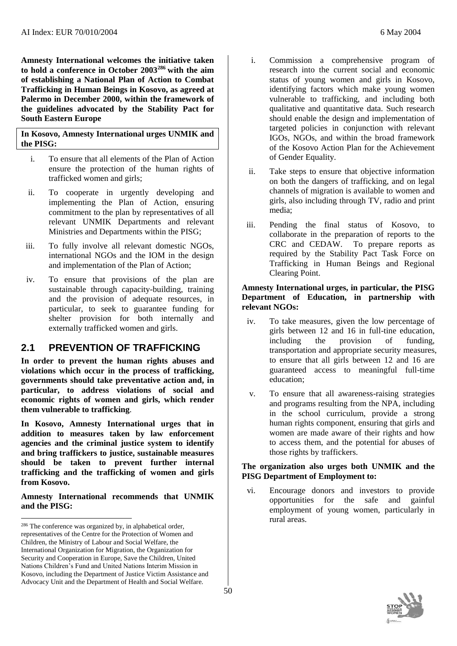**Amnesty International welcomes the initiative taken to hold a conference in October 2003<sup>286</sup> with the aim of establishing a National Plan of Action to Combat Trafficking in Human Beings in Kosovo, as agreed at Palermo in December 2000, within the framework of the guidelines advocated by the Stability Pact for South Eastern Europe**

**In Kosovo, Amnesty International urges UNMIK and the PISG:**

- i. To ensure that all elements of the Plan of Action ensure the protection of the human rights of trafficked women and girls;
- ii. To cooperate in urgently developing and implementing the Plan of Action, ensuring commitment to the plan by representatives of all relevant UNMIK Departments and relevant Ministries and Departments within the PISG;
- iii. To fully involve all relevant domestic NGOs, international NGOs and the IOM in the design and implementation of the Plan of Action;
- iv. To ensure that provisions of the plan are sustainable through capacity-building, training and the provision of adequate resources, in particular, to seek to guarantee funding for shelter provision for both internally and externally trafficked women and girls.

#### **2.1 PREVENTION OF TRAFFICKING**

**In order to prevent the human rights abuses and violations which occur in the process of trafficking, governments should take preventative action and, in particular, to address violations of social and economic rights of women and girls, which render them vulnerable to trafficking**.

**In Kosovo, Amnesty International urges that in addition to measures taken by law enforcement agencies and the criminal justice system to identify and bring traffickers to justice, sustainable measures should be taken to prevent further internal trafficking and the trafficking of women and girls from Kosovo.** 

**Amnesty International recommends that UNMIK and the PISG:** 

l

- i. Commission a comprehensive program of research into the current social and economic status of young women and girls in Kosovo, identifying factors which make young women vulnerable to trafficking, and including both qualitative and quantitative data. Such research should enable the design and implementation of targeted policies in conjunction with relevant IGOs, NGOs, and within the broad framework of the Kosovo Action Plan for the Achievement of Gender Equality.
- ii. Take steps to ensure that objective information on both the dangers of trafficking, and on legal channels of migration is available to women and girls, also including through TV, radio and print media;
- iii. Pending the final status of Kosovo, to collaborate in the preparation of reports to the CRC and CEDAW. To prepare reports as required by the Stability Pact Task Force on Trafficking in Human Beings and Regional Clearing Point.

#### **Amnesty International urges, in particular, the PISG Department of Education, in partnership with relevant NGOs:**

- iv. To take measures, given the low percentage of girls between 12 and 16 in full-tine education, including the provision of funding, transportation and appropriate security measures, to ensure that all girls between 12 and 16 are guaranteed access to meaningful full-time education;
- v. To ensure that all awareness-raising strategies and programs resulting from the NPA, including in the school curriculum, provide a strong human rights component, ensuring that girls and women are made aware of their rights and how to access them, and the potential for abuses of those rights by traffickers.

#### **The organization also urges both UNMIK and the PISG Department of Employment to:**

vi. Encourage donors and investors to provide opportunities for the safe and gainful employment of young women, particularly in rural areas.



<sup>286</sup> The conference was organized by, in alphabetical order, representatives of the Centre for the Protection of Women and Children, the Ministry of Labour and Social Welfare, the International Organization for Migration, the Organization for Security and Cooperation in Europe, Save the Children, United Nations Children's Fund and United Nations Interim Mission in Kosovo, including the Department of Justice Victim Assistance and Advocacy Unit and the Department of Health and Social Welfare.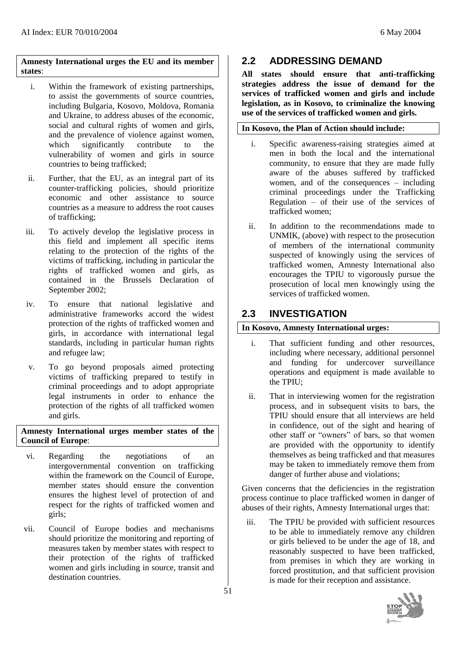#### **Amnesty International urges the EU and its member states**:

- i. Within the framework of existing partnerships, to assist the governments of source countries, including Bulgaria, Kosovo, Moldova, Romania and Ukraine, to address abuses of the economic, social and cultural rights of women and girls, and the prevalence of violence against women, which significantly contribute to the vulnerability of women and girls in source countries to being trafficked;
- ii. Further, that the EU, as an integral part of its counter-trafficking policies, should prioritize economic and other assistance to source countries as a measure to address the root causes of trafficking;
- iii. To actively develop the legislative process in this field and implement all specific items relating to the protection of the rights of the victims of trafficking, including in particular the rights of trafficked women and girls, as contained in the Brussels Declaration of September 2002;
- iv. To ensure that national legislative and administrative frameworks accord the widest protection of the rights of trafficked women and girls, in accordance with international legal standards, including in particular human rights and refugee law;
- v. To go beyond proposals aimed protecting victims of trafficking prepared to testify in criminal proceedings and to adopt appropriate legal instruments in order to enhance the protection of the rights of all trafficked women and girls.

#### **Amnesty International urges member states of the Council of Europe**:

- vi. Regarding the negotiations of an intergovernmental convention on trafficking within the framework on the Council of Europe. member states should ensure the convention ensures the highest level of protection of and respect for the rights of trafficked women and girls;
- vii. Council of Europe bodies and mechanisms should prioritize the monitoring and reporting of measures taken by member states with respect to their protection of the rights of trafficked women and girls including in source, transit and destination countries.

## **2.2 ADDRESSING DEMAND**

**All states should ensure that anti-trafficking strategies address the issue of demand for the services of trafficked women and girls and include legislation, as in Kosovo, to criminalize the knowing use of the services of trafficked women and girls.**

#### **In Kosovo, the Plan of Action should include:**

- i. Specific awareness-raising strategies aimed at men in both the local and the international community, to ensure that they are made fully aware of the abuses suffered by trafficked women, and of the consequences – including criminal proceedings under the Trafficking Regulation – of their use of the services of trafficked women;
- ii. In addition to the recommendations made to UNMIK, (above) with respect to the prosecution of members of the international community suspected of knowingly using the services of trafficked women, Amnesty International also encourages the TPIU to vigorously pursue the prosecution of local men knowingly using the services of trafficked women.

#### **2.3 INVESTIGATION**

#### **In Kosovo, Amnesty International urges:**

- i. That sufficient funding and other resources, including where necessary, additional personnel and funding for undercover surveillance operations and equipment is made available to the TPIU;
- ii. That in interviewing women for the registration process, and in subsequent visits to bars, the TPIU should ensure that all interviews are held in confidence, out of the sight and hearing of other staff or "owners" of bars, so that women are provided with the opportunity to identify themselves as being trafficked and that measures may be taken to immediately remove them from danger of further abuse and violations;

Given concerns that the deficiencies in the registration process continue to place trafficked women in danger of abuses of their rights, Amnesty International urges that:

iii. The TPIU be provided with sufficient resources to be able to immediately remove any children or girls believed to be under the age of 18, and reasonably suspected to have been trafficked, from premises in which they are working in forced prostitution, and that sufficient provision is made for their reception and assistance.

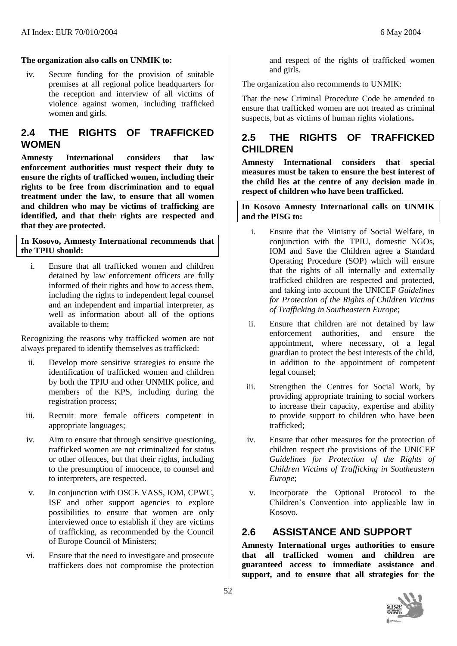#### **The organization also calls on UNMIK to:**

iv. Secure funding for the provision of suitable premises at all regional police headquarters for the reception and interview of all victims of violence against women, including trafficked women and girls.

#### **2.4 THE RIGHTS OF TRAFFICKED WOMEN**

**Amnesty International considers that law enforcement authorities must respect their duty to ensure the rights of trafficked women, including their rights to be free from discrimination and to equal treatment under the law, to ensure that all women and children who may be victims of trafficking are identified, and that their rights are respected and that they are protected.** 

#### **In Kosovo, Amnesty International recommends that the TPIU should:**

i. Ensure that all trafficked women and children detained by law enforcement officers are fully informed of their rights and how to access them, including the rights to independent legal counsel and an independent and impartial interpreter, as well as information about all of the options available to them;

Recognizing the reasons why trafficked women are not always prepared to identify themselves as trafficked:

- ii. Develop more sensitive strategies to ensure the identification of trafficked women and children by both the TPIU and other UNMIK police, and members of the KPS, including during the registration process;
- iii. Recruit more female officers competent in appropriate languages;
- iv. Aim to ensure that through sensitive questioning, trafficked women are not criminalized for status or other offences, but that their rights, including to the presumption of innocence, to counsel and to interpreters, are respected.
- v. In conjunction with OSCE VASS, IOM, CPWC, ISF and other support agencies to explore possibilities to ensure that women are only interviewed once to establish if they are victims of trafficking, as recommended by the Council of Europe Council of Ministers;
- vi. Ensure that the need to investigate and prosecute traffickers does not compromise the protection

and respect of the rights of trafficked women and girls.

The organization also recommends to UNMIK:

That the new Criminal Procedure Code be amended to ensure that trafficked women are not treated as criminal suspects, but as victims of human rights violations**.** 

### **2.5 THE RIGHTS OF TRAFFICKED CHILDREN**

**Amnesty International considers that special measures must be taken to ensure the best interest of the child lies at the centre of any decision made in respect of children who have been trafficked.**

#### **In Kosovo Amnesty International calls on UNMIK and the PISG to:**

- i. Ensure that the Ministry of Social Welfare, in conjunction with the TPIU, domestic NGOs, IOM and Save the Children agree a Standard Operating Procedure (SOP) which will ensure that the rights of all internally and externally trafficked children are respected and protected, and taking into account the UNICEF *Guidelines for Protection of the Rights of Children Victims of Trafficking in Southeastern Europe*;
- ii. Ensure that children are not detained by law enforcement authorities, and ensure the appointment, where necessary, of a legal guardian to protect the best interests of the child, in addition to the appointment of competent legal counsel;
- iii. Strengthen the Centres for Social Work, by providing appropriate training to social workers to increase their capacity, expertise and ability to provide support to children who have been trafficked;
- iv. Ensure that other measures for the protection of children respect the provisions of the UNICEF *Guidelines for Protection of the Rights of Children Victims of Trafficking in Southeastern Europe*;
- v. Incorporate the Optional Protocol to the Children's Convention into applicable law in Kosovo.

#### **2.6 ASSISTANCE AND SUPPORT**

**Amnesty International urges authorities to ensure that all trafficked women and children are guaranteed access to immediate assistance and support, and to ensure that all strategies for the** 

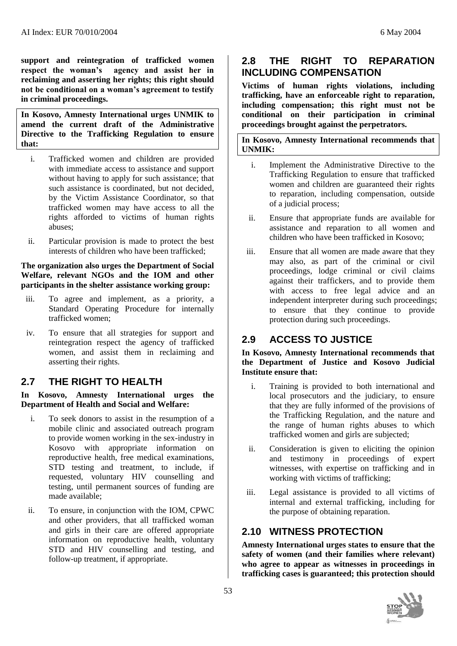**support and reintegration of trafficked women respect the woman's agency and assist her in reclaiming and asserting her rights; this right should not be conditional on a woman's agreement to testify in criminal proceedings.**

**In Kosovo, Amnesty International urges UNMIK to amend the current draft of the Administrative Directive to the Trafficking Regulation to ensure that:** 

- i. Trafficked women and children are provided with immediate access to assistance and support without having to apply for such assistance; that such assistance is coordinated, but not decided, by the Victim Assistance Coordinator, so that trafficked women may have access to all the rights afforded to victims of human rights abuses;
- ii. Particular provision is made to protect the best interests of children who have been trafficked;

#### **The organization also urges the Department of Social Welfare, relevant NGOs and the IOM and other participants in the shelter assistance working group:**

- iii. To agree and implement, as a priority, a Standard Operating Procedure for internally trafficked women;
- iv. To ensure that all strategies for support and reintegration respect the agency of trafficked women, and assist them in reclaiming and asserting their rights.

### **2.7 THE RIGHT TO HEALTH**

**In Kosovo, Amnesty International urges the Department of Health and Social and Welfare:** 

- i. To seek donors to assist in the resumption of a mobile clinic and associated outreach program to provide women working in the sex-industry in Kosovo with appropriate information on reproductive health, free medical examinations, STD testing and treatment, to include, if requested, voluntary HIV counselling and testing, until permanent sources of funding are made available;
- ii. To ensure, in conjunction with the IOM, CPWC and other providers, that all trafficked woman and girls in their care are offered appropriate information on reproductive health, voluntary STD and HIV counselling and testing, and follow-up treatment, if appropriate.

## **2.8 THE RIGHT TO REPARATION INCLUDING COMPENSATION**

**Victims of human rights violations, including trafficking, have an enforceable right to reparation, including compensation; this right must not be conditional on their participation in criminal proceedings brought against the perpetrators.**

**In Kosovo, Amnesty International recommends that UNMIK:**

- i. Implement the Administrative Directive to the Trafficking Regulation to ensure that trafficked women and children are guaranteed their rights to reparation, including compensation, outside of a judicial process;
- ii. Ensure that appropriate funds are available for assistance and reparation to all women and children who have been trafficked in Kosovo;
- iii. Ensure that all women are made aware that they may also, as part of the criminal or civil proceedings, lodge criminal or civil claims against their traffickers, and to provide them with access to free legal advice and an independent interpreter during such proceedings; to ensure that they continue to provide protection during such proceedings.

## **2.9 ACCESS TO JUSTICE**

**In Kosovo, Amnesty International recommends that the Department of Justice and Kosovo Judicial Institute ensure that:**

- i. Training is provided to both international and local prosecutors and the judiciary, to ensure that they are fully informed of the provisions of the Trafficking Regulation, and the nature and the range of human rights abuses to which trafficked women and girls are subjected;
- ii. Consideration is given to eliciting the opinion and testimony in proceedings of expert witnesses, with expertise on trafficking and in working with victims of trafficking;
- iii. Legal assistance is provided to all victims of internal and external trafficking, including for the purpose of obtaining reparation.

## **2.10 WITNESS PROTECTION**

**Amnesty International urges states to ensure that the safety of women (and their families where relevant) who agree to appear as witnesses in proceedings in trafficking cases is guaranteed; this protection should**

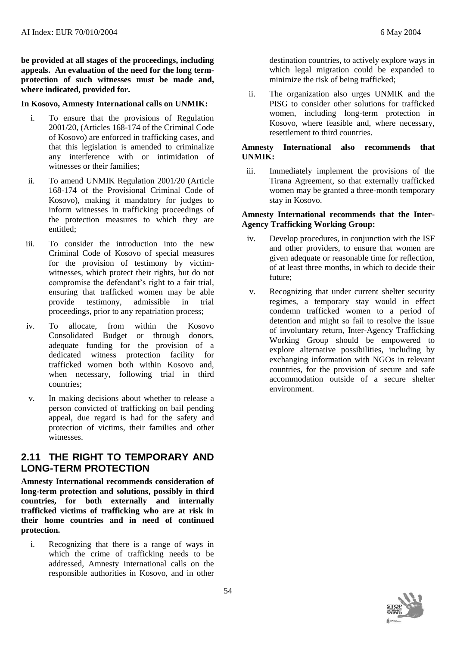**be provided at all stages of the proceedings, including appeals. An evaluation of the need for the long termprotection of such witnesses must be made and, where indicated, provided for.**

#### **In Kosovo, Amnesty International calls on UNMIK:**

- i. To ensure that the provisions of Regulation 2001/20, (Articles 168-174 of the Criminal Code of Kosovo) are enforced in trafficking cases, and that this legislation is amended to criminalize any interference with or intimidation of witnesses or their families;
- ii. To amend UNMIK Regulation 2001/20 (Article 168-174 of the Provisional Criminal Code of Kosovo), making it mandatory for judges to inform witnesses in trafficking proceedings of the protection measures to which they are entitled;
- iii. To consider the introduction into the new Criminal Code of Kosovo of special measures for the provision of testimony by victimwitnesses, which protect their rights, but do not compromise the defendant's right to a fair trial, ensuring that trafficked women may be able provide testimony, admissible in trial proceedings, prior to any repatriation process;
- iv. To allocate, from within the Kosovo Consolidated Budget or through donors, adequate funding for the provision of a dedicated witness protection facility for trafficked women both within Kosovo and, when necessary, following trial in third countries;
- v. In making decisions about whether to release a person convicted of trafficking on bail pending appeal, due regard is had for the safety and protection of victims, their families and other witnesses.

#### **2.11 THE RIGHT TO TEMPORARY AND LONG-TERM PROTECTION**

**Amnesty International recommends consideration of long-term protection and solutions, possibly in third countries, for both externally and internally trafficked victims of trafficking who are at risk in their home countries and in need of continued protection.** 

i. Recognizing that there is a range of ways in which the crime of trafficking needs to be addressed, Amnesty International calls on the responsible authorities in Kosovo, and in other

destination countries, to actively explore ways in which legal migration could be expanded to minimize the risk of being trafficked;

ii. The organization also urges UNMIK and the PISG to consider other solutions for trafficked women, including long-term protection in Kosovo, where feasible and, where necessary, resettlement to third countries.

#### **Amnesty International also recommends that UNMIK:**

iii. Immediately implement the provisions of the Tirana Agreement, so that externally trafficked women may be granted a three-month temporary stay in Kosovo.

#### **Amnesty International recommends that the Inter-Agency Trafficking Working Group:**

- iv. Develop procedures, in conjunction with the ISF and other providers, to ensure that women are given adequate or reasonable time for reflection, of at least three months, in which to decide their future;
- v. Recognizing that under current shelter security regimes, a temporary stay would in effect condemn trafficked women to a period of detention and might so fail to resolve the issue of involuntary return, Inter-Agency Trafficking Working Group should be empowered to explore alternative possibilities, including by exchanging information with NGOs in relevant countries, for the provision of secure and safe accommodation outside of a secure shelter environment.

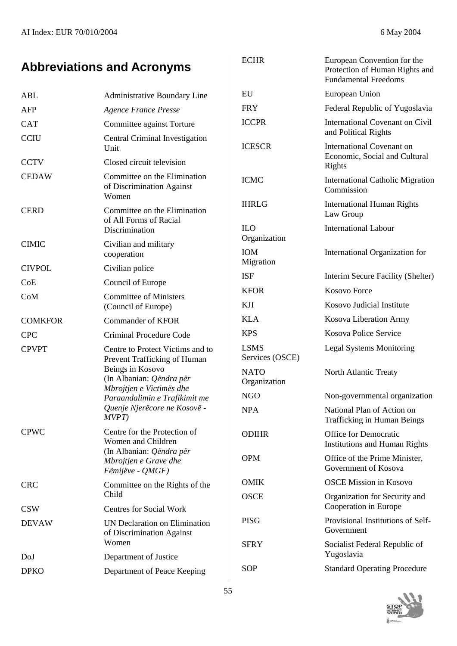# **Abbreviations and Acronyms**

| ABL            | <b>Administrative Boundary Line</b>                                                                                                                                                                                    |
|----------------|------------------------------------------------------------------------------------------------------------------------------------------------------------------------------------------------------------------------|
| <b>AFP</b>     | <b>Agence France Presse</b>                                                                                                                                                                                            |
| <b>CAT</b>     | Committee against Torture                                                                                                                                                                                              |
| <b>CCIU</b>    | Central Criminal Investigation<br>Unit                                                                                                                                                                                 |
| <b>CCTV</b>    | Closed circuit television                                                                                                                                                                                              |
| <b>CEDAW</b>   | Committee on the Elimination<br>of Discrimination Against<br>Women                                                                                                                                                     |
| <b>CERD</b>    | Committee on the Elimination<br>of All Forms of Racial<br>Discrimination                                                                                                                                               |
| <b>CIMIC</b>   | Civilian and military<br>cooperation                                                                                                                                                                                   |
| <b>CIVPOL</b>  | Civilian police                                                                                                                                                                                                        |
| CoE            | Council of Europe                                                                                                                                                                                                      |
| CoM            | <b>Committee of Ministers</b><br>(Council of Europe)                                                                                                                                                                   |
| <b>COMKFOR</b> | Commander of KFOR                                                                                                                                                                                                      |
| <b>CPC</b>     | Criminal Procedure Code                                                                                                                                                                                                |
| <b>CPVPT</b>   | Centre to Protect Victims and to<br>Prevent Trafficking of Human<br>Beings in Kosovo<br>(In Albanian: Qëndra për<br>Mbrojtjen e Victimës dhe<br>Paraandalimin e Trafikimit me<br>Quenje Njerëcore ne Kosovë -<br>MVPT) |
| <b>CPWC</b>    | Centre for the Protection of<br>Women and Children<br>(In Albanian: Qëndra për<br>Mbrojtjen e Grave dhe<br>Fëmijëve - QMGF)                                                                                            |
| <b>CRC</b>     | Committee on the Rights of the<br>Child                                                                                                                                                                                |
| <b>CSW</b>     | <b>Centres for Social Work</b>                                                                                                                                                                                         |
| <b>DEVAW</b>   | UN Declaration on Elimination<br>of Discrimination Against<br>Women                                                                                                                                                    |
| DoJ            | Department of Justice                                                                                                                                                                                                  |
| <b>DPKO</b>    | Department of Peace Keeping                                                                                                                                                                                            |

| <b>ECHR</b>                 | European Convention for the<br>Protection of Human Rights and<br><b>Fundamental Freedoms</b> |
|-----------------------------|----------------------------------------------------------------------------------------------|
| EU                          | European Union                                                                               |
| FRY                         | Federal Republic of Yugoslavia                                                               |
| <b>ICCPR</b>                | <b>International Covenant on Civil</b><br>and Political Rights                               |
| <b>ICESCR</b>               | <b>International Covenant on</b><br>Economic, Social and Cultural<br>Rights                  |
| <b>ICMC</b>                 | <b>International Catholic Migration</b><br>Commission                                        |
| IHRLG                       | <b>International Human Rights</b><br>Law Group                                               |
| ILО<br>Organization         | <b>International Labour</b>                                                                  |
| ЮM<br>Migration             | International Organization for                                                               |
| ISF                         | Interim Secure Facility (Shelter)                                                            |
| <b>KFOR</b>                 | <b>Kosovo Force</b>                                                                          |
| KH                          | Kosovo Judicial Institute                                                                    |
| KLA                         | Kosova Liberation Army                                                                       |
| <b>KPS</b>                  | Kosova Police Service                                                                        |
| LSMS<br>Services (OSCE)     | <b>Legal Systems Monitoring</b>                                                              |
| <b>NATO</b><br>Organization | North Atlantic Treaty                                                                        |
| NGO                         | Non-governmental organization                                                                |
| <b>NPA</b>                  | National Plan of Action on<br><b>Trafficking in Human Beings</b>                             |
| ODIHR                       | <b>Office for Democratic</b><br><b>Institutions and Human Rights</b>                         |
| <b>OPM</b>                  | Office of the Prime Minister,<br>Government of Kosova                                        |
| OMIK                        | <b>OSCE Mission in Kosovo</b>                                                                |
| <b>OSCE</b>                 | Organization for Security and<br>Cooperation in Europe                                       |
| PISG                        | Provisional Institutions of Self-<br>Government                                              |
| <b>SFRY</b>                 | Socialist Federal Republic of<br>Yugoslavia                                                  |
| SOP                         | <b>Standard Operating Procedure</b>                                                          |